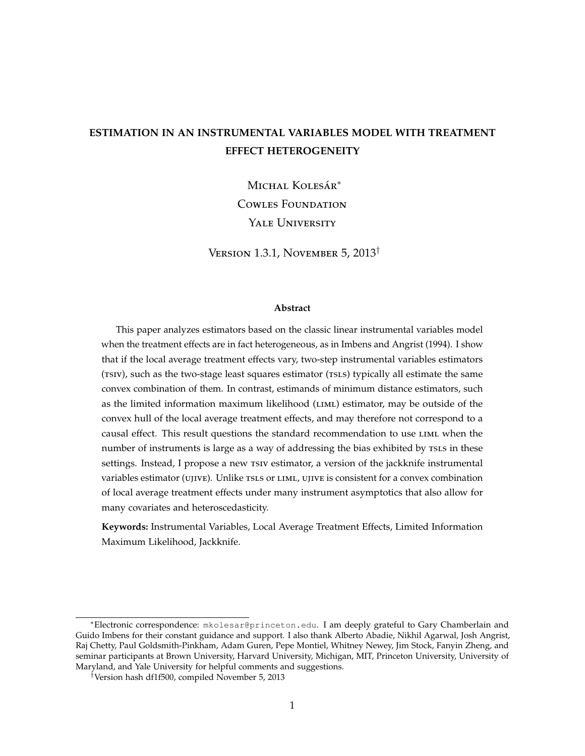# <span id="page-0-0"></span>**ESTIMATION IN AN INSTRUMENTAL VARIABLES MODEL WITH TREATMENT EFFECT HETEROGENEITY**

Michal Kolesár<sup>∗</sup> Cowles Foundation YALE UNIVERSITY

Version 1.3.1, November 5, 2013†

#### **Abstract**

This paper analyzes estimators based on the classic linear instrumental variables model when the treatment effects are in fact heterogeneous, as in [Imbens and Angrist](#page-43-0) [\(1994\)](#page-43-0). I show that if the local average treatment effects vary, two-step instrumental variables estimators (TSIV), such as the two-stage least squares estimator (TSLS) typically all estimate the same convex combination of them. In contrast, estimands of minimum distance estimators, such as the limited information maximum likelihood (LIML) estimator, may be outside of the convex hull of the local average treatment effects, and may therefore not correspond to a causal effect. This result questions the standard recommendation to use liml when the number of instruments is large as a way of addressing the bias exhibited by TSLS in these settings. Instead, I propose a new tsiv estimator, a version of the jackknife instrumental variables estimator (ujive). Unlike tsls or liml, ujive is consistent for a convex combination of local average treatment effects under many instrument asymptotics that also allow for many covariates and heteroscedasticity.

**Keywords:** Instrumental Variables, Local Average Treatment Effects, Limited Information Maximum Likelihood, Jackknife.

<sup>∗</sup>Electronic correspondence: mkolesar@princeton.edu. I am deeply grateful to Gary Chamberlain and Guido Imbens for their constant guidance and support. I also thank Alberto Abadie, Nikhil Agarwal, Josh Angrist, Raj Chetty, Paul Goldsmith-Pinkham, Adam Guren, Pepe Montiel, Whitney Newey, Jim Stock, Fanyin Zheng, and seminar participants at Brown University, Harvard University, Michigan, MIT, Princeton University, University of Maryland, and Yale University for helpful comments and suggestions.

<sup>†</sup>Version hash df1f500, compiled November 5, 2013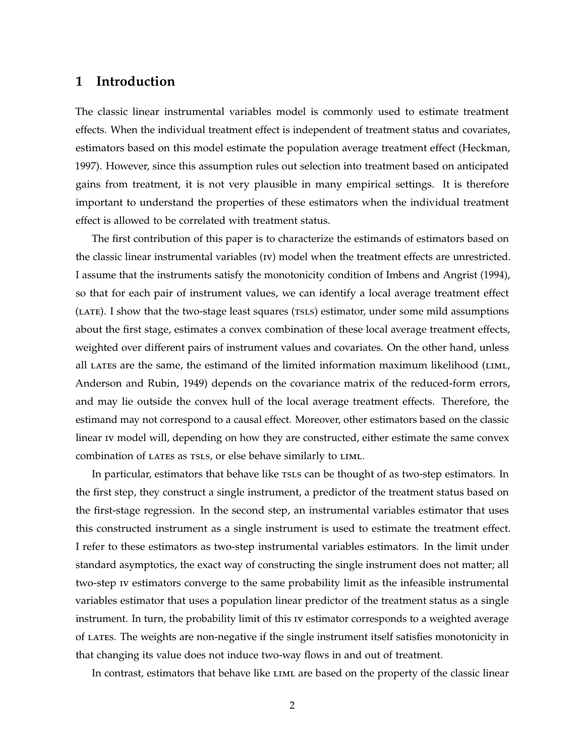## <span id="page-1-0"></span>**1 Introduction**

The classic linear instrumental variables model is commonly used to estimate treatment effects. When the individual treatment effect is independent of treatment status and covariates, estimators based on this model estimate the population average treatment effect [\(Heckman,](#page-43-1) [1997\)](#page-43-1). However, since this assumption rules out selection into treatment based on anticipated gains from treatment, it is not very plausible in many empirical settings. It is therefore important to understand the properties of these estimators when the individual treatment effect is allowed to be correlated with treatment status.

The first contribution of this paper is to characterize the estimands of estimators based on the classic linear instrumental variables (iv) model when the treatment effects are unrestricted. I assume that the instruments satisfy the monotonicity condition of [Imbens and Angrist](#page-43-0) [\(1994\)](#page-43-0), so that for each pair of instrument values, we can identify a local average treatment effect (LATE). I show that the two-stage least squares (TSLS) estimator, under some mild assumptions about the first stage, estimates a convex combination of these local average treatment effects, weighted over different pairs of instrument values and covariates. On the other hand, unless all LATES are the same, the estimand of the limited information maximum likelihood (LIML, [Anderson and Rubin,](#page-42-0) [1949\)](#page-42-0) depends on the covariance matrix of the reduced-form errors, and may lie outside the convex hull of the local average treatment effects. Therefore, the estimand may not correspond to a causal effect. Moreover, other estimators based on the classic linear iv model will, depending on how they are constructed, either estimate the same convex combination of LATES as TSLS, or else behave similarly to LIML.

In particular, estimators that behave like TSLS can be thought of as two-step estimators. In the first step, they construct a single instrument, a predictor of the treatment status based on the first-stage regression. In the second step, an instrumental variables estimator that uses this constructed instrument as a single instrument is used to estimate the treatment effect. I refer to these estimators as two-step instrumental variables estimators. In the limit under standard asymptotics, the exact way of constructing the single instrument does not matter; all two-step iv estimators converge to the same probability limit as the infeasible instrumental variables estimator that uses a population linear predictor of the treatment status as a single instrument. In turn, the probability limit of this iv estimator corresponds to a weighted average of lates. The weights are non-negative if the single instrument itself satisfies monotonicity in that changing its value does not induce two-way flows in and out of treatment.

In contrast, estimators that behave like LIML are based on the property of the classic linear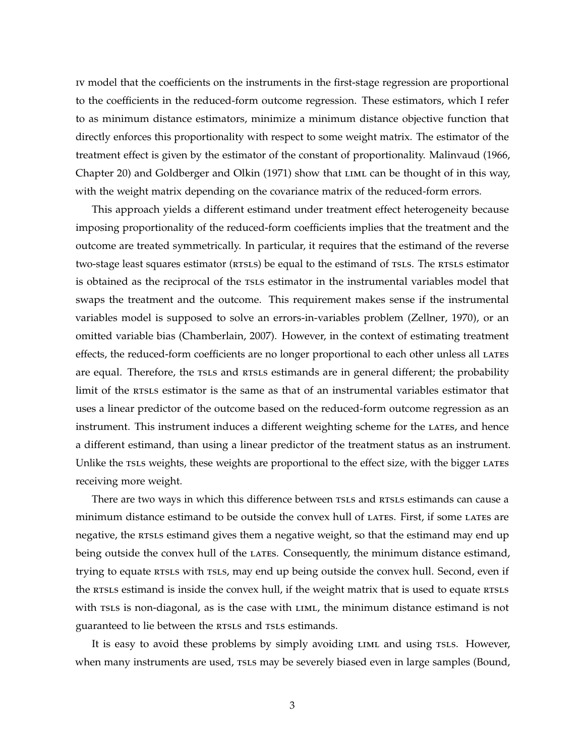<span id="page-2-0"></span>iv model that the coefficients on the instruments in the first-stage regression are proportional to the coefficients in the reduced-form outcome regression. These estimators, which I refer to as minimum distance estimators, minimize a minimum distance objective function that directly enforces this proportionality with respect to some weight matrix. The estimator of the treatment effect is given by the estimator of the constant of proportionality. [Malinvaud](#page-44-0) [\(1966,](#page-44-0) Chapter 20) and [Goldberger and Olkin](#page-43-2) [\(1971\)](#page-43-2) show that LIML can be thought of in this way, with the weight matrix depending on the covariance matrix of the reduced-form errors.

This approach yields a different estimand under treatment effect heterogeneity because imposing proportionality of the reduced-form coefficients implies that the treatment and the outcome are treated symmetrically. In particular, it requires that the estimand of the reverse two-stage least squares estimator (RTSLS) be equal to the estimand of TSLS. The RTSLS estimator is obtained as the reciprocal of the rsis estimator in the instrumental variables model that swaps the treatment and the outcome. This requirement makes sense if the instrumental variables model is supposed to solve an errors-in-variables problem [\(Zellner,](#page-44-1) [1970\)](#page-44-1), or an omitted variable bias [\(Chamberlain,](#page-42-1) [2007\)](#page-42-1). However, in the context of estimating treatment effects, the reduced-form coefficients are no longer proportional to each other unless all LATES are equal. Therefore, the rsls and resls estimands are in general different; the probability limit of the rests estimator is the same as that of an instrumental variables estimator that uses a linear predictor of the outcome based on the reduced-form outcome regression as an instrument. This instrument induces a different weighting scheme for the LATES, and hence a different estimand, than using a linear predictor of the treatment status as an instrument. Unlike the tsls weights, these weights are proportional to the effect size, with the bigger LATES receiving more weight.

There are two ways in which this difference between TSLS and RTSLS estimands can cause a minimum distance estimand to be outside the convex hull of LATES. First, if some LATES are negative, the RTSLS estimand gives them a negative weight, so that the estimand may end up being outside the convex hull of the LATES. Consequently, the minimum distance estimand, trying to equate RTSLS with TSLS, may end up being outside the convex hull. Second, even if the RTSLS estimand is inside the convex hull, if the weight matrix that is used to equate RTSLS with TSLS is non-diagonal, as is the case with LIML, the minimum distance estimand is not guaranteed to lie between the RTSLS and TSLS estimands.

It is easy to avoid these problems by simply avoiding LIML and using TSLS. However, when many instruments are used, rsls may be severely biased even in large samples [\(Bound,](#page-42-2)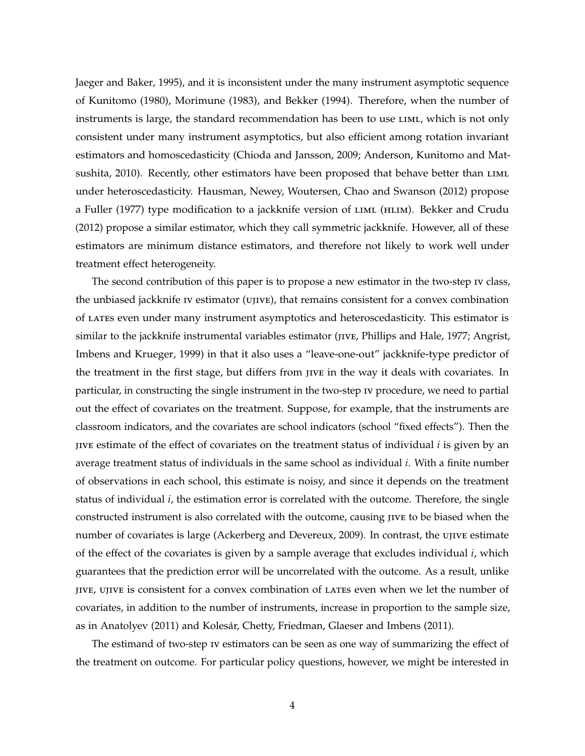<span id="page-3-0"></span>[Jaeger and Baker,](#page-42-2) [1995\)](#page-42-2), and it is inconsistent under the many instrument asymptotic sequence of [Kunitomo](#page-44-2) [\(1980\)](#page-44-2), [Morimune](#page-44-3) [\(1983\)](#page-44-3), and [Bekker](#page-42-3) [\(1994\)](#page-42-3). Therefore, when the number of instruments is large, the standard recommendation has been to use LIML, which is not only consistent under many instrument asymptotics, but also efficient among rotation invariant estimators and homoscedasticity [\(Chioda and Jansson,](#page-43-3) [2009;](#page-43-3) [Anderson, Kunitomo and Mat](#page-42-4)[sushita,](#page-42-4) [2010\)](#page-42-4). Recently, other estimators have been proposed that behave better than LIML under heteroscedasticity. [Hausman, Newey, Woutersen, Chao and Swanson](#page-43-4) [\(2012\)](#page-43-4) propose a [Fuller](#page-43-5) [\(1977\)](#page-43-5) type modification to a jackknife version of LIML (HLIM). [Bekker and Crudu](#page-42-5) [\(2012\)](#page-42-5) propose a similar estimator, which they call symmetric jackknife. However, all of these estimators are minimum distance estimators, and therefore not likely to work well under treatment effect heterogeneity.

The second contribution of this paper is to propose a new estimator in the two-step iv class, the unbiased jackknife iv estimator (ujive), that remains consistent for a convex combination of lates even under many instrument asymptotics and heteroscedasticity. This estimator is similar to the jackknife instrumental variables estimator (jive, [Phillips and Hale,](#page-44-4) [1977;](#page-44-4) [Angrist,](#page-42-6) [Imbens and Krueger,](#page-42-6) [1999\)](#page-42-6) in that it also uses a "leave-one-out" jackknife-type predictor of the treatment in the first stage, but differs from jive in the way it deals with covariates. In particular, in constructing the single instrument in the two-step iv procedure, we need to partial out the effect of covariates on the treatment. Suppose, for example, that the instruments are classroom indicators, and the covariates are school indicators (school "fixed effects"). Then the jive estimate of the effect of covariates on the treatment status of individual *i* is given by an average treatment status of individuals in the same school as individual *i*. With a finite number of observations in each school, this estimate is noisy, and since it depends on the treatment status of individual *i*, the estimation error is correlated with the outcome. Therefore, the single constructed instrument is also correlated with the outcome, causing jive to be biased when the number of covariates is large [\(Ackerberg and Devereux,](#page-42-7) [2009\)](#page-42-7). In contrast, the ujive estimate of the effect of the covariates is given by a sample average that excludes individual *i*, which guarantees that the prediction error will be uncorrelated with the outcome. As a result, unlike jive, ujive is consistent for a convex combination of lates even when we let the number of covariates, in addition to the number of instruments, increase in proportion to the sample size, as in [Anatolyev](#page-42-8) [\(2011\)](#page-42-8) and [Kolesár, Chetty, Friedman, Glaeser and Imbens](#page-44-5) [\(2011\)](#page-44-5).

The estimand of two-step iv estimators can be seen as one way of summarizing the effect of the treatment on outcome. For particular policy questions, however, we might be interested in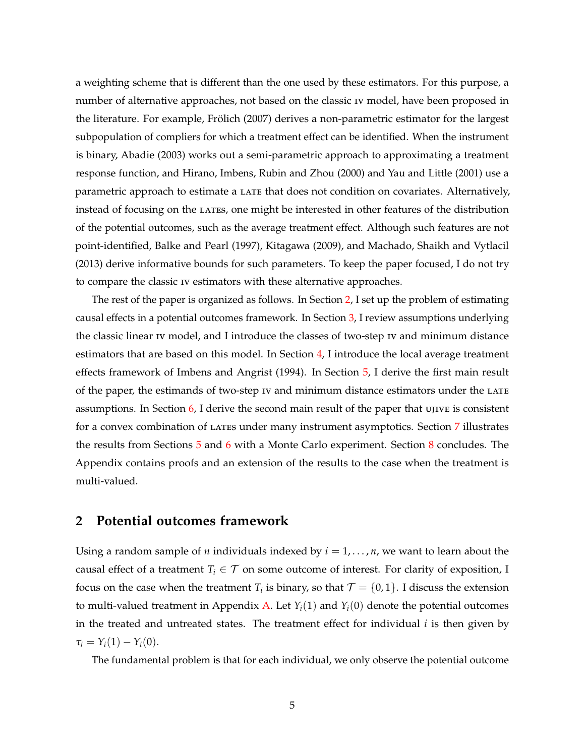<span id="page-4-1"></span>a weighting scheme that is different than the one used by these estimators. For this purpose, a number of alternative approaches, not based on the classic iv model, have been proposed in the literature. For example, [Frölich](#page-43-6) [\(2007\)](#page-43-6) derives a non-parametric estimator for the largest subpopulation of compliers for which a treatment effect can be identified. When the instrument is binary, [Abadie](#page-42-9) [\(2003\)](#page-42-9) works out a semi-parametric approach to approximating a treatment response function, and [Hirano, Imbens, Rubin and Zhou](#page-43-7) [\(2000\)](#page-43-7) and [Yau and Little](#page-44-6) [\(2001\)](#page-44-6) use a parametric approach to estimate a late that does not condition on covariates. Alternatively, instead of focusing on the LATES, one might be interested in other features of the distribution of the potential outcomes, such as the average treatment effect. Although such features are not point-identified, [Balke and Pearl](#page-42-10) [\(1997\)](#page-42-10), [Kitagawa](#page-44-7) [\(2009\)](#page-44-7), and [Machado, Shaikh and Vytlacil](#page-44-8) [\(2013\)](#page-44-8) derive informative bounds for such parameters. To keep the paper focused, I do not try to compare the classic iv estimators with these alternative approaches.

The rest of the paper is organized as follows. In Section [2,](#page-4-0) I set up the problem of estimating causal effects in a potential outcomes framework. In Section [3,](#page-7-0) I review assumptions underlying the classic linear iv model, and I introduce the classes of two-step iv and minimum distance estimators that are based on this model. In Section [4,](#page-14-0) I introduce the local average treatment effects framework of [Imbens and Angrist](#page-43-0) [\(1994\)](#page-43-0). In Section [5,](#page-16-0) I derive the first main result of the paper, the estimands of two-step iv and minimum distance estimators under the LATE assumptions. In Section [6,](#page-22-0) I derive the second main result of the paper that ujive is consistent for a convex combination of lates under many instrument asymptotics. Section [7](#page-28-0) illustrates the results from Sections [5](#page-16-0) and [6](#page-22-0) with a Monte Carlo experiment. Section [8](#page-32-0) concludes. The Appendix contains proofs and an extension of the results to the case when the treatment is multi-valued.

### <span id="page-4-0"></span>**2 Potential outcomes framework**

Using a random sample of *n* individuals indexed by  $i = 1, \ldots, n$ , we want to learn about the causal effect of a treatment  $T_i \in \mathcal{T}$  on some outcome of interest. For clarity of exposition, I focus on the case when the treatment  $T_i$  is binary, so that  $\mathcal{T} = \{0,1\}$ . I discuss the extension to multi-valued treatment in Appendix [A.](#page-33-0) Let  $Y_i(1)$  and  $Y_i(0)$  denote the potential outcomes in the treated and untreated states. The treatment effect for individual *i* is then given by  $\tau_i = Y_i(1) - Y_i(0).$ 

The fundamental problem is that for each individual, we only observe the potential outcome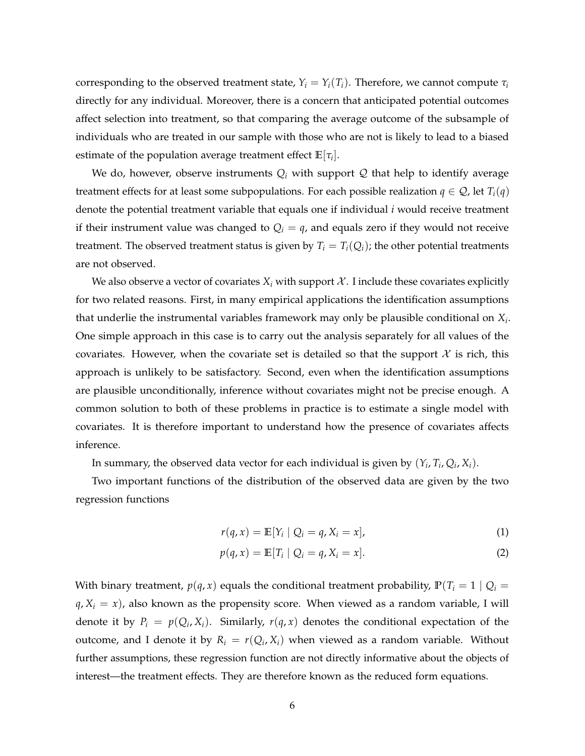corresponding to the observed treatment state,  $Y_i = Y_i(T_i)$ . Therefore, we cannot compute  $\tau_i$ directly for any individual. Moreover, there is a concern that anticipated potential outcomes affect selection into treatment, so that comparing the average outcome of the subsample of individuals who are treated in our sample with those who are not is likely to lead to a biased estimate of the population average treatment effect  $\mathbb{E}[\tau_i].$ 

We do, however, observe instruments  $Q_i$  with support  $Q$  that help to identify average treatment effects for at least some subpopulations. For each possible realization  $q \in \mathcal{Q}$ , let  $T_i(q)$ denote the potential treatment variable that equals one if individual *i* would receive treatment if their instrument value was changed to  $Q_i = q$ , and equals zero if they would not receive treatment. The observed treatment status is given by  $T_i = T_i(Q_i)$ ; the other potential treatments are not observed.

We also observe a vector of covariates  $X_i$  with support  $\mathcal X$ . I include these covariates explicitly for two related reasons. First, in many empirical applications the identification assumptions that underlie the instrumental variables framework may only be plausible conditional on *X<sup>i</sup>* . One simple approach in this case is to carry out the analysis separately for all values of the covariates. However, when the covariate set is detailed so that the support  $\mathcal X$  is rich, this approach is unlikely to be satisfactory. Second, even when the identification assumptions are plausible unconditionally, inference without covariates might not be precise enough. A common solution to both of these problems in practice is to estimate a single model with covariates. It is therefore important to understand how the presence of covariates affects inference.

In summary, the observed data vector for each individual is given by  $(Y_i, T_i, Q_i, X_i)$ .

Two important functions of the distribution of the observed data are given by the two regression functions

<span id="page-5-1"></span><span id="page-5-0"></span>
$$
r(q, x) = \mathbb{E}[Y_i \mid Q_i = q, X_i = x], \tag{1}
$$

$$
p(q, x) = \mathbb{E}[T_i | Q_i = q, X_i = x].
$$
 (2)

With binary treatment,  $p(q, x)$  equals the conditional treatment probability,  $P(T_i = 1 | Q_i =$  $q$ ,  $X_i = x$ ), also known as the propensity score. When viewed as a random variable, I will denote it by  $P_i = p(Q_i, X_i)$ . Similarly,  $r(q, x)$  denotes the conditional expectation of the outcome, and I denote it by  $R_i = r(Q_i, X_i)$  when viewed as a random variable. Without further assumptions, these regression function are not directly informative about the objects of interest—the treatment effects. They are therefore known as the reduced form equations.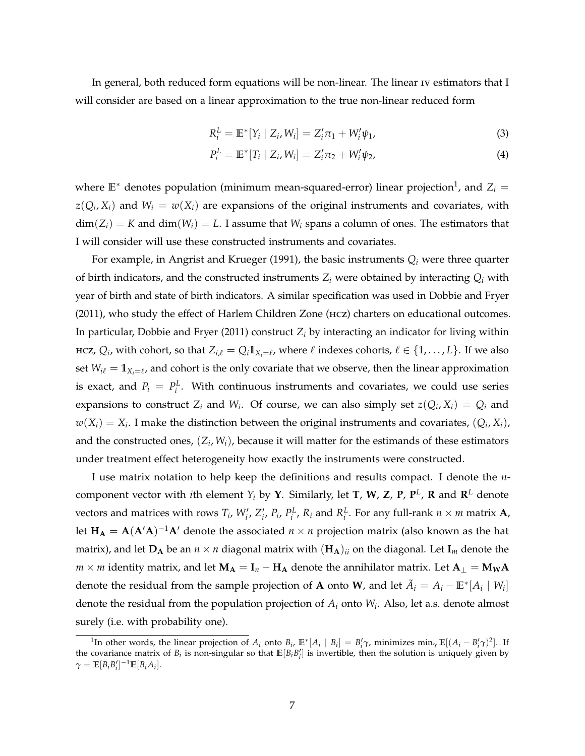<span id="page-6-2"></span>In general, both reduced form equations will be non-linear. The linear iv estimators that I will consider are based on a linear approximation to the true non-linear reduced form

<span id="page-6-1"></span><span id="page-6-0"></span>
$$
R_i^L = \mathbb{E}^*[Y_i \mid Z_i, W_i] = Z_i' \pi_1 + W_i' \psi_1, \tag{3}
$$

$$
P_i^L = \mathbb{E}^*[T_i \mid Z_i, W_i] = Z_i^{\prime} \pi_2 + W_i^{\prime} \psi_2, \tag{4}
$$

where  $\mathbb{E}^*$  denotes population (minimum mean-squared-error) linear projection<sup>1</sup>, and  $Z_i =$  $z(Q_i, X_i)$  and  $W_i = w(X_i)$  are expansions of the original instruments and covariates, with  $dim(Z_i) = K$  and  $dim(W_i) = L$ . I assume that  $W_i$  spans a column of ones. The estimators that I will consider will use these constructed instruments and covariates.

For example, in [Angrist and Krueger](#page-42-11) [\(1991\)](#page-42-11), the basic instruments *Q<sup>i</sup>* were three quarter of birth indicators, and the constructed instruments *Z<sup>i</sup>* were obtained by interacting *Q<sup>i</sup>* with year of birth and state of birth indicators. A similar specification was used in [Dobbie and Fryer](#page-43-8) [\(2011\)](#page-43-8), who study the effect of Harlem Children Zone (hcz) charters on educational outcomes. In particular, [Dobbie and Fryer](#page-43-8) [\(2011\)](#page-43-8) construct *Z<sup>i</sup>* by interacting an indicator for living within HCZ,  $Q_i$ , with cohort, so that  $Z_{i,\ell} = Q_i \mathbb{1}_{X_i=\ell}$ , where  $\ell$  indexes cohorts,  $\ell \in \{1,\ldots,L\}$ . If we also set  $W_{i\ell} = \mathbb{1}_{X_i = \ell}$ , and cohort is the only covariate that we observe, then the linear approximation is exact, and  $P_i = P_i^L$ . With continuous instruments and covariates, we could use series expansions to construct  $Z_i$  and  $W_i$ . Of course, we can also simply set  $z(Q_i, X_i) = Q_i$  and  $w(X_i) = X_i$ . I make the distinction between the original instruments and covariates,  $(Q_i, X_i)$ , and the constructed ones,  $(Z_i, W_i)$ , because it will matter for the estimands of these estimators under treatment effect heterogeneity how exactly the instruments were constructed.

I use matrix notation to help keep the definitions and results compact. I denote the *n*component vector with *i*th element  $Y_i$  by  $Y$ . Similarly, let **T**,  $W$ ,  $Z$ ,  $P$ ,  $P^L$ ,  $R$  and  $R^L$  denote vectors and matrices with rows  $T_i$ ,  $W'_i$ ,  $Z'_i$ ,  $P_i$ ,  $P_i^L$ ,  $R_i$  and  $R_i^L$ . For any full-rank  $n \times m$  matrix  $A$ , let  $\mathbf{H}_\mathbf{A} = \mathbf{A} (\mathbf{A}'\mathbf{A})^{-1}\mathbf{A}'$  denote the associated  $n \times n$  projection matrix (also known as the hat matrix), and let  $D_A$  be an  $n \times n$  diagonal matrix with  $(H_A)_{ii}$  on the diagonal. Let  $I_m$  denote the  $m \times m$  identity matrix, and let  $M_A = I_n - H_A$  denote the annihilator matrix. Let  $A_\perp = M_W A$ denote the residual from the sample projection of **A** onto **W**, and let  $\tilde{A}_i = A_i - \mathbb{E}^* [A_i \mid W_i]$ denote the residual from the population projection of *A<sup>i</sup>* onto *W<sup>i</sup>* . Also, let a.s. denote almost surely (i.e. with probability one).

<sup>&</sup>lt;sup>1</sup>In other words, the linear projection of  $A_i$  onto  $B_i$ ,  $\mathbb{E}^*[A_i \mid B_i] = B'_i \gamma$ , minimizes  $\min_{\gamma} \mathbb{E}[(A_i - B'_i \gamma)^2]$ . If the covariance matrix of  $B_i$  is non-singular so that  $\mathbb{E}[B_i B_i']$  is invertible, then the solution is uniquely given by  $\gamma = \mathbb{E}[B_i B'_i]^{-1} \mathbb{E}[B_i A_i].$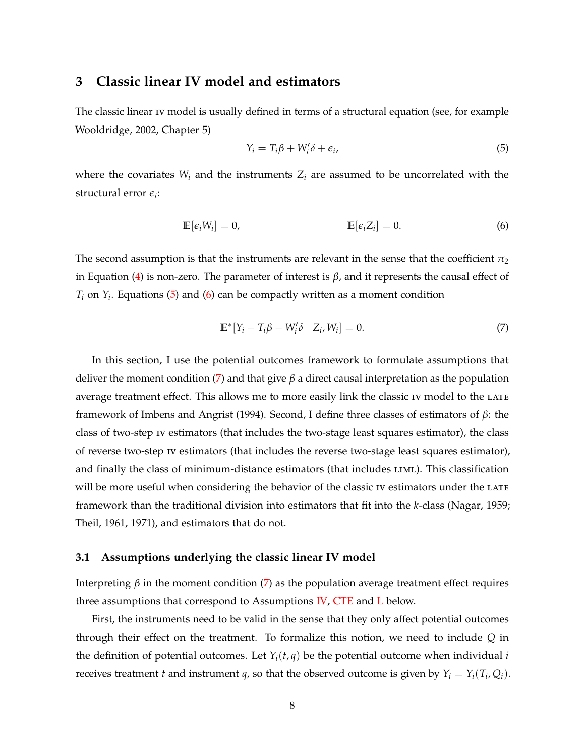### <span id="page-7-4"></span><span id="page-7-0"></span>**3 Classic linear IV model and estimators**

The classic linear iv model is usually defined in terms of a structural equation (see, for example [Wooldridge,](#page-44-9) [2002,](#page-44-9) Chapter 5)

<span id="page-7-2"></span><span id="page-7-1"></span>
$$
Y_i = T_i \beta + W'_i \delta + \epsilon_i,
$$
\n<sup>(5)</sup>

where the covariates  $W_i$  and the instruments  $Z_i$  are assumed to be uncorrelated with the structural error *e<sup>i</sup>* :

$$
\mathbb{E}[\epsilon_i W_i] = 0, \qquad \qquad \mathbb{E}[\epsilon_i Z_i] = 0. \tag{6}
$$

The second assumption is that the instruments are relevant in the sense that the coefficient  $\pi_2$ in Equation [\(4\)](#page-6-0) is non-zero. The parameter of interest is  $β$ , and it represents the causal effect of  $T_i$  on  $Y_i$ . Equations [\(5\)](#page-7-1) and [\(6\)](#page-7-2) can be compactly written as a moment condition

<span id="page-7-3"></span>
$$
\mathbb{E}^*[Y_i - T_i \beta - W_i' \delta \mid Z_i, W_i] = 0. \tag{7}
$$

In this section, I use the potential outcomes framework to formulate assumptions that deliver the moment condition [\(7\)](#page-7-3) and that give *β* a direct causal interpretation as the population average treatment effect. This allows me to more easily link the classic IV model to the LATE framework of [Imbens and Angrist](#page-43-0) [\(1994\)](#page-43-0). Second, I define three classes of estimators of *β*: the class of two-step iv estimators (that includes the two-stage least squares estimator), the class of reverse two-step iv estimators (that includes the reverse two-stage least squares estimator), and finally the class of minimum-distance estimators (that includes LIML). This classification will be more useful when considering the behavior of the classic IV estimators under the LATE framework than the traditional division into estimators that fit into the *k*-class [\(Nagar,](#page-44-10) [1959;](#page-44-10) [Theil,](#page-44-11) [1961,](#page-44-11) [1971\)](#page-44-12), and estimators that do not.

#### **3.1 Assumptions underlying the classic linear IV model**

Interpreting *β* in the moment condition [\(7\)](#page-7-3) as the population average treatment effect requires three assumptions that correspond to Assumptions [IV,](#page-8-0) [CTE](#page-8-1) and [L](#page-9-0) below.

First, the instruments need to be valid in the sense that they only affect potential outcomes through their effect on the treatment. To formalize this notion, we need to include *Q* in the definition of potential outcomes. Let  $Y_i(t, q)$  be the potential outcome when individual *i* receives treatment *t* and instrument *q*, so that the observed outcome is given by  $Y_i = Y_i(T_i, Q_i)$ .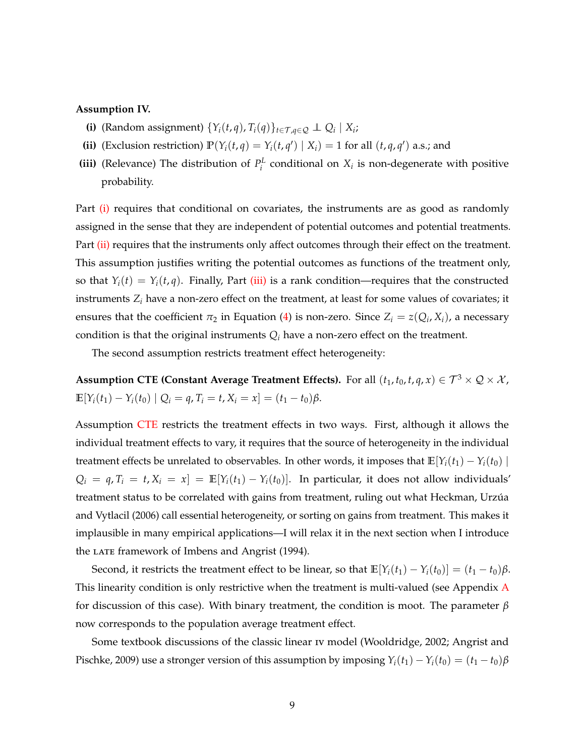#### <span id="page-8-5"></span><span id="page-8-2"></span><span id="page-8-0"></span>**Assumption IV.**

- **(i)** (Random assignment)  $\{Y_i(t,q), T_i(q)\}_{t \in \mathcal{T}, q \in \mathcal{Q}} \perp \mathcal{Q}_i \mid X_i;$
- <span id="page-8-3"></span>(ii) (Exclusion restriction)  $\mathbb{P}(Y_i(t,q) = Y_i(t,q') | X_i) = 1$  for all  $(t, q, q')$  a.s.; and
- <span id="page-8-4"></span>**(iii)** (Relevance) The distribution of  $P_i^L$  conditional on  $X_i$  is non-degenerate with positive probability.

Part [\(i\)](#page-8-2) requires that conditional on covariates, the instruments are as good as randomly assigned in the sense that they are independent of potential outcomes and potential treatments. Part [\(ii\)](#page-8-3) requires that the instruments only affect outcomes through their effect on the treatment. This assumption justifies writing the potential outcomes as functions of the treatment only, so that  $Y_i(t) = Y_i(t, q)$ . Finally, Part [\(iii\)](#page-8-4) is a rank condition—requires that the constructed instruments *Z<sup>i</sup>* have a non-zero effect on the treatment, at least for some values of covariates; it ensures that the coefficient  $\pi_2$  in Equation [\(4\)](#page-6-0) is non-zero. Since  $Z_i = z(Q_i, X_i)$ , a necessary condition is that the original instruments  $Q_i$  have a non-zero effect on the treatment.

<span id="page-8-1"></span>The second assumption restricts treatment effect heterogeneity:

**Assumption CTE (Constant Average Treatment Effects).** For all  $(t_1, t_0, t, q, x) \in \mathcal{T}^3 \times \mathcal{Q} \times \mathcal{X}$ ,  $\mathbb{E}[Y_i(t_1) - Y_i(t_0) | Q_i = q, T_i = t, X_i = x] = (t_1 - t_0)\beta.$ 

Assumption [CTE](#page-8-1) restricts the treatment effects in two ways. First, although it allows the individual treatment effects to vary, it requires that the source of heterogeneity in the individual treatment effects be unrelated to observables. In other words, it imposes that  $\mathbb{E}[Y_i(t_1) - Y_i(t_0)]$  $Q_i = q$ ,  $T_i = t$ ,  $X_i = x$ ] =  $\mathbb{E}[Y_i(t_1) - Y_i(t_0)]$ . In particular, it does not allow individuals' treatment status to be correlated with gains from treatment, ruling out what [Heckman, Urzúa](#page-43-9) [and Vytlacil](#page-43-9) [\(2006\)](#page-43-9) call essential heterogeneity, or sorting on gains from treatment. This makes it implausible in many empirical applications—I will relax it in the next section when I introduce the LATE framework of [Imbens and Angrist](#page-43-0) [\(1994\)](#page-43-0).

Second, it restricts the treatment effect to be linear, so that  $\mathbb{E}[Y_i(t_1) - Y_i(t_0)] = (t_1 - t_0)\beta$ . This linearity condition is only restrictive when the treatment is multi-valued (see [A](#page-33-0)ppendix A for discussion of this case). With binary treatment, the condition is moot. The parameter *β* now corresponds to the population average treatment effect.

Some textbook discussions of the classic linear iv model [\(Wooldridge,](#page-44-9) [2002;](#page-44-9) [Angrist and](#page-42-12) [Pischke,](#page-42-12) [2009\)](#page-42-12) use a stronger version of this assumption by imposing  $Y_i(t_1) - Y_i(t_0) = (t_1 - t_0)\beta$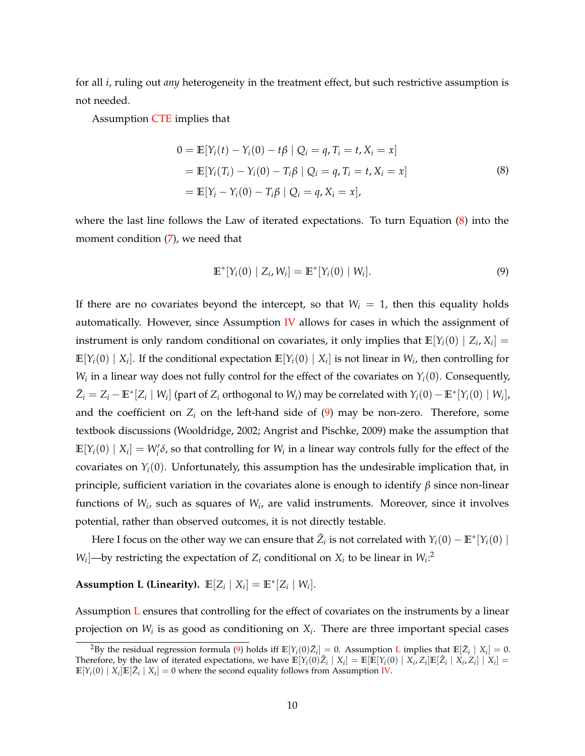<span id="page-9-3"></span>for all *i*, ruling out *any* heterogeneity in the treatment effect, but such restrictive assumption is not needed.

Assumption [CTE](#page-8-1) implies that

<span id="page-9-1"></span>
$$
0 = \mathbb{E}[Y_i(t) - Y_i(0) - t\beta | Q_i = q, T_i = t, X_i = x]
$$
  
=  $\mathbb{E}[Y_i(T_i) - Y_i(0) - T_i\beta | Q_i = q, T_i = t, X_i = x]$   
=  $\mathbb{E}[Y_i - Y_i(0) - T_i\beta | Q_i = q, X_i = x],$  (8)

where the last line follows the Law of iterated expectations. To turn Equation [\(8\)](#page-9-1) into the moment condition [\(7\)](#page-7-3), we need that

<span id="page-9-2"></span><span id="page-9-0"></span>
$$
\mathbb{E}^*[Y_i(0) | Z_i, W_i] = \mathbb{E}^*[Y_i(0) | W_i].
$$
\n(9)

If there are no covariates beyond the intercept, so that  $W_i = 1$ , then this equality holds automatically. However, since Assumption  $\overline{IV}$  $\overline{IV}$  $\overline{IV}$  allows for cases in which the assignment of instrument is only random conditional on covariates, it only implies that  $\mathbb{E}[Y_i(0) | Z_i, X_i] =$  $\mathbb{E}[Y_i(0) \mid X_i]$ . If the conditional expectation  $\mathbb{E}[Y_i(0) \mid X_i]$  is not linear in  $W_i$ , then controlling for  $W_i$  in a linear way does not fully control for the effect of the covariates on  $Y_i(0)$ . Consequently,  $\tilde{Z}_i = Z_i - \mathbb{E}^*[Z_i \mid W_i]$  (part of  $Z_i$  orthogonal to  $W_i$ ) may be correlated with  $Y_i(0) - \mathbb{E}^*[Y_i(0) \mid W_i]$ , and the coefficient on  $Z_i$  on the left-hand side of  $(9)$  may be non-zero. Therefore, some textbook discussions [\(Wooldridge,](#page-44-9) [2002;](#page-44-9) [Angrist and Pischke,](#page-42-12) [2009\)](#page-42-12) make the assumption that  $\mathbb{E}[Y_i(0) | X_i] = W'_i \delta$ , so that controlling for  $W_i$  in a linear way controls fully for the effect of the covariates on  $Y_i(0)$ . Unfortunately, this assumption has the undesirable implication that, in principle, sufficient variation in the covariates alone is enough to identify *β* since non-linear functions of *W<sup>i</sup>* , such as squares of *W<sup>i</sup>* , are valid instruments. Moreover, since it involves potential, rather than observed outcomes, it is not directly testable.

Here I focus on the other way we can ensure that  $\tilde{Z}_i$  is not correlated with  $Y_i(0) - \mathbb{E}^* [Y_i(0)]$ *W*<sub>*i*</sub></sub> $\rightarrow$  *W*<sub>*i*</sub> estricting the expectation of *Z*<sup>*i*</sup> conditional on *X*<sup>*i*</sup> to be linear in *W*<sup>*i*</sup><sup>2</sup>

Assumption L (Linearity).  $\mathbb{E}[Z_i | X_i] = \mathbb{E}^*[Z_i | W_i].$ 

Assumption [L](#page-9-0) ensures that controlling for the effect of covariates on the instruments by a linear projection on  $W_i$  is as good as conditioning on  $X_i$ . There are three important special cases

<sup>&</sup>lt;sup>2</sup>By the residual regression formula [\(9\)](#page-9-2) holds iff  $\mathbb{E}[Y_i(0)\tilde{Z}_i] = 0$ . Assumption **[L](#page-9-0)** implies that  $\mathbb{E}[\tilde{Z}_i | X_i] = 0$ . Therefore, by the law of iterated expectations, we have  $\mathbb{E}[Y_i(0)\tilde{Z}_i | X_i] = \mathbb{E}[\mathbb{E}[Y_i(0) | X_i, Z_i]\mathbb{E}[\tilde{Z}_i | X_i, Z_i] | X_i] =$  $\mathbb{E}[Y_i(0) | X_i] \mathbb{E}[\tilde{Z}_i | X_i] = 0$  where the second equality follows from Assumption [IV.](#page-8-0)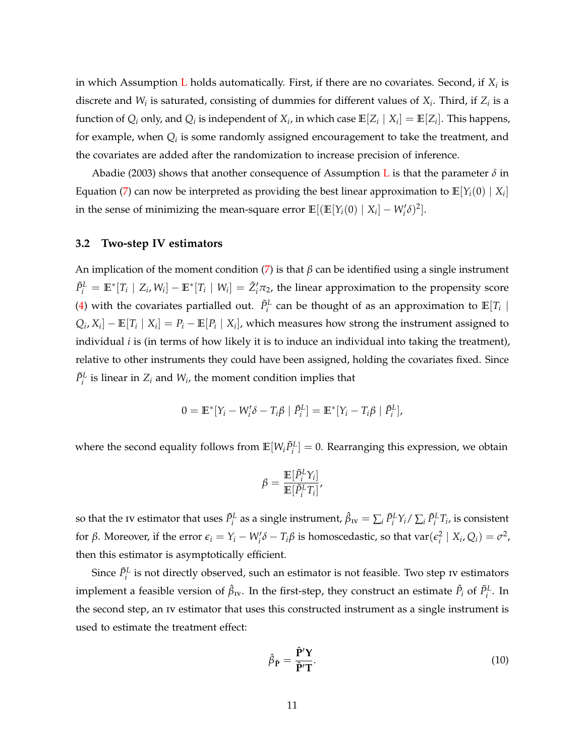<span id="page-10-1"></span>in which Assumption  $\tt L$  $\tt L$  holds automatically. First, if there are no covariates. Second, if  $X_i$  is discrete and  $W_i$  is saturated, consisting of dummies for different values of  $X_i$ . Third, if  $Z_i$  is a function of  $Q_i$  only, and  $Q_i$  is independent of  $X_i$ , in which case  $\mathbb{E}[Z_i \mid X_i] = \mathbb{E}[Z_i]$ . This happens, for example, when  $Q_i$  is some randomly assigned encouragement to take the treatment, and the covariates are added after the randomization to increase precision of inference.

[Abadie](#page-42-9) [\(2003\)](#page-42-9) shows that another consequence of Assumption [L](#page-9-0) is that the parameter  $\delta$  in Equation [\(7\)](#page-7-3) can now be interpreted as providing the best linear approximation to  $\mathbb{E}[Y_i(0) \mid X_i]$ in the sense of minimizing the mean-square error  $\mathbb{E}[(\mathbb{E}[Y_i(0) | X_i] - W'_i \delta)^2]$ .

#### **3.2 Two-step IV estimators**

An implication of the moment condition [\(7\)](#page-7-3) is that *β* can be identified using a single instrument  $\tilde{P}_i^L = \mathbb{E}^*[T_i \mid Z_i, W_i] - \mathbb{E}^*[T_i \mid W_i] = \tilde{Z}_i'\pi_2$ , the linear approximation to the propensity score [\(4\)](#page-6-0) with the covariates partialled out.  $\tilde{P}^L_i$  can be thought of as an approximation to  $\mathbb{E}[T_i \mid$  $Q_i$ ,  $X_i$ ] –  $\mathbb{E}[T_i \mid X_i] = P_i - \mathbb{E}[P_i \mid X_i]$ , which measures how strong the instrument assigned to individual *i* is (in terms of how likely it is to induce an individual into taking the treatment), relative to other instruments they could have been assigned, holding the covariates fixed. Since  $\tilde{P}^L_i$  is linear in  $Z_i$  and  $W_i$ , the moment condition implies that

$$
0 = \mathbb{E}^*[Y_i - W'_i \delta - T_i \beta \mid \tilde{P}_i^L] = \mathbb{E}^*[Y_i - T_i \beta \mid \tilde{P}_i^L],
$$

where the second equality follows from  $\mathbb{E}[W_i \tilde{P}_i^L] = 0$ . Rearranging this expression, we obtain

$$
\beta = \frac{\mathbb{E}[\tilde{P}_i^L Y_i]}{\mathbb{E}[\tilde{P}_i^L T_i]},
$$

so that the 1v estimator that uses  $\tilde P_i^L$  as a single instrument,  $\hat \beta_{\rm IV}=\sum_i \tilde P_i^L Y_i/\sum_i \tilde P_i^L T_i$ , is consistent for  $\beta$ . Moreover, if the error  $\epsilon_i = Y_i - W'_i \delta - T_i \beta$  is homoscedastic, so that  $var(\epsilon_i^2 \mid X_i, Q_i) = \sigma^2$ , then this estimator is asymptotically efficient.

Since  $\tilde{P}^L_i$  is not directly observed, such an estimator is not feasible. Two step iv estimators implement a feasible version of  $\hat{\beta}_{\text{IV}}$ . In the first-step, they construct an estimate  $\hat{P}_i$  of  $\tilde{P}_i^L$ . In the second step, an iv estimator that uses this constructed instrument as a single instrument is used to estimate the treatment effect:

<span id="page-10-0"></span>
$$
\hat{\beta}_{\hat{\mathbf{P}}} = \frac{\hat{\mathbf{P}}' \mathbf{Y}}{\hat{\mathbf{P}}' \mathbf{T}}.
$$
\n(10)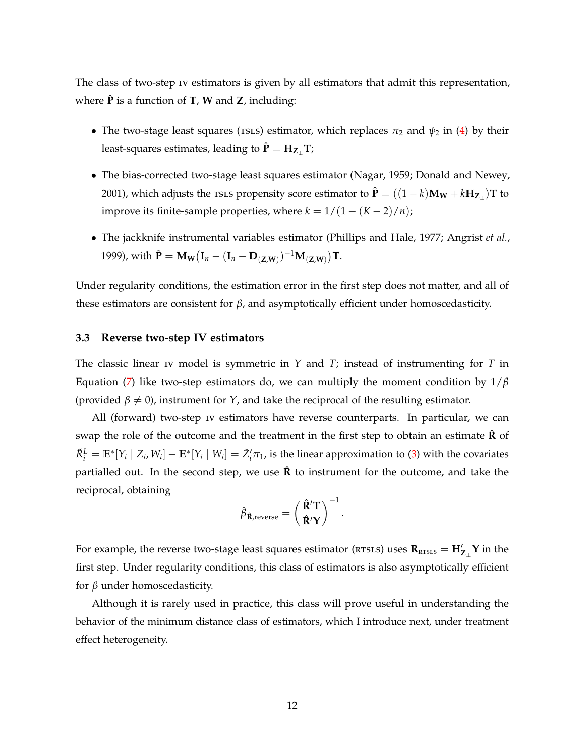<span id="page-11-0"></span>The class of two-step iv estimators is given by all estimators that admit this representation, where  $\hat{P}$  is a function of **T**, **W** and **Z**, including:

- The two-stage least squares (rsLs) estimator, which replaces  $\pi_2$  and  $\psi_2$  in [\(4\)](#page-6-0) by their least-squares estimates, leading to  $\hat{P} = H_{Z}$  T;
- The bias-corrected two-stage least squares estimator [\(Nagar,](#page-44-10) [1959;](#page-44-10) [Donald and Newey,](#page-43-10) [2001\)](#page-43-10), which adjusts the  $\texttt{TSLS}$  propensity score estimator to  $\mathbf{\hat{P}} = ((1-k)\mathbf{M_W}+k\mathbf{H_{Z_\perp}})\mathbf{T}$  to improve its finite-sample properties, where  $k = 1/(1 - (K - 2)/n)$ ;
- The jackknife instrumental variables estimator [\(Phillips and Hale,](#page-44-4) [1977;](#page-44-4) [Angrist](#page-42-6) *et al.*, [1999\)](#page-42-6), with  $\hat{\mathbf{P}} = \mathbf{M_W} (\mathbf{I}_n - (\mathbf{I}_n - \mathbf{D}_{(\mathbf{Z}, \mathbf{W})})^{-1} \mathbf{M}_{(\mathbf{Z}, \mathbf{W})}) \mathbf{T}.$

Under regularity conditions, the estimation error in the first step does not matter, and all of these estimators are consistent for *β*, and asymptotically efficient under homoscedasticity.

#### **3.3 Reverse two-step IV estimators**

The classic linear iv model is symmetric in *Y* and *T*; instead of instrumenting for *T* in Equation [\(7\)](#page-7-3) like two-step estimators do, we can multiply the moment condition by 1/*β* (provided  $\beta \neq 0$ ), instrument for *Y*, and take the reciprocal of the resulting estimator.

All (forward) two-step iv estimators have reverse counterparts. In particular, we can swap the role of the outcome and the treatment in the first step to obtain an estimate  $\hat{\mathbf{R}}$  of  $\tilde{R}_i^L = \mathbb{E}^*[Y_i \mid Z_i, W_i] - \mathbb{E}^*[Y_i \mid W_i] = \tilde{Z}_i' \pi_1$ , is the linear approximation to [\(3\)](#page-6-1) with the covariates partialled out. In the second step, we use  $\hat{R}$  to instrument for the outcome, and take the reciprocal, obtaining

$$
\hat{\beta}_{\hat{\boldsymbol{R}}, \text{reverse}} = \left(\frac{\hat{\boldsymbol{R}}'\boldsymbol{T}}{\hat{\boldsymbol{R}}'\boldsymbol{Y}}\right)^{-1}.
$$

For example, the reverse two-stage least squares estimator ( $RTSLS$ ) uses  $R_{RTSLS} = H'_{Z_{\perp}} Y$  in the first step. Under regularity conditions, this class of estimators is also asymptotically efficient for *β* under homoscedasticity.

Although it is rarely used in practice, this class will prove useful in understanding the behavior of the minimum distance class of estimators, which I introduce next, under treatment effect heterogeneity.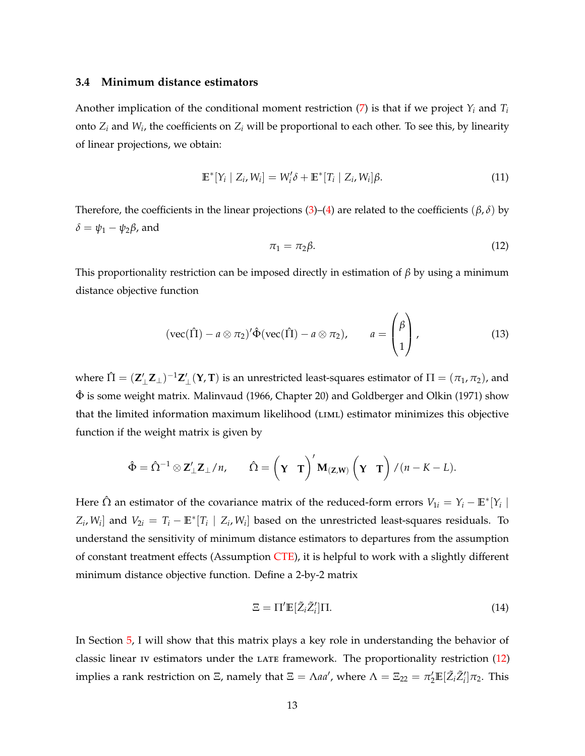#### <span id="page-12-3"></span>**3.4 Minimum distance estimators**

Another implication of the conditional moment restriction [\(7\)](#page-7-3) is that if we project *Y<sup>i</sup>* and *T<sup>i</sup>* onto *Z<sup>i</sup>* and *W<sup>i</sup>* , the coefficients on *Z<sup>i</sup>* will be proportional to each other. To see this, by linearity of linear projections, we obtain:

<span id="page-12-0"></span>
$$
\mathbb{E}^*[Y_i \mid Z_i, W_i] = W_i' \delta + \mathbb{E}^*[T_i \mid Z_i, W_i] \beta.
$$
 (11)

Therefore, the coefficients in the linear projections [\(3\)](#page-6-1)–[\(4\)](#page-6-0) are related to the coefficients ( $\beta$ ,  $\delta$ ) by  $δ = ψ<sub>1</sub> - ψ<sub>2</sub>β$ , and

$$
\pi_1 = \pi_2 \beta. \tag{12}
$$

 $\sqrt{2}$ 

This proportionality restriction can be imposed directly in estimation of *β* by using a minimum distance objective function

<span id="page-12-1"></span>
$$
(\text{vec}(\hat{\Pi}) - a \otimes \pi_2)' \hat{\Phi}(\text{vec}(\hat{\Pi}) - a \otimes \pi_2), \qquad a = \begin{pmatrix} \beta \\ 1 \end{pmatrix}, \qquad (13)
$$

where  $\hat{\Pi}=(\mathbf{Z}'_\perp\mathbf{Z}_\perp)^{-1}\mathbf{Z}'_\perp(\mathbf{Y},\mathbf{T})$  is an unrestricted least-squares estimator of  $\Pi=(\pi_1,\pi_2)$ , and  $\hat{\Phi}$  is some weight matrix. [Malinvaud](#page-44-0) [\(1966,](#page-44-0) Chapter 20) and [Goldberger and Olkin](#page-43-2) [\(1971\)](#page-43-2) show that the limited information maximum likelihood (LIML) estimator minimizes this objective function if the weight matrix is given by

$$
\hat{\Phi} = \hat{\Omega}^{-1} \otimes \mathbf{Z}'_{\perp} \mathbf{Z}_{\perp}/n, \qquad \hat{\Omega} = \left(\mathbf{\Upsilon} \mathbf{T}\right)' \mathbf{M}_{(\mathbf{Z}, \mathbf{W})} \left(\mathbf{\Upsilon} \mathbf{T}\right) / (n - K - L).
$$

Here  $\hat{\Omega}$  an estimator of the covariance matrix of the reduced-form errors  $V_{1i} = Y_i - \mathbb{E}^* [Y_i \mid$  $Z_i$ ,  $W_i$  and  $V_{2i} = T_i - \mathbb{E}^*[T_i \mid Z_i, W_i]$  based on the unrestricted least-squares residuals. To understand the sensitivity of minimum distance estimators to departures from the assumption of constant treatment effects (Assumption [CTE\)](#page-8-1), it is helpful to work with a slightly different minimum distance objective function. Define a 2-by-2 matrix

<span id="page-12-2"></span>
$$
\Xi = \Pi' \mathbb{E} \left[ \tilde{Z}_i \tilde{Z}'_i \right] \Pi. \tag{14}
$$

In Section [5,](#page-16-0) I will show that this matrix plays a key role in understanding the behavior of classic linear iv estimators under the LATE framework. The proportionality restriction [\(12\)](#page-12-0) implies a rank restriction on Ξ, namely that  $\Xi = \Lambda a a'$ , where  $\Lambda = \Xi_{22} = \pi'_2 \mathbb{E} [\tilde{Z}_i \tilde{Z}'_i] \pi_2$ . This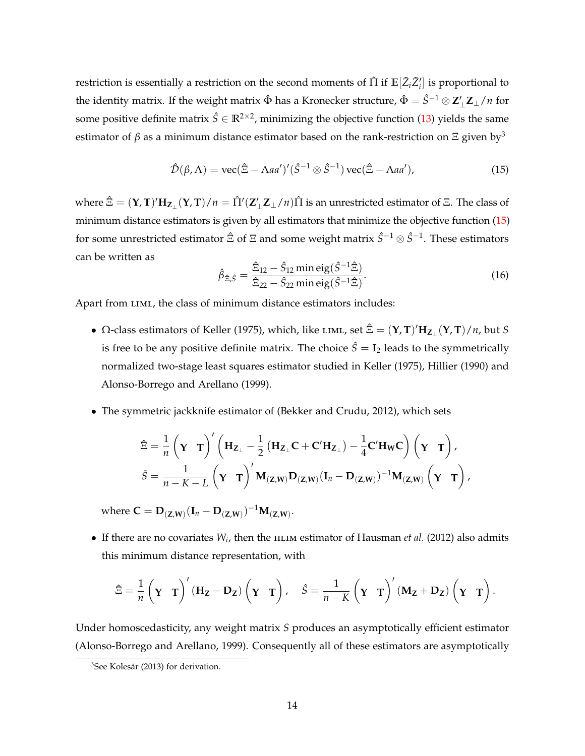<span id="page-13-2"></span>restriction is essentially a restriction on the second moments of  $\hat{\Pi}$  if  $\mathbb{E}[\tilde{Z}_i\tilde{Z}_i']$  is proportional to the identity matrix. If the weight matrix  $\hat{\Phi}$  has a Kronecker structure,  $\hat{\Phi} = \hat{S}^{-1} ⊗ \mathbf{Z}'_\perp \mathbf{Z}_\perp / n$  for some positive definite matrix  $\hat{S} \in \mathbb{R}^{2 \times 2}$ , minimizing the objective function [\(13\)](#page-12-1) yields the same estimator of  $\beta$  as a minimum distance estimator based on the rank-restriction on  $\Xi$  given by<sup>3</sup>

$$
\hat{\mathcal{D}}(\beta,\Lambda) = \text{vec}(\hat{\Xi} - \Lambda a a')'(\hat{S}^{-1} \otimes \hat{S}^{-1}) \text{vec}(\hat{\Xi} - \Lambda a a'),\tag{15}
$$

where  $\hat{\Xi} = (\mathbf{Y}, \mathbf{T})' \mathbf{H}_{\mathbf{Z}_{\perp}}(\mathbf{Y}, \mathbf{T}) / n = \hat{\Pi}'(\mathbf{Z}_{\perp}' \mathbf{Z}_{\perp}/n) \hat{\Pi}$  is an unrestricted estimator of Ξ. The class of minimum distance estimators is given by all estimators that minimize the objective function [\(15\)](#page-13-0) for some unrestricted estimator  $\hat{\Xi}$  of  $\Xi$  and some weight matrix  $\hat{S}^{-1}\otimes\hat{S}^{-1}.$  These estimators can be written as

<span id="page-13-1"></span><span id="page-13-0"></span>
$$
\hat{\beta}_{\hat{\Xi},\hat{S}} = \frac{\hat{\Xi}_{12} - \hat{S}_{12} \text{ min } \text{eig}(\hat{S}^{-1}\hat{\Xi})}{\hat{\Xi}_{22} - \hat{S}_{22} \text{ min } \text{eig}(\hat{S}^{-1}\hat{\Xi})}.
$$
\n(16)

Apart from LIML, the class of minimum distance estimators includes:

- Ω-class estimators of [Keller](#page-44-13) [\(1975\)](#page-44-13), which, like LIML, set  $\hat{\Xi} = (\Upsilon, T)'H_{\mathbf{Z}_\perp}(\Upsilon, T)/n$ , but *S* is free to be any positive definite matrix. The choice  $\hat{S} = I_2$  leads to the symmetrically normalized two-stage least squares estimator studied in [Keller](#page-44-13) [\(1975\)](#page-44-13), [Hillier](#page-43-11) [\(1990\)](#page-43-11) and [Alonso-Borrego and Arellano](#page-42-13) [\(1999\)](#page-42-13).
- The symmetric jackknife estimator of [\(Bekker and Crudu,](#page-42-5) [2012\)](#page-42-5), which sets

$$
\hat{\Xi} = \frac{1}{n} \left( \mathbf{\Upsilon} \mathbf{T} \right)' \left( \mathbf{H}_{\mathbf{Z}_{\perp}} - \frac{1}{2} \left( \mathbf{H}_{\mathbf{Z}_{\perp}} \mathbf{C} + \mathbf{C}' \mathbf{H}_{\mathbf{Z}_{\perp}} \right) - \frac{1}{4} \mathbf{C}' \mathbf{H}_{\mathbf{W}} \mathbf{C} \right) \left( \mathbf{\Upsilon} \mathbf{T} \right),
$$
\n
$$
\hat{S} = \frac{1}{n - K - L} \left( \mathbf{\Upsilon} \mathbf{T} \right)' \mathbf{M}_{(\mathbf{Z}, \mathbf{W})} \mathbf{D}_{(\mathbf{Z}, \mathbf{W})} (\mathbf{I}_n - \mathbf{D}_{(\mathbf{Z}, \mathbf{W})})^{-1} \mathbf{M}_{(\mathbf{Z}, \mathbf{W})} \left( \mathbf{\Upsilon} \mathbf{T} \right),
$$

 $\mathbf{w} = \mathbf{D}(\mathbf{Z}, \mathbf{w}) \left( \mathbf{I}_n - \mathbf{D}(\mathbf{Z}, \mathbf{w}) \right)^{-1} \mathbf{M}(\mathbf{Z}, \mathbf{w}).$ 

• If there are no covariates  $W_i$ , then the  $H_{\text{LIM}}$  estimator of [Hausman](#page-43-4) *et al.* [\(2012\)](#page-43-4) also admits this minimum distance representation, with

$$
\hat{\Xi} = \frac{1}{n} \left( \mathbf{Y} \mathbf{T} \right)' (\mathbf{H_Z} - \mathbf{D_Z}) \left( \mathbf{Y} \mathbf{T} \right), \quad \hat{S} = \frac{1}{n - K} \left( \mathbf{Y} \mathbf{T} \right)' (\mathbf{M_Z} + \mathbf{D_Z}) \left( \mathbf{Y} \mathbf{T} \right).
$$

Under homoscedasticity, any weight matrix *S* produces an asymptotically efficient estimator [\(Alonso-Borrego and Arellano,](#page-42-13) [1999\)](#page-42-13). Consequently all of these estimators are asymptotically

<sup>&</sup>lt;sup>3</sup>See [Kolesár](#page-44-14) [\(2013\)](#page-44-14) for derivation.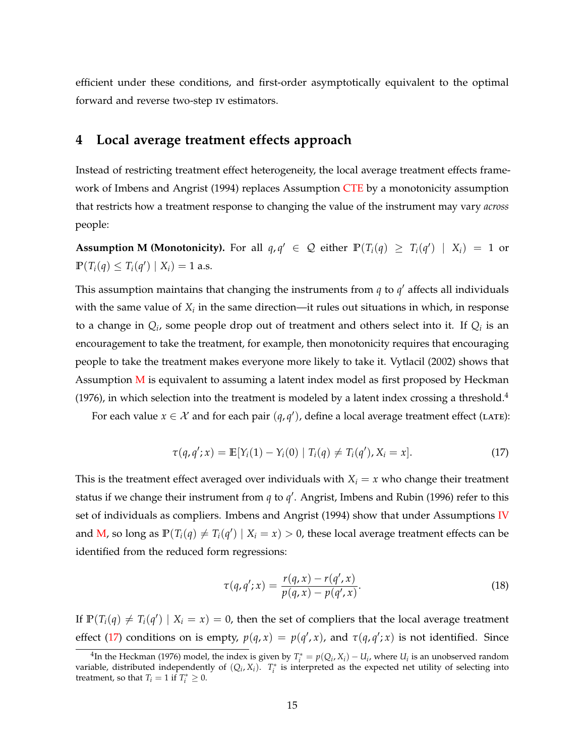<span id="page-14-4"></span>efficient under these conditions, and first-order asymptotically equivalent to the optimal forward and reverse two-step iv estimators.

## <span id="page-14-0"></span>**4 Local average treatment effects approach**

Instead of restricting treatment effect heterogeneity, the local average treatment effects frame-work of [Imbens and Angrist](#page-43-0) [\(1994\)](#page-43-0) replaces Assumption [CTE](#page-8-1) by a monotonicity assumption that restricts how a treatment response to changing the value of the instrument may vary *across* people:

<span id="page-14-1"></span>**Assumption M (Monotonicity).** For all  $q, q' \in \mathcal{Q}$  either  $\mathbb{P}(T_i(q) \geq T_i(q') | X_i) = 1$  or  $\mathbb{P}(T_i(q) \leq T_i(q') | X_i) = 1$  a.s.

This assumption maintains that changing the instruments from  $q$  to  $q'$  affects all individuals with the same value of  $X_i$  in the same direction—it rules out situations in which, in response to a change in  $Q_i$ , some people drop out of treatment and others select into it. If  $Q_i$  is an encouragement to take the treatment, for example, then monotonicity requires that encouraging people to take the treatment makes everyone more likely to take it. [Vytlacil](#page-44-15) [\(2002\)](#page-44-15) shows that Assumption  $M$  is equivalent to assuming a latent index model as first proposed by [Heckman](#page-43-12) [\(1976\)](#page-43-12), in which selection into the treatment is modeled by a latent index crossing a threshold.<sup>4</sup>

<span id="page-14-2"></span>For each value  $x \in \mathcal{X}$  and for each pair  $(q, q')$ , define a local average treatment effect (LATE):

$$
\tau(q, q'; x) = \mathbb{E}[Y_i(1) - Y_i(0) | T_i(q) \neq T_i(q'), X_i = x]. \tag{17}
$$

This is the treatment effect averaged over individuals with  $X_i = x$  who change their treatment status if we change their instrument from  $q$  to  $q'$ . [Angrist, Imbens and Rubin](#page-42-14) [\(1996\)](#page-42-14) refer to this set of individuals as compliers. [Imbens and Angrist](#page-43-0) [\(1994\)](#page-43-0) show that under Assumptions [IV](#page-8-0) and [M,](#page-14-1) so long as  $\mathbb{P}(T_i(q) \neq T_i(q') \mid X_i = x) > 0$ , these local average treatment effects can be identified from the reduced form regressions:

<span id="page-14-3"></span>
$$
\tau(q, q'; x) = \frac{r(q, x) - r(q', x)}{p(q, x) - p(q', x)}.
$$
\n(18)

If  $\mathbb{P}(T_i(q) \neq T_i(q') \mid X_i = x) = 0$ , then the set of compliers that the local average treatment effect [\(17\)](#page-14-2) conditions on is empty,  $p(q, x) = p(q', x)$ , and  $\tau(q, q'; x)$  is not identified. Since

<sup>&</sup>lt;sup>4</sup>In the [Heckman](#page-43-12) [\(1976\)](#page-43-12) model, the index is given by  $T_i^* = p(Q_i, X_i) - U_i$ , where  $U_i$  is an unobserved random variable, distributed independently of  $(Q_i, X_i)$ .  $T_i^*$  is interpreted as the expected net utility of selecting into treatment, so that  $T_i = 1$  if  $T_i^* \geq 0$ .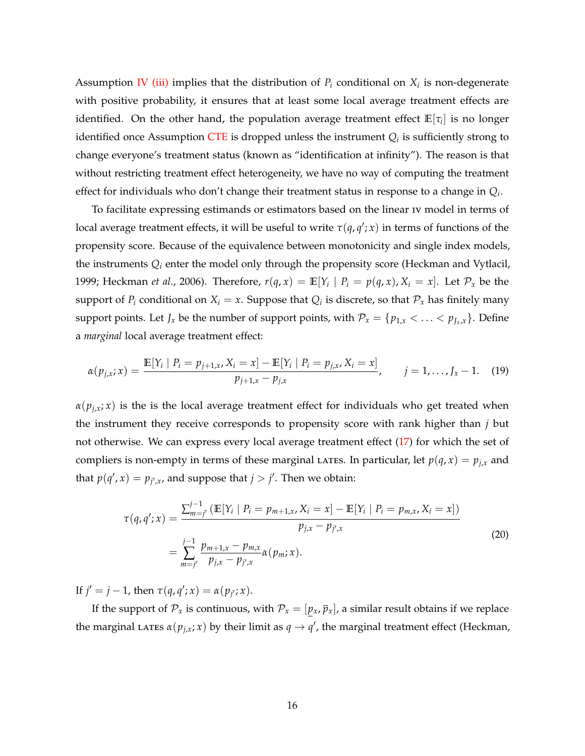<span id="page-15-2"></span>Assumption [IV](#page-8-0) [\(iii\)](#page-8-4) implies that the distribution of  $P_i$  conditional on  $X_i$  is non-degenerate with positive probability, it ensures that at least some local average treatment effects are identified. On the other hand, the population average treatment effect  $\mathbb{E}[\tau_i]$  is no longer identified once Assumption [CTE](#page-8-1) is dropped unless the instrument  $Q_i$  is sufficiently strong to change everyone's treatment status (known as "identification at infinity"). The reason is that without restricting treatment effect heterogeneity, we have no way of computing the treatment effect for individuals who don't change their treatment status in response to a change in *Q<sup>i</sup>* .

To facilitate expressing estimands or estimators based on the linear iv model in terms of local average treatment effects, it will be useful to write  $\tau(q,q';x)$  in terms of functions of the propensity score. Because of the equivalence between monotonicity and single index models, the instruments *Q<sup>i</sup>* enter the model only through the propensity score [\(Heckman and Vytlacil,](#page-43-13) [1999;](#page-43-13) [Heckman](#page-43-9) *et al.*, [2006\)](#page-43-9). Therefore,  $r(q, x) = \mathbb{E}[Y_i | P_i = p(q, x), X_i = x]$ . Let  $\mathcal{P}_x$  be the support of  $P_i$  conditional on  $X_i = x$ . Suppose that  $Q_i$  is discrete, so that  $\mathcal{P}_x$  has finitely many support points. Let *J<sub>x</sub>* be the number of support points, with  $\mathcal{P}_x = \{p_{1,x} < \ldots < p_{J_x,x}\}\.$  Define a *marginal* local average treatment effect:

<span id="page-15-0"></span>
$$
\alpha(p_{j,x}; x) = \frac{\mathbb{E}[Y_i \mid P_i = p_{j+1,x}, X_i = x] - \mathbb{E}[Y_i \mid P_i = p_{j,x}, X_i = x]}{p_{j+1,x} - p_{j,x}}, \qquad j = 1, ..., J_x - 1. \tag{19}
$$

 $\alpha(p_{i,x}; x)$  is the is the local average treatment effect for individuals who get treated when the instrument they receive corresponds to propensity score with rank higher than *j* but not otherwise. We can express every local average treatment effect [\(17\)](#page-14-2) for which the set of compliers is non-empty in terms of these marginal LATES. In particular, let  $p(q, x) = p_{j,x}$  and that  $p(q', x) = p_{j',x}$ , and suppose that  $j > j'$ . Then we obtain:

<span id="page-15-1"></span>
$$
\tau(q,q';x) = \frac{\sum_{m=j'}^{j-1} (\mathbb{E}[Y_i \mid P_i = p_{m+1,x}, X_i = x] - \mathbb{E}[Y_i \mid P_i = p_{m,x}, X_i = x])}{p_{j,x} - p_{j',x}}
$$
\n
$$
= \sum_{m=j'}^{j-1} \frac{p_{m+1,x} - p_{m,x}}{p_{j,x} - p_{j',x}} \alpha(p_m; x).
$$
\n(20)

If  $j' = j - 1$ , then  $\tau(q, q'; x) = \alpha(p_{j'}; x)$ .

If the support of  $\mathcal{P}_x$  is continuous, with  $\mathcal{P}_x = [p_x, \bar{p}_x]$ , a similar result obtains if we replace the marginal LATES  $\alpha(p_{j,x}; x)$  by their limit as  $q \to q'$ , the marginal treatment effect [\(Heckman,](#page-43-1)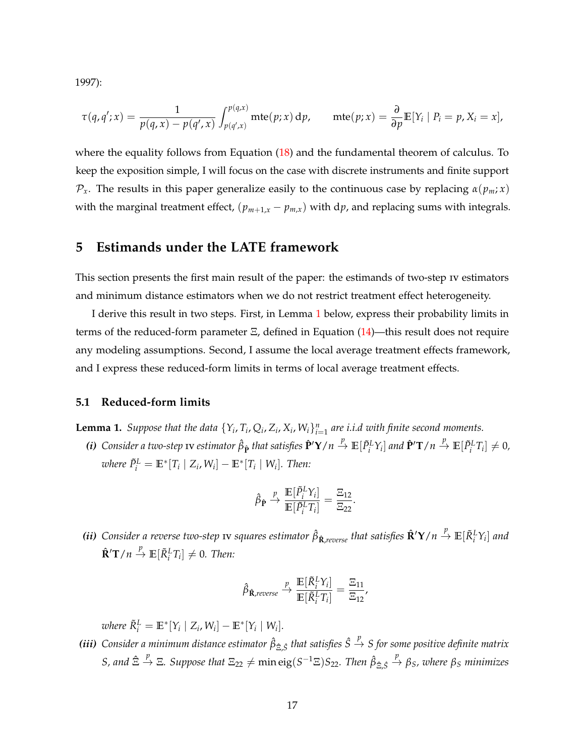[1997\)](#page-43-1):

$$
\tau(q,q';x)=\frac{1}{p(q,x)-p(q',x)}\int_{p(q',x)}^{p(q,x)}\mathrm{mte}(p;x)\,dp,\qquad\mathrm{mte}(p;x)=\frac{\partial}{\partial p}\mathbb{E}[Y_i\mid P_i=p,X_i=x],
$$

where the equality follows from Equation [\(18\)](#page-14-3) and the fundamental theorem of calculus. To keep the exposition simple, I will focus on the case with discrete instruments and finite support  $\mathcal{P}_x$ . The results in this paper generalize easily to the continuous case by replacing  $\alpha(p_m; x)$ with the marginal treatment effect,  $(p_{m+1,x} - p_{m,x})$  with dp, and replacing sums with integrals.

## <span id="page-16-0"></span>**5 Estimands under the LATE framework**

This section presents the first main result of the paper: the estimands of two-step iv estimators and minimum distance estimators when we do not restrict treatment effect heterogeneity.

I derive this result in two steps. First, in Lemma [1](#page-16-1) below, express their probability limits in terms of the reduced-form parameter  $\Xi$ , defined in Equation [\(14\)](#page-12-2)—this result does not require any modeling assumptions. Second, I assume the local average treatment effects framework, and I express these reduced-form limits in terms of local average treatment effects.

#### **5.1 Reduced-form limits**

<span id="page-16-1"></span>**Lemma 1.** Suppose that the data  $\{Y_i, T_i, Q_i, Z_i, X_i, W_i\}_{i=1}^n$  are i.i.d with finite second moments.

<span id="page-16-2"></span>(i) Consider a two-step  $s estimator  $\hat{\beta}_{\mathbf{\hat{p}}}$  that satisfies  $\mathbf{\hat{P}}'\mathbf{Y}/n \stackrel{p}{\to} \mathbb{E}[\tilde{P}_i^L\Upsilon_i]$  and  $\mathbf{\hat{P}}'\mathbf{T}/n \stackrel{p}{\to} \mathbb{E}[\tilde{P}_i^L T_i] \neq 0$ ,$ *where*  $\tilde{P}_{i}^{L} = \mathbb{E}^{*}[T_{i} | Z_{i}, W_{i}] - \mathbb{E}^{*}[T_{i} | W_{i}]$ . Then:

$$
\hat{\beta}_{\hat{\mathbf{P}}} \stackrel{p}{\rightarrow} \frac{\mathbb{E}[\tilde{P}_i^L Y_i]}{\mathbb{E}[\tilde{P}_i^L T_i]} = \frac{\Xi_{12}}{\Xi_{22}}.
$$

<span id="page-16-3"></span>(ii) Consider a reverse two-step  $s aquares estimator  $\hat{\beta}_{\bf \hat{R}, reverse}$  that satisfies  $\hat{\bf R}'{\bf Y}/n\stackrel{p}{\to}\mathbb{E}[\tilde{R}^L_iY_i]$  and$  $\hat{\mathbf{R}}'\mathbf{T}/n \stackrel{p}{\to} \mathbb{E}[\tilde{R}_i^L T_i] \neq 0$ . Then:

$$
\hat{\beta}_{\hat{\mathbf{R}}, \text{reverse}} \xrightarrow{p} \frac{\mathbb{E}[\tilde{R}_i^L Y_i]}{\mathbb{E}[\tilde{R}_i^L T_i]} = \frac{\Xi_{11}}{\Xi_{12}},
$$

 $w$ *here*  $\tilde{R}_i^L = \mathbb{E}^* [Y_i \mid Z_i, W_i] - \mathbb{E}^* [Y_i \mid W_i].$ 

<span id="page-16-4"></span>*(iii)* Consider a minimum distance estimator  $\hat{\beta}_{\hat{\Xi},\hat{S}}$  that satisfies  $\hat{S} \stackrel{p}{\to} S$  for some positive definite matrix  $S$ , and  $\hat{\Xi} \stackrel{p}{\to} \Xi$ . Suppose that  $\Xi_{22} \neq \min \text{eig}(S^{-1}\Xi)S_{22}$ . Then  $\hat{\beta}_{\hat{\Xi},\hat{S}} \stackrel{p}{\to} \beta_S$ , where  $\beta_S$  minimizes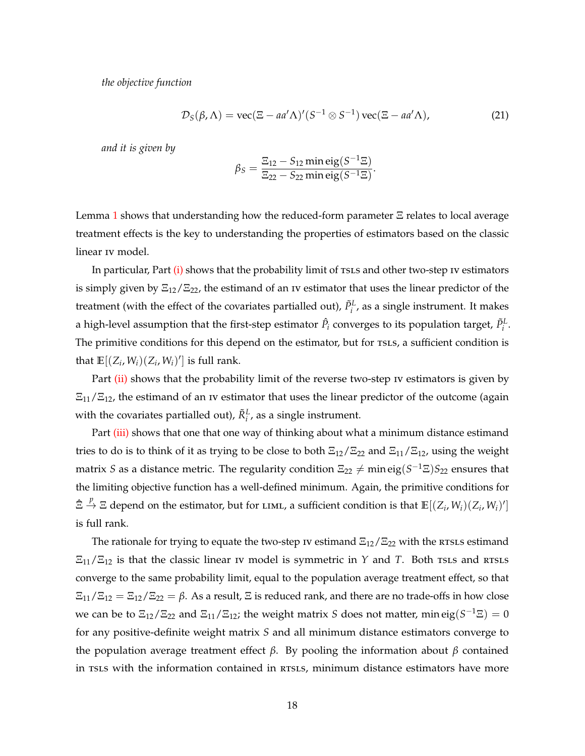*the objective function*

<span id="page-17-0"></span>
$$
\mathcal{D}_S(\beta, \Lambda) = \text{vec}(\Xi - aa'\Lambda)'(S^{-1} \otimes S^{-1})\,\text{vec}(\Xi - aa'\Lambda),\tag{21}
$$

*and it is given by*

$$
\beta_S = \frac{\Xi_{12} - S_{12} \min \text{eig}(S^{-1}\Xi)}{\Xi_{22} - S_{22} \min \text{eig}(S^{-1}\Xi)}.
$$

Lemma [1](#page-16-1) shows that understanding how the reduced-form parameter Ξ relates to local average treatment effects is the key to understanding the properties of estimators based on the classic linear iv model.

In particular, Part [\(i\)](#page-16-2) shows that the probability limit of TSLS and other two-step IV estimators is simply given by  $\Xi_{12}/\Xi_{22}$ , the estimand of an IV estimator that uses the linear predictor of the treatment (with the effect of the covariates partialled out),  $\tilde{P}^L_i$ , as a single instrument. It makes a high-level assumption that the first-step estimator  $\hat{P}_i$  converges to its population target,  $\tilde{P}^L_i$ . The primitive conditions for this depend on the estimator, but for TSLS, a sufficient condition is that  $\mathbb{E}[(Z_i, W_i)(Z_i, W_i)']$  is full rank.

Part [\(ii\)](#page-16-3) shows that the probability limit of the reverse two-step IV estimators is given by  $\Xi_{11}/\Xi_{12}$ , the estimand of an IV estimator that uses the linear predictor of the outcome (again with the covariates partialled out),  $\tilde{R}^L_i$ , as a single instrument.

Part [\(iii\)](#page-16-4) shows that one that one way of thinking about what a minimum distance estimand tries to do is to think of it as trying to be close to both  $\Xi_{12}/\Xi_{22}$  and  $\Xi_{11}/\Xi_{12}$ , using the weight matrix *S* as a distance metric. The regularity condition  $\Xi_{22}\neq \min \mathrm{eig}(S^{-1}\Xi)S_{22}$  ensures that the limiting objective function has a well-defined minimum. Again, the primitive conditions for  $\hat{\Xi} \stackrel{p}{\to} \Xi$  depend on the estimator, but for LIML, a sufficient condition is that  $\mathbb{E}[(Z_i, W_i)(Z_i, W_i)']$ is full rank.

The rationale for trying to equate the two-step iv estimand  $\Xi_{12}/\Xi_{22}$  with the resus estimand  $\Xi_{11}/\Xi_{12}$  is that the classic linear iv model is symmetric in *Y* and *T*. Both rsls and RTSLS converge to the same probability limit, equal to the population average treatment effect, so that  $\Xi_{11}/\Xi_{12} = \Xi_{12}/\Xi_{22} = \beta$ . As a result,  $\Xi$  is reduced rank, and there are no trade-offs in how close we can be to  $\Xi_{12}/\Xi_{22}$  and  $\Xi_{11}/\Xi_{12}$ ; the weight matrix *S* does not matter, min eig $(S^{-1}\Xi)=0$ for any positive-definite weight matrix *S* and all minimum distance estimators converge to the population average treatment effect *β*. By pooling the information about *β* contained in TSLS with the information contained in RTSLS, minimum distance estimators have more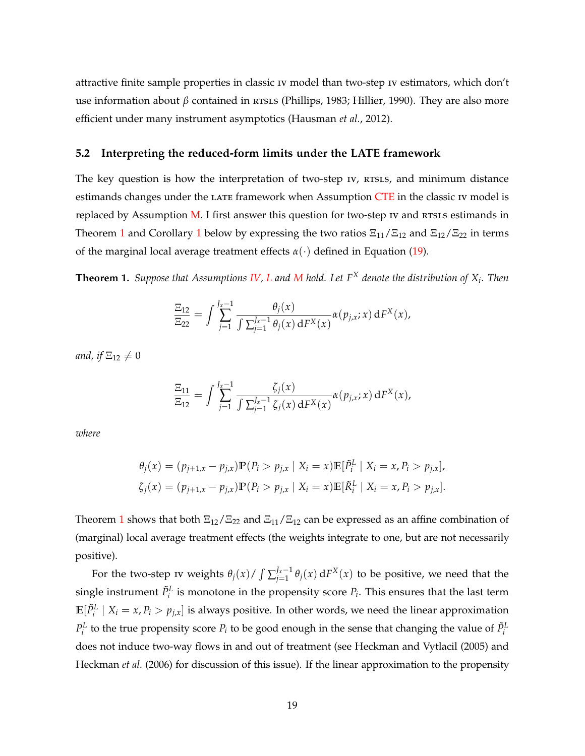<span id="page-18-1"></span>attractive finite sample properties in classic iv model than two-step iv estimators, which don't use information about *β* contained in *RTSLS* [\(Phillips,](#page-44-16) [1983;](#page-44-16) [Hillier,](#page-43-11) [1990\)](#page-43-11). They are also more efficient under many instrument asymptotics [\(Hausman](#page-43-4) *et al.*, [2012\)](#page-43-4).

#### **5.2 Interpreting the reduced-form limits under the LATE framework**

The key question is how the interpretation of two-step  $\kappa$ ,  $\kappa$  rsing, and minimum distance estimands changes under the LATE framework when Assumption [CTE](#page-8-1) in the classic IV model is replaced by Assumption  $M$ . I first answer this question for two-step  $I$  and  $R$ rs $L$ s estimands in Theorem [1](#page-19-0) and Corollary 1 below by expressing the two ratios  $\Xi_{11}/\Xi_{12}$  and  $\Xi_{12}/\Xi_{22}$  in terms of the marginal local average treatment effects *α*(·) defined in Equation [\(19\)](#page-15-0).

**Theorem 1.** *Suppose that Assumptions [IV,](#page-8-0) [L](#page-9-0) and [M](#page-14-1) hold. Let F <sup>X</sup> denote the distribution of X<sup>i</sup> . Then*

<span id="page-18-0"></span>
$$
\frac{\Xi_{12}}{\Xi_{22}} = \int \sum_{j=1}^{J_x-1} \frac{\theta_j(x)}{\int \sum_{j=1}^{J_x-1} \theta_j(x) dF^X(x)} \alpha(p_{j,x}; x) dF^X(x),
$$

*and, if*  $\Xi_{12} \neq 0$ 

$$
\frac{\Xi_{11}}{\Xi_{12}} = \int \sum_{j=1}^{J_x-1} \frac{\zeta_j(x)}{\int \sum_{j=1}^{J_x-1} \zeta_j(x) dF^X(x)} \alpha(p_{j,x}; x) dF^X(x),
$$

*where*

$$
\theta_j(x) = (p_{j+1,x} - p_{j,x}) \mathbb{P}(P_i > p_{j,x} \mid X_i = x) \mathbb{E}[\tilde{P}_i^L \mid X_i = x, P_i > p_{j,x}],
$$
  

$$
\zeta_j(x) = (p_{j+1,x} - p_{j,x}) \mathbb{P}(P_i > p_{j,x} \mid X_i = x) \mathbb{E}[\tilde{R}_i^L \mid X_i = x, P_i > p_{j,x}].
$$

Theorem [1](#page-18-0) shows that both  $\Xi_{12}/\Xi_{22}$  and  $\Xi_{11}/\Xi_{12}$  can be expressed as an affine combination of (marginal) local average treatment effects (the weights integrate to one, but are not necessarily positive).

For the two-step iv weights  $\theta_j(x) / \int \sum_{i=1}^{J_x-1}$ *j*=1 *θj*(*x*) d*F <sup>X</sup>*(*x*) to be positive, we need that the single instrument  $\tilde{P}_i^L$  is monotone in the propensity score  $P_i$ . This ensures that the last term  $\mathbb{E}[\tilde{P}^L_i \mid X_i = x, P_i > p_{j,x}]$  is always positive. In other words, we need the linear approximation  $P_i^L$  to the true propensity score  $P_i$  to be good enough in the sense that changing the value of  $\tilde{P}_i^L$ does not induce two-way flows in and out of treatment (see [Heckman and Vytlacil](#page-43-14) [\(2005\)](#page-43-14) and [Heckman](#page-43-9) *et al.* [\(2006\)](#page-43-9) for discussion of this issue). If the linear approximation to the propensity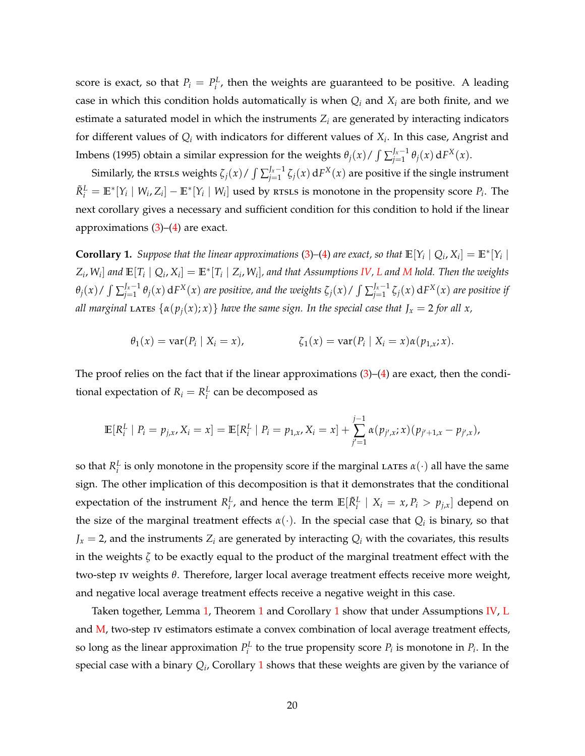<span id="page-19-1"></span>score is exact, so that  $P_i = P_i^L$ , then the weights are guaranteed to be positive. A leading case in which this condition holds automatically is when  $Q_i$  and  $X_i$  are both finite, and we estimate a saturated model in which the instruments *Z<sup>i</sup>* are generated by interacting indicators for different values of *Q<sup>i</sup>* with indicators for different values of *X<sup>i</sup>* . In this case, [Angrist and](#page-42-15) [Imbens](#page-42-15) [\(1995\)](#page-42-15) obtain a similar expression for the weights  $\theta_j(x) / \int \sum_{i=1}^{J_x-1}$  $\int_{j=1}^{J_x-1} \theta_j(x) dF^X(x)$ .

Similarly, the <code>RTSLS</code> weights  $\zeta_j(x)$  /  $\int \sum_{j=1}^{J_x-1}$  $J_{j=1}^{J_x-1}\zeta_j(x)\,\mathrm{d}F^X(x)$  are positive if the single instrument  $\tilde{R}_i^L = \mathbb{E}^* [Y_i \mid W_i, Z_i] - \mathbb{E}^* [Y_i \mid W_i]$  used by rtsls is monotone in the propensity score  $P_i$ . The next corollary gives a necessary and sufficient condition for this condition to hold if the linear approximations  $(3)$ – $(4)$  are exact.

**Corollary 1.** Suppose that the linear approximations [\(3\)](#page-6-1)–[\(4\)](#page-6-0) are exact, so that  $\mathbb{E}[Y_i | Q_i, X_i] = \mathbb{E}^*[Y_i |$  $Z_i$ ,  $W_i]$  and  $\mathbb{E}[T_i\mid Q_i$ ,  $X_i]=\mathbb{E}^*[T_i\mid Z_i$ ,  $W_i]$ , and that Assumptions [IV,](#page-8-0) [L](#page-9-0) and [M](#page-14-1) hold. Then the weights  $\theta_j(x)$  /  $\int \sum_{i=1}^{J_x-1}$  $J^{I_x-1}_{j=1}$   $\theta_j(x)$  d $F^X(x)$  are positive, and the weights  $\zeta_j(x)$  /  $\int \sum_{j=1}^{J_x-1}$  $j_{j=1}^{J_x-1}\zeta_j(x)\,\mathrm{d}F^X(x)$  are positive if *all marginal* LATES  $\{\alpha(p_j(x); x)\}$  *have the same sign. In the special case that*  $J_x = 2$  *for all x*,

<span id="page-19-0"></span>
$$
\theta_1(x) = \text{var}(P_i \mid X_i = x), \qquad \zeta_1(x) = \text{var}(P_i \mid X_i = x) \alpha(p_{1,x}; x).
$$

The proof relies on the fact that if the linear approximations  $(3)$ – $(4)$  are exact, then the conditional expectation of  $R_i = R_i^L$  can be decomposed as

$$
\mathbb{E}[R_i^L | P_i = p_{j,x}, X_i = x] = \mathbb{E}[R_i^L | P_i = p_{1,x}, X_i = x] + \sum_{j'=1}^{j-1} \alpha(p_{j',x}; x)(p_{j'+1,x} - p_{j',x}),
$$

so that  $R_i^L$  is only monotone in the propensity score if the marginal LATES  $\alpha(\cdot)$  all have the same sign. The other implication of this decomposition is that it demonstrates that the conditional expectation of the instrument  $R_i^L$ , and hence the term  $\mathbb{E}[\tilde{R}_i^L | X_i = x, P_i > p_{j,x}]$  depend on the size of the marginal treatment effects  $\alpha(\cdot)$ . In the special case that  $Q_i$  is binary, so that  $J_x = 2$ , and the instruments  $Z_i$  are generated by interacting  $Q_i$  with the covariates, this results in the weights *ζ* to be exactly equal to the product of the marginal treatment effect with the two-step iv weights *θ*. Therefore, larger local average treatment effects receive more weight, and negative local average treatment effects receive a negative weight in this case.

Taken together, Lemma [1,](#page-16-1) Theorem [1](#page-18-0) and Corollary [1](#page-19-0) show that under Assumptions [IV,](#page-8-0) [L](#page-9-0) and [M,](#page-14-1) two-step IV estimators estimate a convex combination of local average treatment effects, so long as the linear approximation  $P_i^L$  to the true propensity score  $P_i$  is monotone in  $P_i$ . In the special case with a binary *Q<sup>i</sup>* , Corollary [1](#page-19-0) shows that these weights are given by the variance of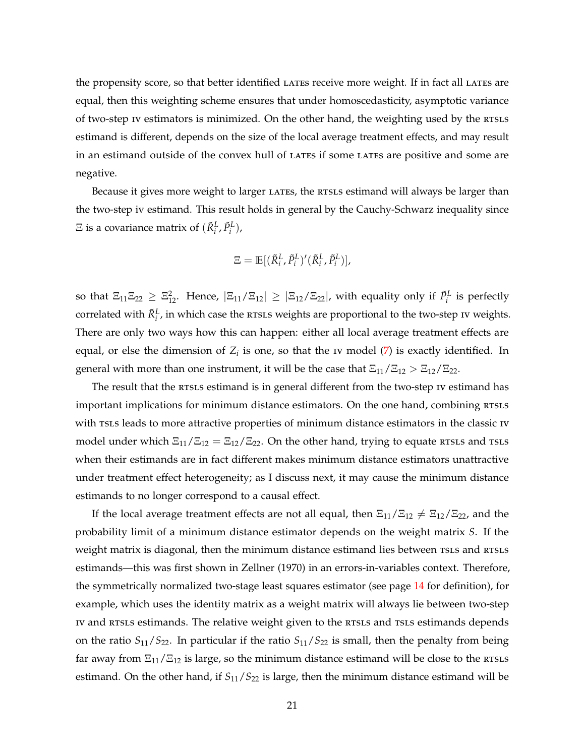<span id="page-20-0"></span>the propensity score, so that better identified LATES receive more weight. If in fact all LATES are equal, then this weighting scheme ensures that under homoscedasticity, asymptotic variance of two-step IV estimators is minimized. On the other hand, the weighting used by the RTSLS estimand is different, depends on the size of the local average treatment effects, and may result in an estimand outside of the convex hull of LATES if some LATES are positive and some are negative.

Because it gives more weight to larger LATES, the RTSLS estimand will always be larger than the two-step iv estimand. This result holds in general by the Cauchy-Schwarz inequality since  $\Xi$  is a covariance matrix of  $(\tilde{R}_i^L, \tilde{P}_i^L)$ ,

$$
\Xi = \mathbb{E}[(\tilde{R}_i^L, \tilde{P}_i^L)'(\tilde{R}_i^L, \tilde{P}_i^L)],
$$

so that  $\Xi_{11}\Xi_{22}\geq\Xi_{12}^2$ . Hence,  $|\Xi_{11}/\Xi_{12}|\geq|\Xi_{12}/\Xi_{22}|$ , with equality only if  $\tilde{P}_i^L$  is perfectly correlated with  $\tilde{R}_{i}^{L}$ , in which case the RTSLS weights are proportional to the two-step IV weights. There are only two ways how this can happen: either all local average treatment effects are equal, or else the dimension of  $Z_i$  is one, so that the  $i$  model  $(7)$  is exactly identified. In general with more than one instrument, it will be the case that  $\Xi_{11}/\Xi_{12} > \Xi_{12}/\Xi_{22}$ .

The result that the RTSLS estimand is in general different from the two-step IV estimand has important implications for minimum distance estimators. On the one hand, combining RTSLS with rsLs leads to more attractive properties of minimum distance estimators in the classic IV model under which  $\Xi_{11}/\Xi_{12} = \Xi_{12}/\Xi_{22}$ . On the other hand, trying to equate RTSLS and TSLS when their estimands are in fact different makes minimum distance estimators unattractive under treatment effect heterogeneity; as I discuss next, it may cause the minimum distance estimands to no longer correspond to a causal effect.

If the local average treatment effects are not all equal, then  $\Xi_{11}/\Xi_{12}\neq \Xi_{12}/\Xi_{22}$ , and the probability limit of a minimum distance estimator depends on the weight matrix *S*. If the weight matrix is diagonal, then the minimum distance estimand lies between TSLS and RTSLS estimands—this was first shown in [Zellner](#page-44-1) [\(1970\)](#page-44-1) in an errors-in-variables context. Therefore, the symmetrically normalized two-stage least squares estimator (see page [14](#page-13-1) for definition), for example, which uses the identity matrix as a weight matrix will always lie between two-step iv and resls estimands. The relative weight given to the resls and rsls estimands depends on the ratio  $S_{11}/S_{22}$ . In particular if the ratio  $S_{11}/S_{22}$  is small, then the penalty from being far away from  $\Xi_{11}/\Xi_{12}$  is large, so the minimum distance estimand will be close to the RTSLS estimand. On the other hand, if  $S_{11}/S_{22}$  is large, then the minimum distance estimand will be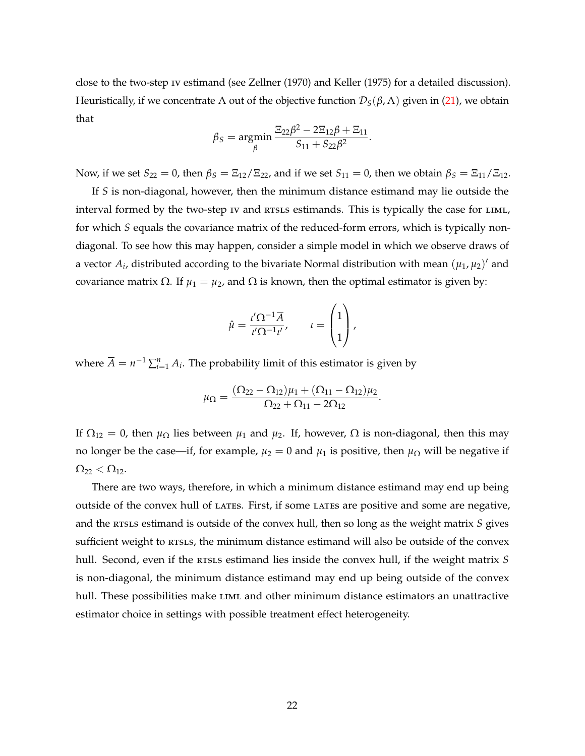<span id="page-21-0"></span>close to the two-step iv estimand (see [Zellner](#page-44-1) [\(1970\)](#page-44-1) and [Keller](#page-44-13) [\(1975\)](#page-44-13) for a detailed discussion). Heuristically, if we concentrate Λ out of the objective function  $\mathcal{D}_S(\beta,\Lambda)$  given in [\(21\)](#page-17-0), we obtain that

$$
\beta_S = \underset{\beta}{\text{argmin}} \frac{\Xi_{22}\beta^2 - 2\Xi_{12}\beta + \Xi_{11}}{S_{11} + S_{22}\beta^2}.
$$

Now, if we set  $S_{22} = 0$ , then  $\beta_S = \frac{E_{12}}{E_{22}}$ , and if we set  $S_{11} = 0$ , then we obtain  $\beta_S = \frac{E_{11}}{E_{12}}$ .

If *S* is non-diagonal, however, then the minimum distance estimand may lie outside the interval formed by the two-step iv and RTSLS estimands. This is typically the case for LIML, for which *S* equals the covariance matrix of the reduced-form errors, which is typically nondiagonal. To see how this may happen, consider a simple model in which we observe draws of a vector  $A_i$ , distributed according to the bivariate Normal distribution with mean  $(\mu_1, \mu_2)'$  and covariance matrix Ω. If  $\mu_1 = \mu_2$ , and Ω is known, then the optimal estimator is given by:

$$
\hat{\mu} = \frac{\iota' \Omega^{-1} \overline{A}}{\iota' \Omega^{-1} \iota'}, \qquad \iota = \begin{pmatrix} 1 \\ 1 \\ 1 \end{pmatrix},
$$

where  $\overline{A} = n^{-1} \sum_{i=1}^{n} A_i$ . The probability limit of this estimator is given by

$$
\mu_{\Omega} = \frac{(\Omega_{22} - \Omega_{12})\mu_1 + (\Omega_{11} - \Omega_{12})\mu_2}{\Omega_{22} + \Omega_{11} - 2\Omega_{12}}.
$$

If  $\Omega_{12} = 0$ , then  $\mu_{\Omega}$  lies between  $\mu_1$  and  $\mu_2$ . If, however,  $\Omega$  is non-diagonal, then this may no longer be the case—if, for example,  $\mu_2 = 0$  and  $\mu_1$  is positive, then  $\mu_\Omega$  will be negative if  $Ω<sub>22</sub> < Ω<sub>12</sub>$ .

There are two ways, therefore, in which a minimum distance estimand may end up being outside of the convex hull of lates. First, if some lates are positive and some are negative, and the rests estimand is outside of the convex hull, then so long as the weight matrix *S* gives sufficient weight to RTSLS, the minimum distance estimand will also be outside of the convex hull. Second, even if the RTSLS estimand lies inside the convex hull, if the weight matrix S is non-diagonal, the minimum distance estimand may end up being outside of the convex hull. These possibilities make LIML and other minimum distance estimators an unattractive estimator choice in settings with possible treatment effect heterogeneity.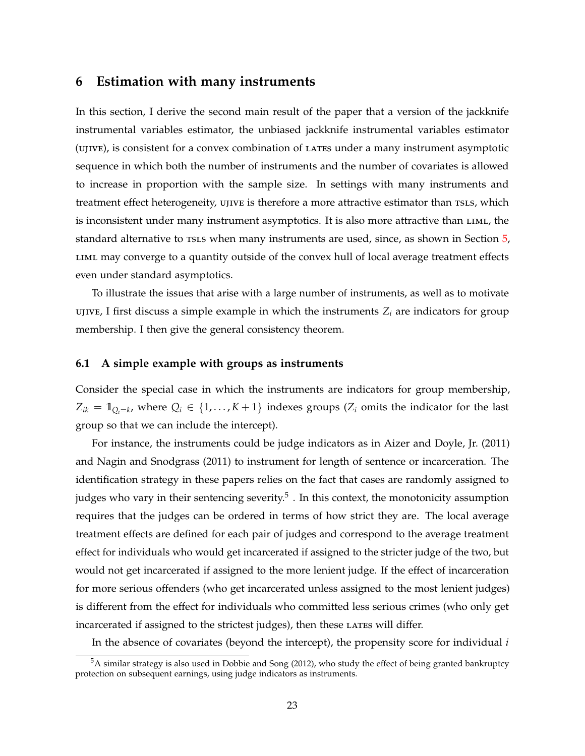### <span id="page-22-1"></span><span id="page-22-0"></span>**6 Estimation with many instruments**

In this section, I derive the second main result of the paper that a version of the jackknife instrumental variables estimator, the unbiased jackknife instrumental variables estimator (ujive), is consistent for a convex combination of lates under a many instrument asymptotic sequence in which both the number of instruments and the number of covariates is allowed to increase in proportion with the sample size. In settings with many instruments and treatment effect heterogeneity,  $UJIVE$  is therefore a more attractive estimator than TSLS, which is inconsistent under many instrument asymptotics. It is also more attractive than liml, the standard alternative to rsls when many instruments are used, since, as shown in Section [5,](#page-16-0) liml may converge to a quantity outside of the convex hull of local average treatment effects even under standard asymptotics.

To illustrate the issues that arise with a large number of instruments, as well as to motivate UJIVE, I first discuss a simple example in which the instruments  $Z_i$  are indicators for group membership. I then give the general consistency theorem.

#### **6.1 A simple example with groups as instruments**

Consider the special case in which the instruments are indicators for group membership,  $Z_{ik} = 1\!\!1_{Q_i=k}$ , where  $Q_i \in \{1,\ldots,K+1\}$  indexes groups ( $Z_i$  omits the indicator for the last group so that we can include the intercept).

For instance, the instruments could be judge indicators as in [Aizer and Doyle, Jr.](#page-42-16) [\(2011\)](#page-42-16) and [Nagin and Snodgrass](#page-44-17) [\(2011\)](#page-44-17) to instrument for length of sentence or incarceration. The identification strategy in these papers relies on the fact that cases are randomly assigned to judges who vary in their sentencing severity. $^5$  . In this context, the monotonicity assumption requires that the judges can be ordered in terms of how strict they are. The local average treatment effects are defined for each pair of judges and correspond to the average treatment effect for individuals who would get incarcerated if assigned to the stricter judge of the two, but would not get incarcerated if assigned to the more lenient judge. If the effect of incarceration for more serious offenders (who get incarcerated unless assigned to the most lenient judges) is different from the effect for individuals who committed less serious crimes (who only get incarcerated if assigned to the strictest judges), then these LATES will differ.

In the absence of covariates (beyond the intercept), the propensity score for individual *i*

 $5A$  similar strategy is also used in [Dobbie and Song](#page-43-15) [\(2012\)](#page-43-15), who study the effect of being granted bankruptcy protection on subsequent earnings, using judge indicators as instruments.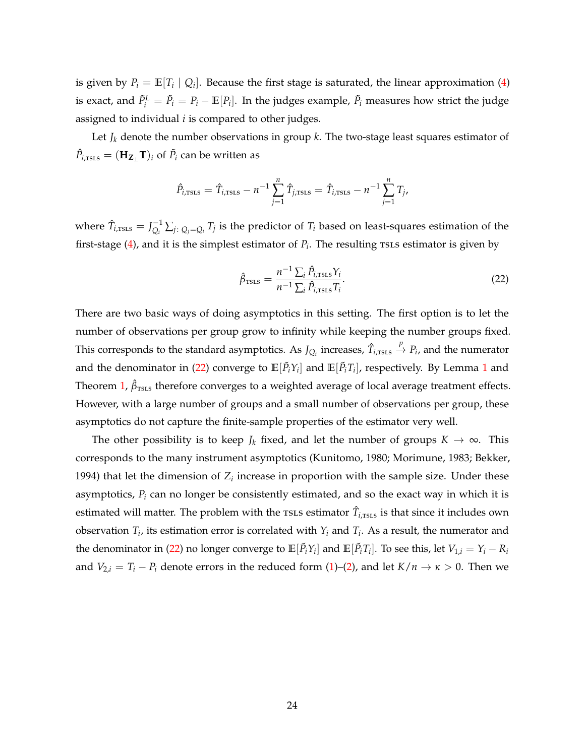<span id="page-23-1"></span>is given by  $P_i = \mathbb{E}[T_i \mid Q_i]$ . Because the first stage is saturated, the linear approximation [\(4\)](#page-6-0) is exact, and  $\tilde{P}_i^L = \tilde{P}_i - \mathbb{E}[P_i]$ . In the judges example,  $\tilde{P}_i$  measures how strict the judge assigned to individual *i* is compared to other judges.

Let  $J_k$  denote the number observations in group  $k$ . The two-stage least squares estimator of  $\hat{P}_{i,\texttt{TSLS}} = (\mathbf{H}_{\mathbf{Z}_{\perp}}\mathbf{T})_i$  of  $\tilde{P}_i$  can be written as

$$
\hat{P}_{i,\text{TSLS}} = \hat{T}_{i,\text{TSLS}} - n^{-1} \sum_{j=1}^{n} \hat{T}_{j,\text{TSLS}} = \hat{T}_{i,\text{TSLS}} - n^{-1} \sum_{j=1}^{n} T_{j},
$$

where  $\hat{T}_{i,\text{TSLS}} = J_{O_i}^{-1}$  $\sum_{Q_i}^{I-1} \sum_{j: |Q_j = Q_i} T_j$  is the predictor of  $T_i$  based on least-squares estimation of the first-stage  $(4)$ , and it is the simplest estimator of  $P_i$ . The resulting rsLs estimator is given by

<span id="page-23-0"></span>
$$
\hat{\beta}_{\text{TSLS}} = \frac{n^{-1} \sum_{i} \hat{P}_{i,\text{TSLS}} Y_i}{n^{-1} \sum_{i} \hat{P}_{i,\text{TSLS}} T_i}.
$$
\n(22)

There are two basic ways of doing asymptotics in this setting. The first option is to let the number of observations per group grow to infinity while keeping the number groups fixed. This corresponds to the standard asymptotics. As  $J_{Q_i}$  increases,  $\hat{T}_{i,\text{rss}} \stackrel{p}{\to} P_i$ , and the numerator and the denominator in [\(22\)](#page-23-0) converge to  $\mathbb{E}[\tilde{P}_i Y_i]$  and  $\mathbb{E}[\tilde{P}_i T_i]$ , respectively. By Lemma [1](#page-16-1) and Theorem [1,](#page-18-0)  $\hat{\beta}_{\text{TSLS}}$  therefore converges to a weighted average of local average treatment effects. However, with a large number of groups and a small number of observations per group, these asymptotics do not capture the finite-sample properties of the estimator very well.

The other possibility is to keep *J<sub>k</sub>* fixed, and let the number of groups  $K \to \infty$ . This corresponds to the many instrument asymptotics [\(Kunitomo,](#page-44-2) [1980;](#page-44-2) [Morimune,](#page-44-3) [1983;](#page-44-3) [Bekker,](#page-42-3) [1994\)](#page-42-3) that let the dimension of  $Z_i$  increase in proportion with the sample size. Under these asymptotics, *P<sup>i</sup>* can no longer be consistently estimated, and so the exact way in which it is estimated will matter. The problem with the  $\text{tsls}$  estimator  $\hat{T}_{i,\text{tsls}}$  is that since it includes own observation  $T_i$ , its estimation error is correlated with  $Y_i$  and  $T_i$ . As a result, the numerator and the denominator in [\(22\)](#page-23-0) no longer converge to  $\mathbb{E}[\tilde{P}_i Y_i]$  and  $\mathbb{E}[\tilde{P}_i T_i]$ . To see this, let  $V_{1,i} = Y_i - R_i$ and  $V_{2,i} = T_i - P_i$  denote errors in the reduced form [\(1\)](#page-5-0)–[\(2\)](#page-5-1), and let  $K/n \to \kappa > 0$ . Then we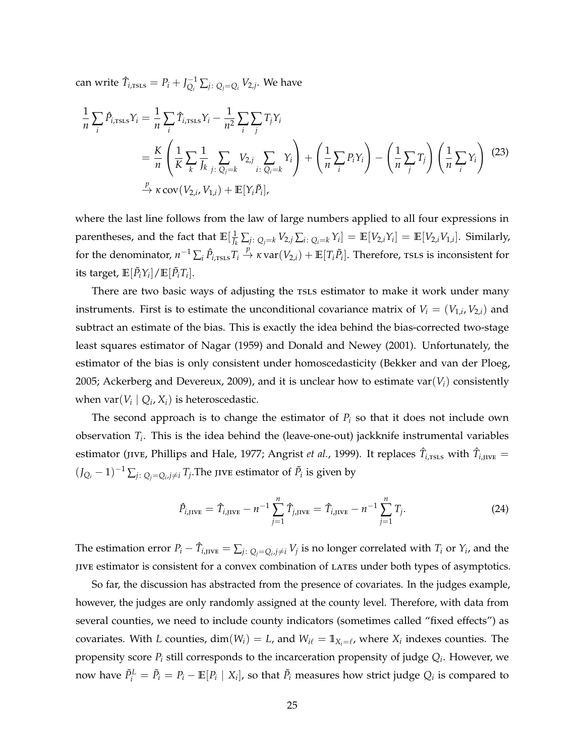<span id="page-24-1"></span> $\text{can write } \hat{T}_{i,\text{TSLS}} = P_i + J_{O_i}^{-1}$  $\sum_{Q_i}^{-1} \sum_j \sum_j Q_j = Q_i$   $V_{2,j}$ . We have

<span id="page-24-0"></span>
$$
\frac{1}{n}\sum_{i}\hat{P}_{i,\text{TSLS}}Y_{i} = \frac{1}{n}\sum_{i}\hat{T}_{i,\text{TSLS}}Y_{i} - \frac{1}{n^{2}}\sum_{i}\sum_{j}T_{j}Y_{i}
$$
\n
$$
= \frac{K}{n}\left(\frac{1}{K}\sum_{k}\frac{1}{J_{k}}\sum_{j:\ Q_{j}=k}V_{2,j}\sum_{i:\ Q_{i}=k}Y_{i}\right) + \left(\frac{1}{n}\sum_{i}P_{i}Y_{i}\right) - \left(\frac{1}{n}\sum_{j}T_{j}\right)\left(\frac{1}{n}\sum_{i}Y_{i}\right)
$$
\n
$$
\xrightarrow{P} \kappa \text{ cov}(V_{2,i}, V_{1,i}) + \mathbb{E}[Y_{i}\tilde{P}_{i}],
$$
\n(23)

where the last line follows from the law of large numbers applied to all four expressions in parentheses, and the fact that  $\mathbb{E}[\frac{1}{J_k}\sum_{j\colon Q_j=k}V_{2,j}\sum_{i\colon Q_i=k}Y_i]=\mathbb{E}[V_{2,i}Y_i]=\mathbb{E}[V_{2,i}V_{1,i}].$  Similarly, for the denominator,  $n^{-1}\sum_i \hat{P}_{i,\text{TSLS}}T_i\overset{p}{\to}\kappa \text{var}(V_{2,i})+\mathbb{E}[T_i\tilde{P}_i].$  Therefore, rsls is inconsistent for its target,  $\mathbb{E}[\tilde{P}_i Y_i]/\mathbb{E}[\tilde{P}_i T_i].$ 

There are two basic ways of adjusting the TSLS estimator to make it work under many instruments. First is to estimate the unconditional covariance matrix of  $V_i = (V_{1,i}, V_{2,i})$  and subtract an estimate of the bias. This is exactly the idea behind the bias-corrected two-stage least squares estimator of [Nagar](#page-44-10) [\(1959\)](#page-44-10) and [Donald and Newey](#page-43-10) [\(2001\)](#page-43-10). Unfortunately, the estimator of the bias is only consistent under homoscedasticity [\(Bekker and van der Ploeg,](#page-42-17) [2005;](#page-42-17) [Ackerberg and Devereux,](#page-42-7) [2009\)](#page-42-7), and it is unclear how to estimate var $(V_i)$  consistently when  $var(V_i | Q_i, X_i)$  is heteroscedastic.

The second approach is to change the estimator of  $P_i$  so that it does not include own observation *T<sup>i</sup>* . This is the idea behind the (leave-one-out) jackknife instrumental variables estimator (jive, [Phillips and Hale,](#page-44-4) [1977;](#page-44-4) [Angrist](#page-42-6) *et al.,* [1999\)](#page-42-6). It replaces  $\hat T_{i,\rm{ISLS}}$  with  $\hat T_{i,\rm{JIVE}}=$  $(J_{Q_i} - 1)^{-1} \sum_{j: Q_j = Q_i, j \neq i} T_j$ . The jive estimator of  $\tilde{P}_i$  is given by

$$
\hat{P}_{i,\text{JIVE}} = \hat{T}_{i,\text{JIVE}} - n^{-1} \sum_{j=1}^{n} \hat{T}_{j,\text{JIVE}} = \hat{T}_{i,\text{JIVE}} - n^{-1} \sum_{j=1}^{n} T_j.
$$
\n(24)

The estimation error  $P_i - \hat{T}_{i, \text{JIVE}} = \sum_{j: Q_j = Q_i, j \neq i} V_j$  is no longer correlated with  $T_i$  or  $Y_i$ , and the jive estimator is consistent for a convex combination of lates under both types of asymptotics.

So far, the discussion has abstracted from the presence of covariates. In the judges example, however, the judges are only randomly assigned at the county level. Therefore, with data from several counties, we need to include county indicators (sometimes called "fixed effects") as covariates. With *L* counties,  $dim(W_i) = L$ , and  $W_{i\ell} = \mathbb{1}_{X_i = \ell}$ , where  $X_i$  indexes counties. The propensity score *P<sup>i</sup>* still corresponds to the incarceration propensity of judge *Q<sup>i</sup>* . However, we now have  $\tilde{P}^L_i = \tilde{P}_i - \mathbb{E}[P_i \mid X_i]$ , so that  $\tilde{P}_i$  measures how strict judge  $Q_i$  is compared to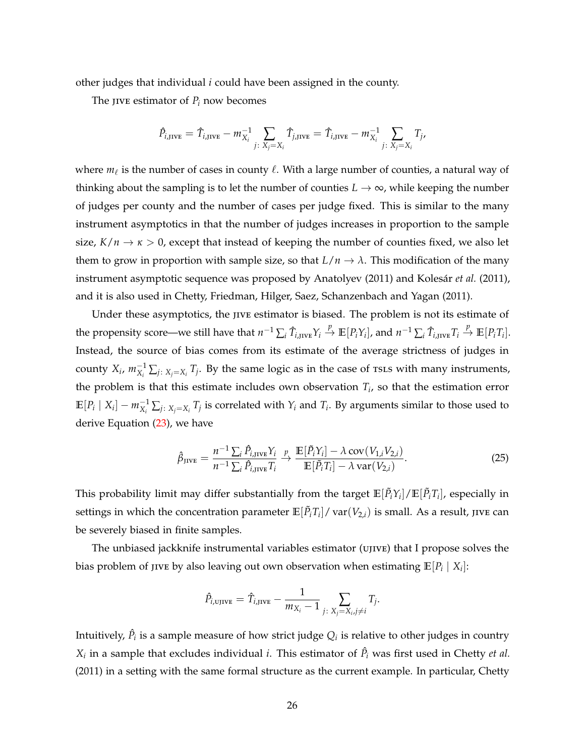<span id="page-25-0"></span>other judges that individual *i* could have been assigned in the county.

The jive estimator of  $P_i$  now becomes

$$
\hat{P}_{i,\text{JIVE}} = \hat{T}_{i,\text{JIVE}} - m_{X_i}^{-1} \sum_{j \colon X_j = X_i} \hat{T}_{j,\text{JIVE}} = \hat{T}_{i,\text{JIVE}} - m_{X_i}^{-1} \sum_{j \colon X_j = X_i} T_{j},
$$

where  $m_\ell$  is the number of cases in county  $\ell$ . With a large number of counties, a natural way of thinking about the sampling is to let the number of counties  $L \rightarrow \infty$ , while keeping the number of judges per county and the number of cases per judge fixed. This is similar to the many instrument asymptotics in that the number of judges increases in proportion to the sample size,  $K/n \to \kappa > 0$ , except that instead of keeping the number of counties fixed, we also let them to grow in proportion with sample size, so that  $L/n \to \lambda$ . This modification of the many instrument asymptotic sequence was proposed by [Anatolyev](#page-42-8) [\(2011\)](#page-42-8) and [Kolesár](#page-44-5) *et al.* [\(2011\)](#page-44-5), and it is also used in [Chetty, Friedman, Hilger, Saez, Schanzenbach and Yagan](#page-43-16) [\(2011\)](#page-43-16).

Under these asymptotics, the jive estimator is biased. The problem is not its estimate of the propensity score—we still have that  $n^{-1}\sum_i \hat{T}_{i,\text{JIVE}}Y_i \overset{p}{\to} \mathbb{E}[P_iY_i]$ , and  $n^{-1}\sum_i \hat{T}_{i,\text{JIVE}}T_i \overset{p}{\to} \mathbb{E}[P_iT_i]$ . Instead, the source of bias comes from its estimate of the average strictness of judges in county  $X_i$ ,  $m_{X_i}^{-1} \sum_{j: \ X_j = X_i} T_j$ . By the same logic as in the case of rsLs with many instruments, the problem is that this estimate includes own observation *T<sup>i</sup>* , so that the estimation error  $\mathbb{E}[P_i\mid X_i] - m_{X_i}^{-1} \sum_{j\colon X_j = X_i} T_j$  is correlated with  $Y_i$  and  $T_i$ . By arguments similar to those used to derive Equation [\(23\)](#page-24-0), we have

$$
\hat{\beta}_{\text{JIVE}} = \frac{n^{-1} \sum_{i} \hat{P}_{i,\text{JIVE}} Y_i}{n^{-1} \sum_{i} \hat{P}_{i,\text{JIVE}} T_i} \xrightarrow{p} \frac{\mathbb{E}[\tilde{P}_i Y_i] - \lambda \text{ cov}(V_{1,i} V_{2,i})}{\mathbb{E}[\tilde{P}_i T_i] - \lambda \text{ var}(V_{2,i})}.
$$
\n(25)

This probability limit may differ substantially from the target  $\mathbb{E}[\tilde{P}_i Y_i]/\mathbb{E}[\tilde{P}_i T_i]$ , especially in settings in which the concentration parameter  $\mathbb{E}[\tilde{P}_i T_i]/\mathop{\rm var}(V_{2,i})$  is small. As a result, jive can be severely biased in finite samples.

The unbiased jackknife instrumental variables estimator (ujive) that I propose solves the bias problem of jive by also leaving out own observation when estimating  $\mathbb{E}[P_i \mid X_i]$ :

$$
\hat{P}_{i,\text{UJIVE}} = \hat{T}_{i,\text{JIVE}} - \frac{1}{m_{X_i} - 1} \sum_{j \colon X_j = X_i, j \neq i} T_j.
$$

Intuitively,  $\hat{P}_i$  is a sample measure of how strict judge  $Q_i$  is relative to other judges in country  $X_i$  in a sample that excludes individual *i*. This estimator of  $\hat{P}_i$  was first used in [Chetty](#page-43-16) *et al.* [\(2011\)](#page-43-16) in a setting with the same formal structure as the current example. In particular, [Chetty](#page-43-16)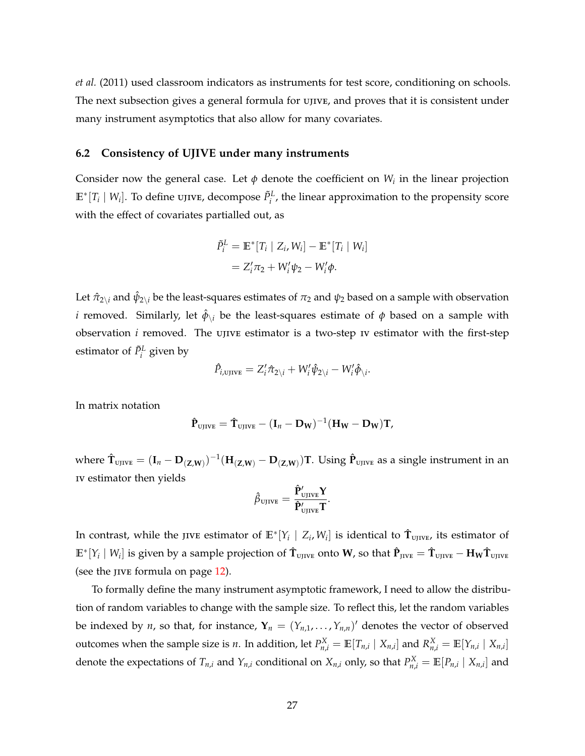*[et al.](#page-43-16)* [\(2011\)](#page-43-16) used classroom indicators as instruments for test score, conditioning on schools. The next subsection gives a general formula for ujive, and proves that it is consistent under many instrument asymptotics that also allow for many covariates.

#### **6.2 Consistency of UJIVE under many instruments**

Consider now the general case. Let  $\phi$  denote the coefficient on  $W_i$  in the linear projection  $\mathbb{E}^*[T_i \mid W_i]$ . To define ujive, decompose  $\tilde{P}^L_i$ , the linear approximation to the propensity score with the effect of covariates partialled out, as

$$
\tilde{P}_i^L = \mathbb{E}^*[T_i \mid Z_i, W_i] - \mathbb{E}^*[T_i \mid W_i]
$$
  
=  $Z_i^{\prime} \pi_2 + W_i^{\prime} \psi_2 - W_i^{\prime} \phi$ .

Let  $\hat{\pi}_{2\backslash i}$  and  $\hat{\psi}_{2\backslash i}$  be the least-squares estimates of  $\pi_2$  and  $\psi_2$  based on a sample with observation *i* removed. Similarly, let  $\hat{\phi}_{\backslash i}$  be the least-squares estimate of  $\phi$  based on a sample with observation *i* removed. The ujive estimator is a two-step iv estimator with the first-step estimator of  $\tilde{P}^L_i$  given by

$$
\hat{P}_{i,\text{UJIVE}} = Z_i' \hat{\pi}_{2\lambda_i} + W_i' \hat{\psi}_{2\lambda_i} - W_i' \hat{\phi}_{\lambda_i}.
$$

In matrix notation

$$
\hat{\mathbf{P}}_{\text{UJIVE}} = \hat{\mathbf{T}}_{\text{UJIVE}} - (\mathbf{I}_n - \mathbf{D_W})^{-1} (\mathbf{H_W} - \mathbf{D_W}) \mathbf{T},
$$

where  $\hat{\mathbf{T}}_{\text{UJIVE}}=(\mathbf{I}_n-\mathbf{D}_{(\mathbf{Z},\mathbf{W})})^{-1}(\mathbf{H}_{(\mathbf{Z},\mathbf{W})}-\mathbf{D}_{(\mathbf{Z},\mathbf{W})})\mathbf{T}.$  Using  $\hat{\mathbf{P}}_{\text{UJIVE}}$  as a single instrument in an iv estimator then yields

$$
\hat{\beta}_{\text{UJIVE}} = \frac{\mathbf{\hat{P}}_{\text{UJIVE}}'\mathbf{Y}}{\mathbf{\hat{P}}_{\text{UJIVE}}'\mathbf{T}}.
$$

In contrast, while the jive estimator of  $\mathbb{E}^*[Y_i\mid Z_i, W_i]$  is identical to  $\hat{\textbf{T}}_{\text{UJIVE}}$ , its estimator of  $\mathbb{E}^* [Y_i \mid W_i]$  is given by a sample projection of  $\mathbf{\hat{T}}_{\text{UJIVE}}$  onto  $\mathbf{W}$ , so that  $\mathbf{\hat{P}}_{\text{JIVE}} = \mathbf{\hat{T}}_{\text{UJIVE}} - \mathbf{H_W} \mathbf{\hat{T}}_{\text{UJIVE}}$ (see the jive formula on page [12\)](#page-10-0).

To formally define the many instrument asymptotic framework, I need to allow the distribution of random variables to change with the sample size. To reflect this, let the random variables be indexed by *n*, so that, for instance,  $\mathbf{Y}_n = (Y_{n,1}, \ldots, Y_{n,n})'$  denotes the vector of observed outcomes when the sample size is *n*. In addition, let  $P_{n,i}^X = \mathbb{E}[T_{n,i} | X_{n,i}]$  and  $R_{n,i}^X = \mathbb{E}[Y_{n,i} | X_{n,i}]$ denote the expectations of  $T_{n,i}$  and  $Y_{n,i}$  conditional on  $X_{n,i}$  only, so that  $P_{n,i}^X = \mathbb{E}[P_{n,i} | X_{n,i}]$  and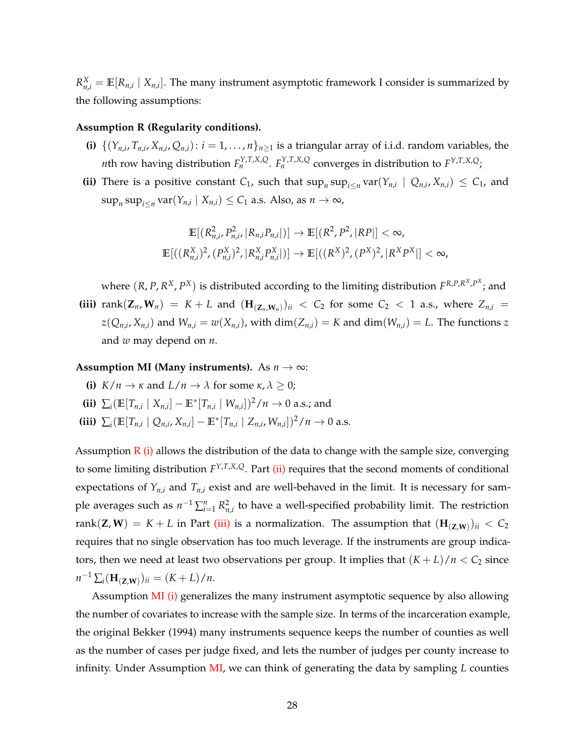<span id="page-27-8"></span><span id="page-27-0"></span> $R_{n,i}^X = \mathbb{E}[R_{n,i} | X_{n,i}]$ . The many instrument asymptotic framework I consider is summarized by the following assumptions:

#### <span id="page-27-1"></span>**Assumption R (Regularity conditions).**

- **(i)**  $\{(Y_{n,i}, T_{n,i}, X_{n,i}, Q_{n,i}) : i = 1, \ldots, n\}_{n \ge 1}$  is a triangular array of i.i.d. random variables, the *n*th row having distribution  $F_n^{Y,T,X,Q}$ .  $F_n^{Y,T,X,Q}$  converges in distribution to  $F^{Y,T,X,Q}$ ;
- <span id="page-27-2"></span>**(ii)** There is a positive constant  $C_1$ , such that  $\sup_n \sup_{i \le n} \text{var}(Y_{n,i} | Q_{n,i}, X_{n,i}) \le C_1$ , and  $\sup_n \sup_{i \le n} \text{var}(Y_{n,i} | X_{n,i}) \le C_1$  a.s. Also, as  $n \to \infty$ ,

$$
\mathbb{E}[(R_{n,i}^2, P_{n,i}^2, |R_{n,i}P_{n,i}|)] \to \mathbb{E}[(R^2, P^2, |RP|] < \infty,
$$
  

$$
\mathbb{E}[((R_{n,i}^X)^2, (P_{n,i}^X)^2, |R_{n,i}^X P_{n,i}^X|)] \to \mathbb{E}[((R^X)^2, (P^X)^2, |R^X P^X|] < \infty,
$$

where  $(R, P, R^X, P^X)$  is distributed according to the limiting distribution  $F^{R, P, R^X, P^X}$ ; and

<span id="page-27-3"></span>**(iii)** rank $(Z_n, W_n) = K + L$  and  $(H_{(Z_n, W_n)})_{ii} < C_2$  for some  $C_2 < 1$  a.s., where  $Z_{n,i} =$  $z(Q_{n,i}, X_{n,i})$  and  $W_{n,i} = w(X_{n,i})$ , with  $dim(Z_{n,i}) = K$  and  $dim(W_{n,i}) = L$ . The functions z and *w* may depend on *n*.

#### <span id="page-27-5"></span><span id="page-27-4"></span>**Assumption MI (Many instruments).** As  $n \to \infty$ :

- **(i)**  $K/n \to \kappa$  and  $L/n \to \lambda$  for some  $\kappa, \lambda \geq 0$ ;
- <span id="page-27-6"></span>**(ii)** ∑<sub>*i*</sub>( $\mathbb{E}[T_{n,i} | X_{n,i}] - \mathbb{E}^*[T_{n,i} | W_{n,i}])^2/n$  → 0 a.s.; and
- <span id="page-27-7"></span>(iii)  $\sum_i (\mathbb{E}[T_{n,i} | Q_{n,i}, X_{n,i}] - \mathbb{E}^*[T_{n,i} | Z_{n,i}, W_{n,i}])^2/n \to 0$  a.s.

Assumption  $R$  [\(i\)](#page-27-1) allows the distribution of the data to change with the sample size, converging to some limiting distribution *F <sup>Y</sup>*,*T*,*X*,*Q*. Part [\(ii\)](#page-27-2) requires that the second moments of conditional expectations of  $Y_{n,i}$  and  $T_{n,i}$  exist and are well-behaved in the limit. It is necessary for sample averages such as  $n^{-1} \sum_{i=1}^{n} R_{n,i}^2$  to have a well-specified probability limit. The restriction  $\text{rank}(\mathbf{Z}, \mathbf{W}) = K + L$  in Part [\(iii\)](#page-27-3) is a normalization. The assumption that  $(\mathbf{H}_{(\mathbf{Z},\mathbf{W})})_{ii} < C_2$ requires that no single observation has too much leverage. If the instruments are group indicators, then we need at least two observations per group. It implies that  $(K + L)/n < C_2$  since  $n^{-1} \sum_i (\mathbf{H}_{(\mathbf{Z},\mathbf{W})})_{ii} = (K+L)/n.$ 

Assumption [MI](#page-27-4) [\(i\)](#page-27-5) generalizes the many instrument asymptotic sequence by also allowing the number of covariates to increase with the sample size. In terms of the incarceration example, the original [Bekker](#page-42-3) [\(1994\)](#page-42-3) many instruments sequence keeps the number of counties as well as the number of cases per judge fixed, and lets the number of judges per county increase to infinity. Under Assumption [MI,](#page-27-4) we can think of generating the data by sampling *L* counties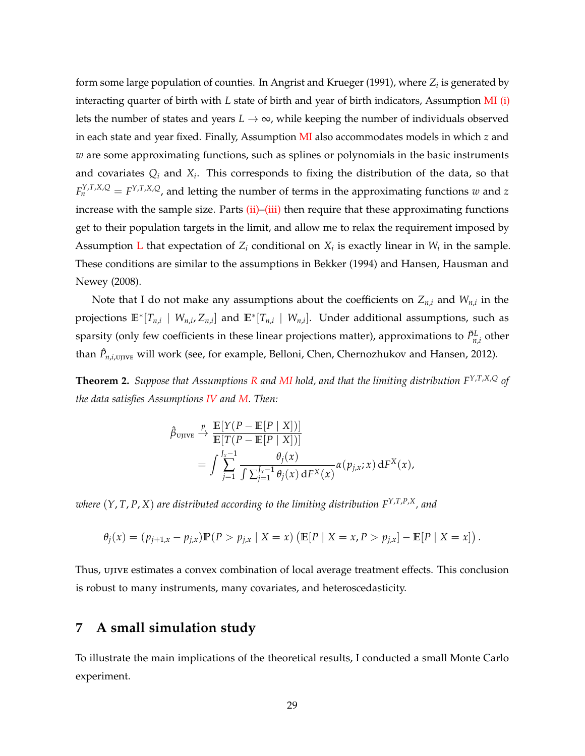<span id="page-28-2"></span>form some large population of counties. In [Angrist and Krueger](#page-42-11) [\(1991\)](#page-42-11), where *Z<sup>i</sup>* is generated by interacting quarter of birth with *L* state of birth and year of birth indicators, Assumption [MI](#page-27-4) [\(i\)](#page-27-5) lets the number of states and years  $L \rightarrow \infty$ , while keeping the number of individuals observed in each state and year fixed. Finally, Assumption [MI](#page-27-4) also accommodates models in which *z* and *w* are some approximating functions, such as splines or polynomials in the basic instruments and covariates *Q<sup>i</sup>* and *X<sup>i</sup>* . This corresponds to fixing the distribution of the data, so that  $F_n^{Y,T,X,Q} = F^{Y,T,X,Q}$ , and letting the number of terms in the approximating functions  $w$  and  $z$ increase with the sample size. Parts [\(ii\)–](#page-27-6)[\(iii\)](#page-27-7) then require that these approximating functions get to their population targets in the limit, and allow me to relax the requirement imposed by Assumption [L](#page-9-0) that expectation of  $Z_i$  conditional on  $X_i$  is exactly linear in  $W_i$  in the sample. These conditions are similar to the assumptions in [Bekker](#page-42-3) [\(1994\)](#page-42-3) and [Hansen, Hausman and](#page-43-17) [Newey](#page-43-17) [\(2008\)](#page-43-17).

Note that I do not make any assumptions about the coefficients on *Zn*,*<sup>i</sup>* and *Wn*,*<sup>i</sup>* in the projections  $\mathbb{E}^*[T_{n,i} \mid W_{n,i}, Z_{n,i}]$  and  $\mathbb{E}^*[T_{n,i} \mid W_{n,i}]$ . Under additional assumptions, such as sparsity (only few coefficients in these linear projections matter), approximations to  $\tilde{P}^L_{n,i}$  other than  $\hat{P}_{n,i,\text{UJIVE}}$  will work (see, for example, [Belloni, Chen, Chernozhukov and Hansen,](#page-42-18) [2012\)](#page-42-18).

<span id="page-28-1"></span>**Theorem 2.** *Suppose that Assumptions [R](#page-27-0) and [MI](#page-27-4) hold, and that the limiting distribution F <sup>Y</sup>*,*T*,*X*,*<sup>Q</sup> of the data satisfies Assumptions [IV](#page-8-0) and [M.](#page-14-1) Then:*

$$
\hat{\beta}_{\text{UJIVE}} \xrightarrow{p} \frac{\mathbb{E}[Y(P - \mathbb{E}[P \mid X])]}{\mathbb{E}[T(P - \mathbb{E}[P \mid X])]}
$$
\n
$$
= \int_{j=1}^{J_x - 1} \frac{\theta_j(x)}{\int \sum_{j=1}^{J_x - 1} \theta_j(x) dF^X(x)} \alpha(p_{j,x}; x) dF^X(x),
$$

*where* (*Y*, *T*, *P*, *X*) *are distributed according to the limiting distribution FY*,*T*,*P*,*X, and*

$$
\theta_j(x) = (p_{j+1,x} - p_{j,x}) \mathbb{P}(P > p_{j,x} | X = x) (\mathbb{E}[P | X = x, P > p_{j,x}] - \mathbb{E}[P | X = x]).
$$

Thus, ujive estimates a convex combination of local average treatment effects. This conclusion is robust to many instruments, many covariates, and heteroscedasticity.

## <span id="page-28-0"></span>**7 A small simulation study**

To illustrate the main implications of the theoretical results, I conducted a small Monte Carlo experiment.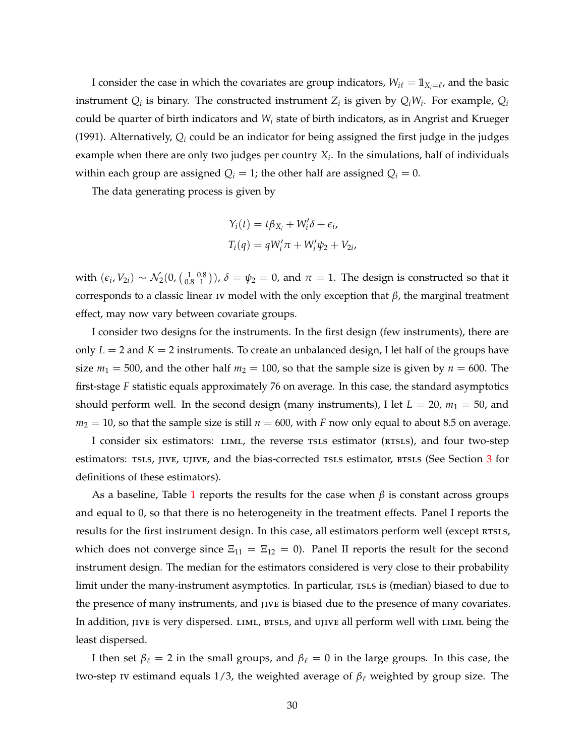<span id="page-29-0"></span>I consider the case in which the covariates are group indicators,  $W_{i\ell} = 1\!\!1_{X_i=\ell}$ , and the basic instrument  $Q_i$  is binary. The constructed instrument  $Z_i$  is given by  $Q_iW_i$ . For example,  $Q_i$ could be quarter of birth indicators and *W<sup>i</sup>* state of birth indicators, as in [Angrist and Krueger](#page-42-11) [\(1991\)](#page-42-11). Alternatively, *Q<sup>i</sup>* could be an indicator for being assigned the first judge in the judges example when there are only two judges per country *X<sup>i</sup>* . In the simulations, half of individuals within each group are assigned  $Q_i = 1$ ; the other half are assigned  $Q_i = 0$ .

The data generating process is given by

$$
Y_i(t) = t\beta_{X_i} + W'_i \delta + \epsilon_i,
$$
  
\n
$$
T_i(q) = qW'_i \pi + W'_i \psi_2 + V_{2i},
$$

with  $(\epsilon_i, V_{2i}) \sim \mathcal{N}_2(0, \left(\frac{1}{0.8} \frac{0.8}{1}\right))$ ,  $\delta = \psi_2 = 0$ , and  $\pi = 1$ . The design is constructed so that it corresponds to a classic linear iv model with the only exception that *β*, the marginal treatment effect, may now vary between covariate groups.

I consider two designs for the instruments. In the first design (few instruments), there are only  $L = 2$  and  $K = 2$  instruments. To create an unbalanced design, I let half of the groups have size  $m_1 = 500$ , and the other half  $m_2 = 100$ , so that the sample size is given by  $n = 600$ . The first-stage *F* statistic equals approximately 76 on average. In this case, the standard asymptotics should perform well. In the second design (many instruments), I let  $L = 20$ ,  $m_1 = 50$ , and  $m_2 = 10$ , so that the sample size is still  $n = 600$ , with *F* now only equal to about 8.5 on average.

I consider six estimators: LIML, the reverse TSLS estimator (RTSLS), and four two-step estimators: TSLS, JIVE, UJIVE, and the bias-corrected TSLS estimator, BTSLS (See Section [3](#page-7-0) for definitions of these estimators).

As a baseline, Table [1](#page-30-0) reports the results for the case when  $\beta$  is constant across groups and equal to 0, so that there is no heterogeneity in the treatment effects. Panel I reports the results for the first instrument design. In this case, all estimators perform well (except RTSLS, which does not converge since  $\Xi_{11} = \Xi_{12} = 0$ ). Panel II reports the result for the second instrument design. The median for the estimators considered is very close to their probability limit under the many-instrument asymptotics. In particular, rsls is (median) biased to due to the presence of many instruments, and jive is biased due to the presence of many covariates. In addition, jive is very dispersed. LIML, BTSLS, and UJIVE all perform well with LIML being the least dispersed.

I then set  $\beta_\ell = 2$  in the small groups, and  $\beta_\ell = 0$  in the large groups. In this case, the two-step iv estimand equals 1/3, the weighted average of  $\beta_\ell$  weighted by group size. The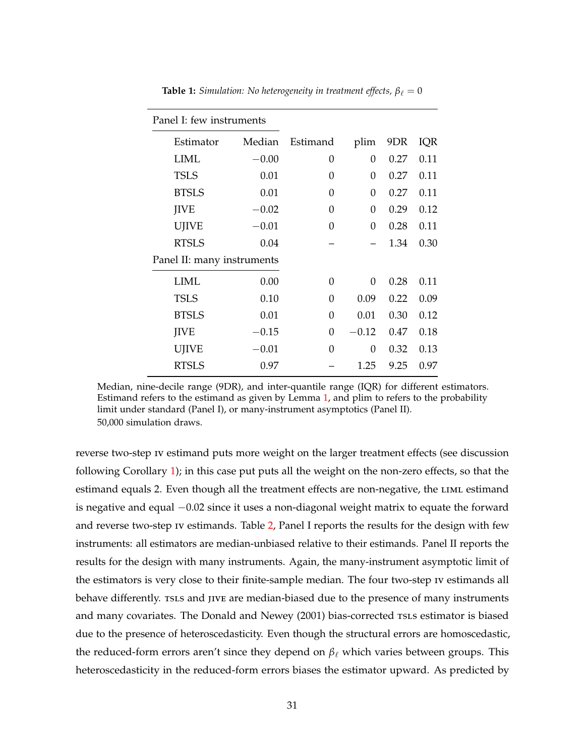| Panel I: few instruments   |         |          |         |      |      |
|----------------------------|---------|----------|---------|------|------|
| Estimator                  | Median  | Estimand | plim    | 9DR  | IQR  |
| <b>LIML</b>                | $-0.00$ | 0        | 0       | 0.27 | 0.11 |
| <b>TSLS</b>                | 0.01    | 0        | 0       | 0.27 | 0.11 |
| <b>BTSLS</b>               | 0.01    | 0        | 0       | 0.27 | 0.11 |
| <b>JIVE</b>                | $-0.02$ | 0        | 0       | 0.29 | 0.12 |
| <b>UJIVE</b>               | $-0.01$ | 0        | 0       | 0.28 | 0.11 |
| <b>RTSLS</b>               | 0.04    |          |         | 1.34 | 0.30 |
| Panel II: many instruments |         |          |         |      |      |
| <b>LIML</b>                | 0.00    | 0        | 0       | 0.28 | 0.11 |
| <b>TSLS</b>                | 0.10    | 0        | 0.09    | 0.22 | 0.09 |
| <b>BTSLS</b>               | 0.01    | 0        | 0.01    | 0.30 | 0.12 |
| <b>IIVE</b>                | $-0.15$ | 0        | $-0.12$ | 0.47 | 0.18 |
| <b>UJIVE</b>               | $-0.01$ | 0        | 0       | 0.32 | 0.13 |
| <b>RTSLS</b>               | 0.97    |          | 1.25    | 9.25 | 0.97 |

<span id="page-30-1"></span><span id="page-30-0"></span>**Table 1:** *Simulation: No heterogeneity in treatment effects,*  $\beta_{\ell} = 0$ 

Median, nine-decile range (9DR), and inter-quantile range (IQR) for different estimators. Estimand refers to the estimand as given by Lemma [1,](#page-16-1) and plim to refers to the probability limit under standard (Panel I), or many-instrument asymptotics (Panel II). 50,000 simulation draws.

reverse two-step iv estimand puts more weight on the larger treatment effects (see discussion following Corollary [1\)](#page-19-0); in this case put puts all the weight on the non-zero effects, so that the estimand equals 2. Even though all the treatment effects are non-negative, the LIML estimand is negative and equal −0.02 since it uses a non-diagonal weight matrix to equate the forward and reverse two-step iv estimands. Table [2,](#page-31-0) Panel I reports the results for the design with few instruments: all estimators are median-unbiased relative to their estimands. Panel II reports the results for the design with many instruments. Again, the many-instrument asymptotic limit of the estimators is very close to their finite-sample median. The four two-step iv estimands all behave differently. TSLS and JIVE are median-biased due to the presence of many instruments and many covariates. The [Donald and Newey](#page-43-10) [\(2001\)](#page-43-10) bias-corrected rsLs estimator is biased due to the presence of heteroscedasticity. Even though the structural errors are homoscedastic, the reduced-form errors aren't since they depend on  $\beta_\ell$  which varies between groups. This heteroscedasticity in the reduced-form errors biases the estimator upward. As predicted by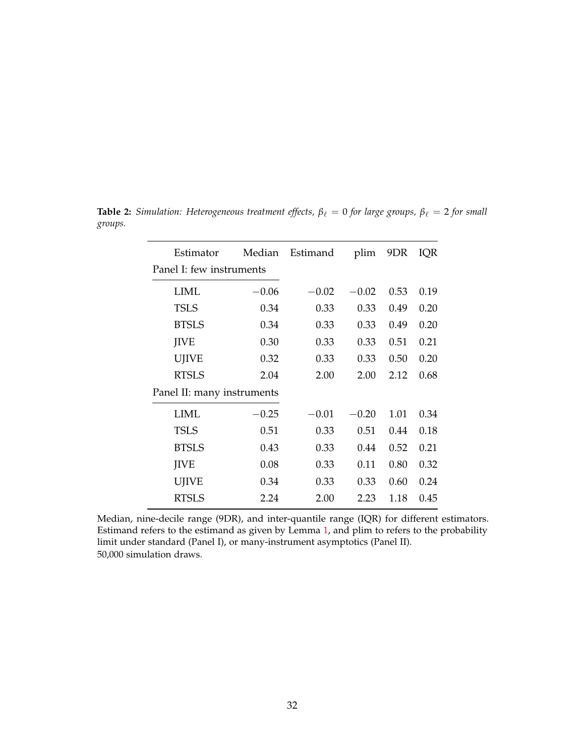| Estimator                  | Median  | Estimand | plim    | 9DR  | IQR  |
|----------------------------|---------|----------|---------|------|------|
| Panel I: few instruments   |         |          |         |      |      |
| LIML                       | $-0.06$ | $-0.02$  | $-0.02$ | 0.53 | 0.19 |
| <b>TSLS</b>                | 0.34    | 0.33     | 0.33    | 0.49 | 0.20 |
| <b>BTSLS</b>               | 0.34    | 0.33     | 0.33    | 0.49 | 0.20 |
| <b>IIVE</b>                | 0.30    | 0.33     | 0.33    | 0.51 | 0.21 |
| UJIVE                      | 0.32    | 0.33     | 0.33    | 0.50 | 0.20 |
| <b>RTSLS</b>               | 2.04    | 2.00     | 2.00    | 2.12 | 0.68 |
| Panel II: many instruments |         |          |         |      |      |
| LIML                       | $-0.25$ | $-0.01$  | $-0.20$ | 1.01 | 0.34 |
| <b>TSLS</b>                | 0.51    | 0.33     | 0.51    | 0.44 | 0.18 |
| <b>BTSLS</b>               | 0.43    | 0.33     | 0.44    | 0.52 | 0.21 |
| <b>IIVE</b>                | 0.08    | 0.33     | 0.11    | 0.80 | 0.32 |
| <b>UJIVE</b>               | 0.34    | 0.33     | 0.33    | 0.60 | 0.24 |
| <b>RTSLS</b>               | 2.24    | 2.00     | 2.23    | 1.18 | 0.45 |

<span id="page-31-0"></span>**Table 2:** *Simulation: Heterogeneous treatment effects,*  $\beta_{\ell} = 0$  *for large groups,*  $\beta_{\ell} = 2$  *for small groups.*

Median, nine-decile range (9DR), and inter-quantile range (IQR) for different estimators. Estimand refers to the estimand as given by Lemma [1,](#page-16-1) and plim to refers to the probability limit under standard (Panel I), or many-instrument asymptotics (Panel II). 50,000 simulation draws.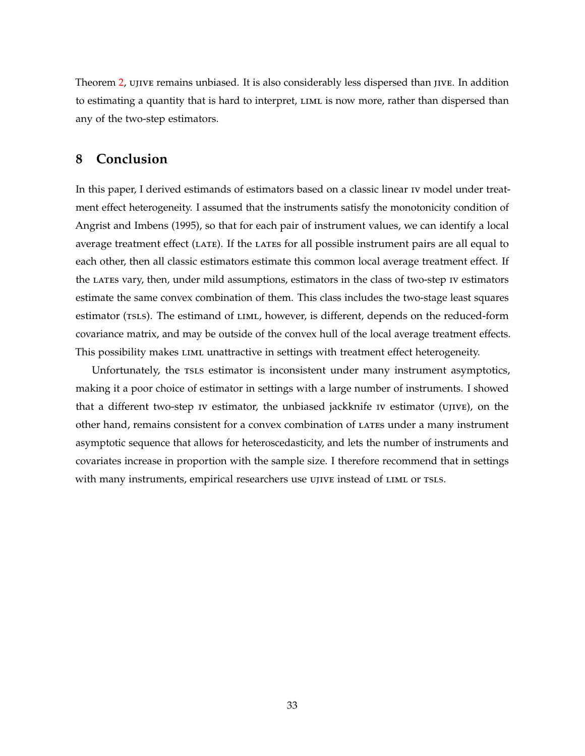<span id="page-32-1"></span>Theorem [2,](#page-28-1) ujive remains unbiased. It is also considerably less dispersed than jive. In addition to estimating a quantity that is hard to interpret,  $LIML$  is now more, rather than dispersed than any of the two-step estimators.

## <span id="page-32-0"></span>**8 Conclusion**

In this paper, I derived estimands of estimators based on a classic linear iv model under treatment effect heterogeneity. I assumed that the instruments satisfy the monotonicity condition of [Angrist and Imbens](#page-42-15) [\(1995\)](#page-42-15), so that for each pair of instrument values, we can identify a local average treatment effect  $(LATE)$ . If the LATES for all possible instrument pairs are all equal to each other, then all classic estimators estimate this common local average treatment effect. If the lates vary, then, under mild assumptions, estimators in the class of two-step iv estimators estimate the same convex combination of them. This class includes the two-stage least squares estimator (TSLS). The estimand of LIML, however, is different, depends on the reduced-form covariance matrix, and may be outside of the convex hull of the local average treatment effects. This possibility makes LIML unattractive in settings with treatment effect heterogeneity.

Unfortunately, the rsls estimator is inconsistent under many instrument asymptotics, making it a poor choice of estimator in settings with a large number of instruments. I showed that a different two-step iv estimator, the unbiased jackknife iv estimator (ujive), on the other hand, remains consistent for a convex combination of LATES under a many instrument asymptotic sequence that allows for heteroscedasticity, and lets the number of instruments and covariates increase in proportion with the sample size. I therefore recommend that in settings with many instruments, empirical researchers use ujive instead of LIML or TSLS.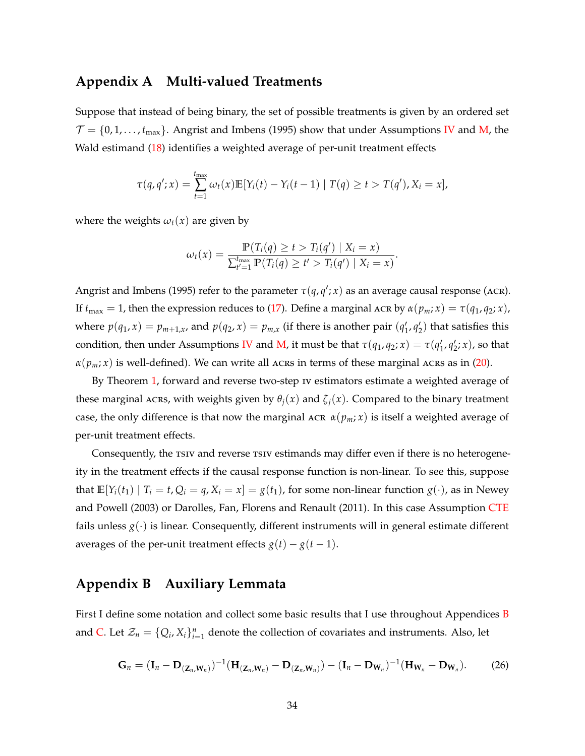### <span id="page-33-3"></span><span id="page-33-0"></span>**Appendix A Multi-valued Treatments**

Suppose that instead of being binary, the set of possible treatments is given by an ordered set  $\mathcal{T} = \{0, 1, \ldots, t_{\text{max}}\}.$  [Angrist and Imbens](#page-42-15) [\(1995\)](#page-42-15) show that under Assumptions [IV](#page-8-0) and [M,](#page-14-1) the Wald estimand [\(18\)](#page-14-3) identifies a weighted average of per-unit treatment effects

$$
\tau(q,q';x) = \sum_{t=1}^{t_{\max}} \omega_t(x) \mathbb{E}[Y_i(t) - Y_i(t-1) | T(q) \ge t > T(q'), X_i = x],
$$

where the weights  $\omega_t(x)$  are given by

$$
\omega_t(x) = \frac{\mathbb{P}(T_i(q) \ge t > T_i(q') \mid X_i = x)}{\sum_{t'=1}^{t_{\text{max}}} \mathbb{P}(T_i(q) \ge t' > T_i(q') \mid X_i = x)}.
$$

[Angrist and Imbens](#page-42-15) [\(1995\)](#page-42-15) refer to the parameter  $\tau(q,q';x)$  as an average causal response (ACR). If  $t_{\text{max}} = 1$ , then the expression reduces to [\(17\)](#page-14-2). Define a marginal ACR by  $\alpha(p_m; x) = \tau(q_1, q_2; x)$ , where  $p(q_1, x) = p_{m+1,x}$ , and  $p(q_2, x) = p_{m,x}$  (if there is another pair  $(q'_1, q'_2)$  that satisfies this condition, then under Assumptions [IV](#page-8-0) and [M,](#page-14-1) it must be that  $\tau(q_1, q_2; x) = \tau(q'_1, q'_2; x)$ , so that  $\alpha(p_m; x)$  is well-defined). We can write all acres in terms of these marginal acres as in [\(20\)](#page-15-1).

By Theorem [1,](#page-18-0) forward and reverse two-step iv estimators estimate a weighted average of these marginal ACRS, with weights given by  $\theta_i(x)$  and  $\zeta_i(x)$ . Compared to the binary treatment case, the only difference is that now the marginal ACR  $\alpha(p_m; x)$  is itself a weighted average of per-unit treatment effects.

Consequently, the rsiv and reverse rsiv estimands may differ even if there is no heterogeneity in the treatment effects if the causal response function is non-linear. To see this, suppose that  $\mathbb{E}[Y_i(t_1) | T_i = t, Q_i = q, X_i = x] = g(t_1)$ , for some non-linear function  $g(\cdot)$ , as in [Newey](#page-44-18) [and Powell](#page-44-18) [\(2003\)](#page-44-18) or [Darolles, Fan, Florens and Renault](#page-43-18) [\(2011\)](#page-43-18). In this case Assumption [CTE](#page-8-1) fails unless  $g(\cdot)$  is linear. Consequently, different instruments will in general estimate different averages of the per-unit treatment effects  $g(t) - g(t-1)$ .

## <span id="page-33-1"></span>**Appendix B Auxiliary Lemmata**

First I define some notation and collect some basic results that I use throughout Appendices [B](#page-33-1) and [C.](#page-38-0) Let  $\mathcal{Z}_n = \{Q_i, X_i\}_{i=1}^n$  denote the collection of covariates and instruments. Also, let

<span id="page-33-2"></span>
$$
\mathbf{G}_n = (\mathbf{I}_n - \mathbf{D}_{(\mathbf{Z}_n, \mathbf{W}_n)})^{-1} (\mathbf{H}_{(\mathbf{Z}_n, \mathbf{W}_n)} - \mathbf{D}_{(\mathbf{Z}_n, \mathbf{W}_n)}) - (\mathbf{I}_n - \mathbf{D}_{\mathbf{W}_n})^{-1} (\mathbf{H}_{\mathbf{W}_n} - \mathbf{D}_{\mathbf{W}_n}).
$$
 (26)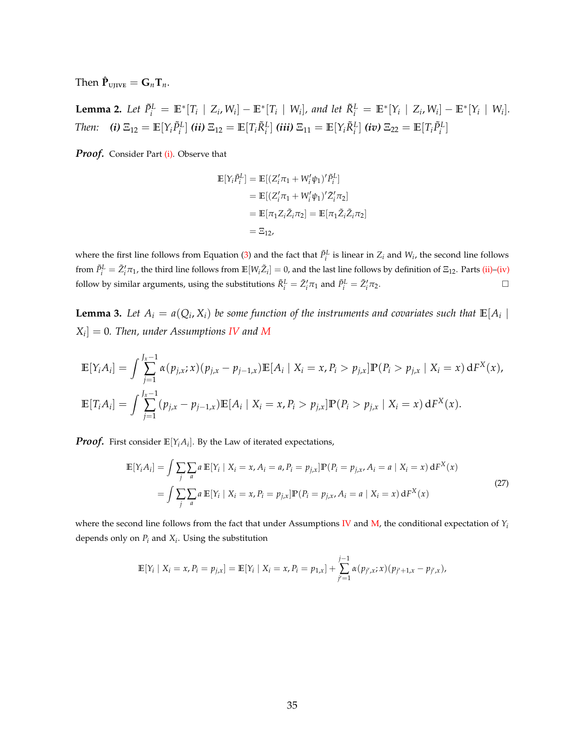<span id="page-34-4"></span> $\mathbf{T}$ hen  $\mathbf{\hat{P}}_{\text{UJIVE}} = \mathbf{G}_n \mathbf{T}_n$ .

<span id="page-34-0"></span>**Lemma 2.** Let  $\tilde{P}_i^L = \mathbb{E}^*[T_i | Z_i, W_i] - \mathbb{E}^*[T_i | W_i]$ , and let  $\tilde{R}_i^L = \mathbb{E}^*[Y_i | Z_i, W_i] - \mathbb{E}^*[Y_i | W_i]$ . Then: (i)  $\Xi_{12} = \mathbb{E}[Y_i \tilde{P}_i^L]$  (ii)  $\Xi_{12} = \mathbb{E}[T_i \tilde{R}_i^L]$  (iii)  $\Xi_{11} = \mathbb{E}[Y_i \tilde{R}_i^L]$  (iv)  $\Xi_{22} = \mathbb{E}[T_i \tilde{P}_i^L]$ 

*Proof.* Consider Part [\(i\).](#page-34-0) Observe that

<span id="page-34-2"></span><span id="page-34-1"></span>
$$
\mathbb{E}[Y_i \tilde{P}_i^L] = \mathbb{E}[(Z_i'\pi_1 + W_i'\psi_1)'\tilde{P}_i^L]
$$
  
\n
$$
= \mathbb{E}[(Z_i'\pi_1 + W_i'\psi_1)'\tilde{Z}_i'\pi_2]
$$
  
\n
$$
= \mathbb{E}[\pi_1 Z_i \tilde{Z}_i \pi_2] = \mathbb{E}[\pi_1 \tilde{Z}_i \tilde{Z}_i \pi_2]
$$
  
\n
$$
= \Xi_{12},
$$

where the first line follows from Equation [\(3\)](#page-6-1) and the fact that  $\tilde{P}^L_i$  is linear in  $Z_i$  and  $W_i$ , the second line follows from  $\tilde{P}^L_i = \tilde{Z}'_i \pi_1$ , the third line follows from  $\mathbb{E}[W_i \tilde{Z}_i] = 0$ , and the last line follows by definition of  $\Xi_{12}$ . Parts [\(ii\)](#page-34-1)[–\(iv\)](#page-34-2) follow by similar arguments, using the substitutions  $\tilde{R}_i^L = \tilde{Z}_i' \pi_1$  and  $\tilde{P}_i^L = \tilde{Z}_i'$  $\pi_2$ .

<span id="page-34-5"></span>**Lemma 3.** Let  $A_i = a(Q_i, X_i)$  be some function of the instruments and covariates such that  $\mathbb{E}[A_i \mid \mathbb{E}[A_i]]$ *Xi* ] = 0*. Then, under Assumptions [IV](#page-8-0) and [M](#page-14-1)*

$$
\mathbb{E}[Y_i A_i] = \int \sum_{j=1}^{J_x - 1} \alpha(p_{j,x}; x)(p_{j,x} - p_{j-1,x}) \mathbb{E}[A_i | X_i = x, P_i > p_{j,x}] \mathbb{P}(P_i > p_{j,x} | X_i = x) dF^X(x),
$$
  

$$
\mathbb{E}[T_i A_i] = \int \sum_{j=1}^{J_x - 1} (p_{j,x} - p_{j-1,x}) \mathbb{E}[A_i | X_i = x, P_i > p_{j,x}] \mathbb{P}(P_i > p_{j,x} | X_i = x) dF^X(x).
$$

*Proof.* First consider **E**[*YiA<sup>i</sup>* ]. By the Law of iterated expectations,

<span id="page-34-3"></span>
$$
\mathbb{E}[Y_i A_i] = \int \sum_{j} \sum_{a} a \mathbb{E}[Y_i \mid X_i = x, A_i = a, P_i = p_{j,x}] \mathbb{P}(P_i = p_{j,x}, A_i = a \mid X_i = x) \, dF^X(x)
$$
\n
$$
= \int \sum_{j} \sum_{a} a \mathbb{E}[Y_i \mid X_i = x, P_i = p_{j,x}] \mathbb{P}(P_i = p_{j,x}, A_i = a \mid X_i = x) \, dF^X(x)
$$
\n(27)

where the second line follows from the fact that under Assumptions [IV](#page-8-0) and  $M$ , the conditional expectation of  $Y_i$ depends only on *P<sup>i</sup>* and *X<sup>i</sup>* . Using the substitution

$$
\mathbb{E}[Y_i \mid X_i = x, P_i = p_{j,x}] = \mathbb{E}[Y_i \mid X_i = x, P_i = p_{1,x}] + \sum_{j'=1}^{j-1} \alpha(p_{j',x}; x)(p_{j'+1,x} - p_{j',x}),
$$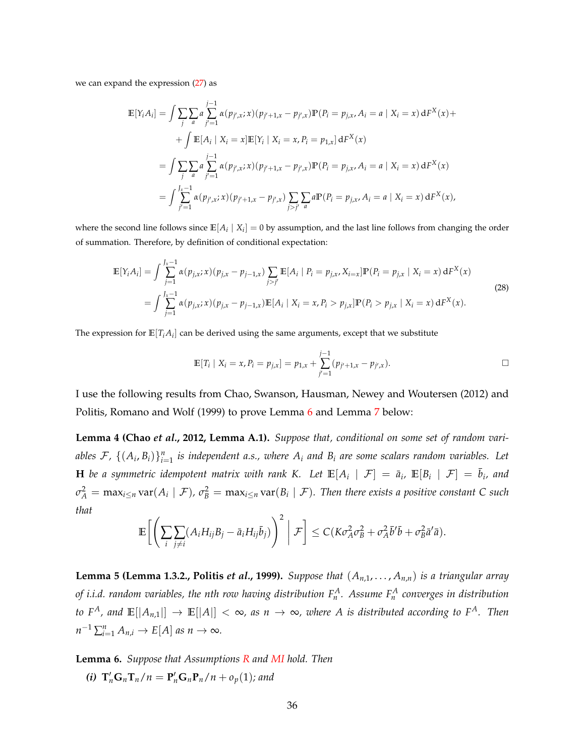<span id="page-35-4"></span>we can expand the expression [\(27\)](#page-34-3) as

$$
\mathbb{E}[Y_i A_i] = \int \sum_{j} \sum_{a} a \sum_{j'=1}^{j-1} \alpha(p_{j',x}; x)(p_{j'+1,x} - p_{j',x}) \mathbb{P}(P_i = p_{j,x}, A_i = a | X_i = x) dF^X(x) +
$$
  
+ 
$$
\int \mathbb{E}[A_i | X_i = x] \mathbb{E}[Y_i | X_i = x, P_i = p_{1,x}] dF^X(x)
$$
  
= 
$$
\int \sum_{j} \sum_{a} a \sum_{j'=1}^{j-1} \alpha(p_{j',x}; x)(p_{j'+1,x} - p_{j',x}) \mathbb{P}(P_i = p_{j,x}, A_i = a | X_i = x) dF^X(x)
$$
  
= 
$$
\int \sum_{j'=1}^{J_x-1} \alpha(p_{j',x}; x)(p_{j'+1,x} - p_{j',x}) \sum_{j>j'} \sum_{a} a \mathbb{P}(P_i = p_{j,x}, A_i = a | X_i = x) dF^X(x),
$$

where the second line follows since  $\mathbb{E}[A_i | X_i] = 0$  by assumption, and the last line follows from changing the order of summation. Therefore, by definition of conditional expectation:

$$
\mathbb{E}[Y_i A_i] = \int \sum_{j=1}^{J_x - 1} \alpha(p_{j,x}; x)(p_{j,x} - p_{j-1,x}) \sum_{j > j'} \mathbb{E}[A_i | P_i = p_{j,x}, X_{i=x}] \mathbb{P}(P_i = p_{j,x} | X_i = x) dF^X(x)
$$
  
= 
$$
\int \sum_{j=1}^{J_x - 1} \alpha(p_{j,x}; x)(p_{j,x} - p_{j-1,x}) \mathbb{E}[A_i | X_i = x, P_i > p_{j,x}] \mathbb{P}(P_i > p_{j,x} | X_i = x) dF^X(x).
$$
 (28)

The expression for  $\mathbb{E}[T_iA_i]$  can be derived using the same arguments, except that we substitute

<span id="page-35-2"></span>
$$
\mathbb{E}[T_i \mid X_i = x, P_i = p_{j,x}] = p_{1,x} + \sum_{j'=1}^{j-1} (p_{j'+1,x} - p_{j',x}).
$$

I use the following results from [Chao, Swanson, Hausman, Newey and Woutersen](#page-43-19) [\(2012\)](#page-43-19) and [Politis, Romano and Wolf](#page-44-19) [\(1999\)](#page-44-19) to prove Lemma [6](#page-35-0) and Lemma [7](#page-36-0) below:

**Lemma 4 [\(Chao](#page-43-19)** *et al.***, [2012,](#page-43-19) Lemma A.1).** *Suppose that, conditional on some set of random vari*ables  $\mathcal{F}$ ,  $\{(A_i, B_i)\}_{i=1}^n$  is independent a.s., where  $A_i$  and  $B_i$  are some scalars random variables. Let **H** be a symmetric idempotent matrix with rank K. Let  $\mathbb{E}[A_i \mid \mathcal{F}] = \bar{a}_i$ ,  $\mathbb{E}[B_i \mid \mathcal{F}] = \bar{b}_i$ , and  $\sigma_A^2 = \max_{i\leq n} \text{var}(A_i \mid \mathcal{F})$ ,  $\sigma_B^2 = \max_{i\leq n} \text{var}(B_i \mid \mathcal{F})$ . Then there exists a positive constant C such *that*

$$
\mathbb{E}\bigg[\bigg(\sum_{i}\sum_{j\neq i}(A_iH_{ij}B_j-\bar{a}_iH_{ij}\bar{b}_j)\bigg)^2\bigg|\mathcal{F}\bigg]\leq C(K\sigma_A^2\sigma_B^2+\sigma_A^2\bar{b}'\bar{b}+\sigma_B^2\bar{a}'\bar{a}).
$$

<span id="page-35-3"></span>**Lemma 5 (Lemma 1.3.2., [Politis](#page-44-19)** *et al.***, [1999\)](#page-44-19).** Suppose that  $(A_{n,1},...,A_{n,n})$  is a triangular array *of i.i.d. random variables, the nth row having distribution F<sup>A</sup> n . Assume F<sup>A</sup> n converges in distribution to*  $F^A$ *, and*  $\mathbb{E}[|A_{n,1}|] \to \mathbb{E}[|A|] < \infty$ *, as n*  $\to \infty$ *, where A is distributed according to*  $F^A$ *. Then*  $n^{-1} \sum_{i=1}^{n} A_{n,i} \rightarrow E[A]$  *as*  $n \rightarrow \infty$ *.* 

<span id="page-35-1"></span><span id="page-35-0"></span>**Lemma 6.** *Suppose that Assumptions [R](#page-27-0) and [MI](#page-27-4) hold. Then*

*(i)*  $T'_n G_n T_n / n = P'_n G_n P_n / n + o_p(1)$ *; and*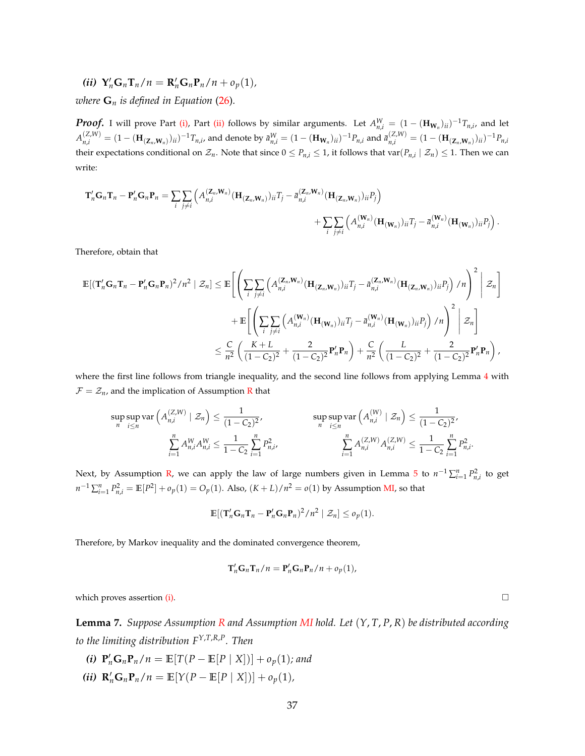<span id="page-36-1"></span>*(ii)*  $Y'_n G_n T_n / n = R'_n G_n P_n / n + o_p(1)$ ,

*where*  $G_n$  *is defined in Equation* [\(26\)](#page-33-2)*.* 

*Proof.* I will prove Part [\(i\),](#page-35-1) Part [\(ii\)](#page-36-1) follows by similar arguments. Let  $A_{n,i}^W = (1 - (\mathbf{H}_{\mathbf{W}_n})_{ii})^{-1}T_{n,i}$ , and let  $A_{n,i}^{(Z,W)} = (1 - (\mathbf{H}_{(\mathbf{Z}_n,\mathbf{W}_n)})_{ii})^{-1}T_{n,i}$ , and denote by  $\bar{a}_{n,i}^W = (1 - (\mathbf{H}_{\mathbf{W}_n})_{ii})^{-1}P_{n,i}$  and  $\bar{a}_{n,i}^{(Z,W)} = (1 - (\mathbf{H}_{(\mathbf{Z}_n,\mathbf{W}_n)})_{ii})^{-1}P_{n,i}$ their expectations conditional on  $\mathcal{Z}_n$ . Note that since  $0 \leq P_{n,i} \leq 1$ , it follows that  $var(P_{n,i} \mid \mathcal{Z}_n) \leq 1$ . Then we can write:

$$
\mathbf{T}'_n \mathbf{G}_n \mathbf{T}_n - \mathbf{P}'_n \mathbf{G}_n \mathbf{P}_n = \sum_i \sum_{j \neq i} \left( A_{n,i}^{(\mathbf{Z}_n, \mathbf{W}_n)} (\mathbf{H}_{(\mathbf{Z}_n, \mathbf{W}_n)})_{ii} T_j - \bar{a}_{n,i}^{(\mathbf{Z}_n, \mathbf{W}_n)} (\mathbf{H}_{(\mathbf{Z}_n, \mathbf{W}_n)})_{ii} P_j \right) + \sum_i \sum_{j \neq i} \left( A_{n,i}^{(\mathbf{W}_n)} (\mathbf{H}_{(\mathbf{W}_n)})_{ii} T_j - \bar{a}_{n,i}^{(\mathbf{W}_n)} (\mathbf{H}_{(\mathbf{W}_n)})_{ii} P_j \right).
$$

Therefore, obtain that

$$
\mathbb{E}[(\mathbf{T}'_n\mathbf{G}_n\mathbf{T}_n - \mathbf{P}'_n\mathbf{G}_n\mathbf{P}_n)^2/n^2 \mid \mathcal{Z}_n] \leq \mathbb{E}\Bigg[\Bigg(\sum_i \sum_{j\neq i} \Big(A_{n,i}^{(\mathbf{Z}_n,\mathbf{W}_n)}(\mathbf{H}_{(\mathbf{Z}_n,\mathbf{W}_n)})_{ii}T_j - \bar{a}_{n,i}^{(\mathbf{Z}_n,\mathbf{W}_n)}(\mathbf{H}_{(\mathbf{Z}_n,\mathbf{W}_n)})_{ii}P_j\Big) / n\Bigg)^2 \Bigg| \mathcal{Z}_n\Bigg] + \mathbb{E}\Bigg[\Bigg(\sum_i \sum_{j\neq i} \Big(A_{n,i}^{(\mathbf{W}_n)}(\mathbf{H}_{(\mathbf{W}_n)})_{ii}T_j - \bar{a}_{n,i}^{(\mathbf{W}_n)}(\mathbf{H}_{(\mathbf{W}_n)})_{ii}P_j\Big) / n\Bigg)^2 \Bigg| \mathcal{Z}_n\Bigg] \leq \frac{C}{n^2} \Bigg(\frac{K+L}{(1-C_2)^2} + \frac{2}{(1-C_2)^2}\mathbf{P}'_n\mathbf{P}_n\Bigg) + \frac{C}{n^2} \Bigg(\frac{L}{(1-C_2)^2} + \frac{2}{(1-C_2)^2}\mathbf{P}'_n\mathbf{P}_n\Bigg),
$$

where the first line follows from triangle inequality, and the second line follows from applying Lemma [4](#page-35-2) with  $\mathcal{F} = \mathcal{Z}_n$ , and the implication of Assumption [R](#page-27-0) that

$$
\sup_{n} \sup_{i \le n} \text{var} \left( A_{n,i}^{(Z,W)} \mid \mathcal{Z}_n \right) \le \frac{1}{(1 - C_2)^2}, \qquad \sup_{n} \sup_{i \le n} \text{var} \left( A_{n,i}^{(W)} \mid \mathcal{Z}_n \right) \le \frac{1}{(1 - C_2)^2},
$$
\n
$$
\sum_{i=1}^{n} A_{n,i}^W A_{n,i}^W \le \frac{1}{1 - C_2} \sum_{i=1}^{n} P_{n,i}^2, \qquad \sum_{i=1}^{n} A_{n,i}^{(Z,W)} A_{n,i}^{(Z,W)} \le \frac{1}{1 - C_2} \sum_{i=1}^{n} P_{n,i}^2.
$$

Next, by Assumption [R,](#page-27-0) we can apply the law of large numbers given in Lemma [5](#page-35-3) to  $n^{-1}\sum_{i=1}^n P_{n,i}^2$  to get *n*<sup>-1</sup> ∑<sup>*n*</sup><sub>*i*</sub><sub>-1</sub>  $P_{n,i}^2 = \mathbb{E}[P^2] + o_p(1) = O_p(1)$ . Also,  $(K + L)/n^2 = o(1)$  by Assumption [MI,](#page-27-4) so that

$$
\mathbb{E}[(\mathbf{T}_n'\mathbf{G}_n\mathbf{T}_n-\mathbf{P}_n'\mathbf{G}_n\mathbf{P}_n)^2/n^2\mid \mathcal{Z}_n]\leq o_p(1).
$$

Therefore, by Markov inequality and the dominated convergence theorem,

$$
\mathbf{T}_n' \mathbf{G}_n \mathbf{T}_n / n = \mathbf{P}_n' \mathbf{G}_n \mathbf{P}_n / n + o_p(1),
$$

which proves assertion [\(i\).](#page-35-1)  $\Box$ 

<span id="page-36-0"></span>**Lemma 7.** *Suppose Assumption [R](#page-27-0) and Assumption [MI](#page-27-4) hold. Let* (*Y*, *T*, *P*, *R*) *be distributed according to the limiting distribution FY*,*T*,*R*,*<sup>P</sup> . Then*

- <span id="page-36-2"></span>*(i)*  $P'_n G_n P_n / n = \mathbb{E}[T(P - \mathbb{E}[P | X])] + o_p(1)$ *; and*
- <span id="page-36-3"></span> $(iii)$  **R**<sub>n</sub><sup>*n*</sup>**G**<sub>n</sub>**P**<sub>n</sub>/*n* =  $\mathbb{E}[Y(P - \mathbb{E}[P \mid X])] + o_p(1)$ *,*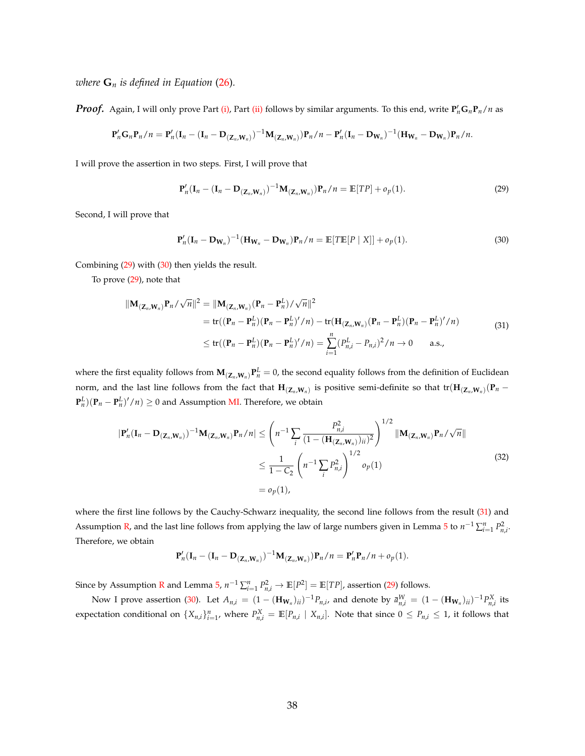*where*  $\mathbf{G}_n$  *is defined in Equation* [\(26\)](#page-33-2)*.* 

*Proof.* Again, I will only prove Part [\(i\),](#page-36-2) Part [\(ii\)](#page-36-3) follows by similar arguments. To this end, write  $P'_nG_nP_n/n$  as

$$
\mathbf{P}_n'\mathbf{G}_n\mathbf{P}_n/n=\mathbf{P}_n'(\mathbf{I}_n-(\mathbf{I}_n-\mathbf{D}_{(\mathbf{Z}_n,\mathbf{W}_n)})^{-1}\mathbf{M}_{(\mathbf{Z}_n,\mathbf{W}_n)})\mathbf{P}_n/n-\mathbf{P}_n'(\mathbf{I}_n-\mathbf{D}_{\mathbf{W}_n})^{-1}(\mathbf{H}_{\mathbf{W}_n}-\mathbf{D}_{\mathbf{W}_n})\mathbf{P}_n/n.
$$

I will prove the assertion in two steps. First, I will prove that

<span id="page-37-1"></span><span id="page-37-0"></span>
$$
\mathbf{P}_n'(\mathbf{I}_n - (\mathbf{I}_n - \mathbf{D}_{(\mathbf{Z}_n, \mathbf{W}_n)})^{-1} \mathbf{M}_{(\mathbf{Z}_n, \mathbf{W}_n)}) \mathbf{P}_n / n = \mathbb{E}[TP] + o_p(1).
$$
 (29)

Second, I will prove that

<span id="page-37-2"></span>
$$
\mathbf{P}_n'(\mathbf{I}_n - \mathbf{D}_{\mathbf{W}_n})^{-1}(\mathbf{H}_{\mathbf{W}_n} - \mathbf{D}_{\mathbf{W}_n})\mathbf{P}_n/n = \mathbb{E}[T\mathbb{E}[P \mid X]] + o_p(1).
$$
 (30)

Combining [\(29\)](#page-37-0) with [\(30\)](#page-37-1) then yields the result.

To prove [\(29\)](#page-37-0), note that

$$
\|\mathbf{M}_{(\mathbf{Z}_n,\mathbf{W}_n)}\mathbf{P}_n/\sqrt{n}\|^2 = \|\mathbf{M}_{(\mathbf{Z}_n,\mathbf{W}_n)}(\mathbf{P}_n - \mathbf{P}_n^L)/\sqrt{n}\|^2
$$
  
\n
$$
= tr((\mathbf{P}_n - \mathbf{P}_n^L)(\mathbf{P}_n - \mathbf{P}_n^L)'/n) - tr(\mathbf{H}_{(\mathbf{Z}_n,\mathbf{W}_n)}(\mathbf{P}_n - \mathbf{P}_n^L)/n)
$$
  
\n
$$
\leq tr((\mathbf{P}_n - \mathbf{P}_n^L)(\mathbf{P}_n - \mathbf{P}_n^L)'/n) = \sum_{i=1}^n (P_{n,i}^L - P_{n,i})^2/n \to 0 \quad \text{a.s.},
$$
\n(31)

where the first equality follows from  $M_{(Z_n,W_n)}P_n^L=0$ , the second equality follows from the definition of Euclidean norm, and the last line follows from the fact that  $H_{(Z_n,W_n)}$  is positive semi-definite so that  $tr(H_{(Z_n,W_n)}(P_n-P_n))$  $\mathbf{P}_n^L$ ) $(\mathbf{P}_n - \mathbf{P}_n^L)'/n$   $\geq 0$  and Assumption [MI.](#page-27-4) Therefore, we obtain

<span id="page-37-3"></span>
$$
|\mathbf{P}'_{n}(\mathbf{I}_{n} - \mathbf{D}_{(\mathbf{Z}_{n}, \mathbf{W}_{n})})^{-1}\mathbf{M}_{(\mathbf{Z}_{n}, \mathbf{W}_{n})}\mathbf{P}_{n}/n| \leq \left(n^{-1}\sum_{i} \frac{P_{n,i}^{2}}{(1 - (\mathbf{H}_{(\mathbf{Z}_{n}, \mathbf{W}_{n})})_{ii})^{2}}\right)^{1/2} ||\mathbf{M}_{(\mathbf{Z}_{n}, \mathbf{W}_{n})}\mathbf{P}_{n}/\sqrt{n}||
$$
  
\n
$$
\leq \frac{1}{1 - C_{2}} \left(n^{-1}\sum_{i} P_{n,i}^{2}\right)^{1/2} o_{p}(1)
$$
  
\n
$$
= o_{p}(1), \qquad (32)
$$

where the first line follows by the Cauchy-Schwarz inequality, the second line follows from the result [\(31\)](#page-37-2) and Assumption [R,](#page-27-0) and the last line follows from applying the law of large numbers given in Lemma [5](#page-35-3) to  $n^{-1} \sum_{i=1}^{n} P_{n,i}^2$ . Therefore, we obtain

$$
\mathbf{P}_n'(\mathbf{I}_n-(\mathbf{I}_n-\mathbf{D}_{(\mathbf{Z}_n,\mathbf{W}_n)})^{-1}\mathbf{M}_{(\mathbf{Z}_n,\mathbf{W}_n)})\mathbf{P}_n/n=\mathbf{P}_n'\mathbf{P}_n/n+o_p(1).
$$

Since by Assumption [R](#page-27-0) and Lemma  $5$ ,  $n^{-1} \sum_{i=1}^{n} P_{n,i}^2 \to \mathbb{E}[P^2] = \mathbb{E}[TP]$ , assertion [\(29\)](#page-37-0) follows.

Now I prove assertion [\(30\)](#page-37-1). Let  $A_{n,i} = (1 - (\mathbf{H}_{\mathbf{W}_n})_{ii})^{-1} P_{n,i}$ , and denote by  $\bar{a}_{n,i}^W = (1 - (\mathbf{H}_{\mathbf{W}_n})_{ii})^{-1} P_{n,i}^X$  its expectation conditional on  $\{X_{n,i}\}_{i=1}^n$ , where  $P_{n,i}^X = \mathbb{E}[P_{n,i} | X_{n,i}]$ . Note that since  $0 \le P_{n,i} \le 1$ , it follows that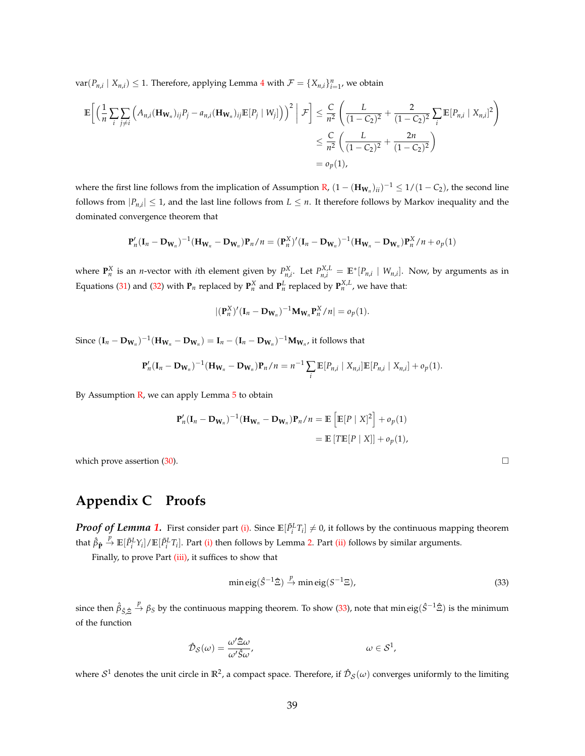$var(P_{n,i} | X_{n,i}) \leq 1$ . Therefore, applying Lemma [4](#page-35-2) with  $\mathcal{F} = \{X_{n,i}\}_{i=1}^n$ , we obtain

$$
\mathbb{E}\left[\left(\frac{1}{n}\sum_{i}\sum_{j\neq i}\left(A_{n,i}(\mathbf{H}_{\mathbf{W}_{n}})_{ij}P_{j}-a_{n,i}(\mathbf{H}_{\mathbf{W}_{n}})_{ij}\mathbb{E}[P_{j}\mid W_{j}]\right)\right)^{2}\bigg|\mathcal{F}\right] \leq \frac{C}{n^{2}}\left(\frac{L}{(1-C_{2})^{2}}+\frac{2}{(1-C_{2})^{2}}\sum_{i}\mathbb{E}[P_{n,i}\mid X_{n,i}]^{2}\right)
$$

$$
\leq \frac{C}{n^{2}}\left(\frac{L}{(1-C_{2})^{2}}+\frac{2n}{(1-C_{2})^{2}}\right)
$$

$$
=o_{p}(1),
$$

where the first line follows from the implication of Assumption [R,](#page-27-0)  $(1 - (\mathbf{H}_{\mathbf{W}_n})_{ii})^{-1} \leq 1/(1 - C_2)$ , the second line follows from  $|P_{n,i}| \leq 1$ , and the last line follows from  $L \leq n$ . It therefore follows by Markov inequality and the dominated convergence theorem that

$$
\mathbf{P}_n'(\mathbf{I}_n - \mathbf{D}_{\mathbf{W}_n})^{-1}(\mathbf{H}_{\mathbf{W}_n} - \mathbf{D}_{\mathbf{W}_n})\mathbf{P}_n/n = (\mathbf{P}_n^X)'(\mathbf{I}_n - \mathbf{D}_{\mathbf{W}_n})^{-1}(\mathbf{H}_{\mathbf{W}_n} - \mathbf{D}_{\mathbf{W}_n})\mathbf{P}_n^X/n + o_p(1)
$$

where  $\mathbf{P}_n^X$  is an *n*-vector with *i*th element given by  $P_{n,i}^X$ . Let  $P_{n,i}^{X,L} = \mathbb{E}^*[P_{n,i} | W_{n,i}]$ . Now, by arguments as in Equations [\(31\)](#page-37-2) and [\(32\)](#page-37-3) with  $P_n$  replaced by  $P_n^X$  and  $P_n^L$  replaced by  $P_n^{X,L}$ , we have that:

$$
|(\mathbf{P}_n^X)'(\mathbf{I}_n - \mathbf{D}_{\mathbf{W}_n})^{-1} \mathbf{M}_{\mathbf{W}_n} \mathbf{P}_n^X/n| = o_p(1).
$$

Since  $({\bf I}_n - {\bf D}_{{\bf W}_n})^{-1}({\bf H}_{{\bf W}_n} - {\bf D}_{{\bf W}_n}) = {\bf I}_n - ({\bf I}_n - {\bf D}_{{\bf W}_n})^{-1}{\bf M}_{{\bf W}_n}$ , it follows that

$$
\mathbf{P}_n'(\mathbf{I}_n - \mathbf{D}_{\mathbf{W}_n})^{-1}(\mathbf{H}_{\mathbf{W}_n} - \mathbf{D}_{\mathbf{W}_n})\mathbf{P}_n/n = n^{-1} \sum_i \mathbb{E}[P_{n,i} | X_{n,i}] \mathbb{E}[P_{n,i} | X_{n,i}] + o_p(1).
$$

By Assumption  $\mathbb R$ , we can apply Lemma  $5$  to obtain

$$
\mathbf{P}_n'(\mathbf{I}_n - \mathbf{D}_{\mathbf{W}_n})^{-1}(\mathbf{H}_{\mathbf{W}_n} - \mathbf{D}_{\mathbf{W}_n})\mathbf{P}_n/n = \mathbb{E}\left[\mathbb{E}[P \mid X]^2\right] + o_p(1)
$$
  
=  $\mathbb{E}\left[\text{TE}[P \mid X]\right] + o_p(1),$ 

which prove assertion [\(30\)](#page-37-1).

# <span id="page-38-0"></span>**Appendix C Proofs**

*Proof of Lemma [1.](#page-16-1)* First consider part [\(i\).](#page-16-2) Since  $\mathbb{E}[\tilde{P}_i^L T_i] \neq 0$ , it follows by the continuous mapping theorem that  $\hat{\beta}_{\hat{\mathbf{P}}} \stackrel{p}{\to} \mathbb{E}[\tilde{P}_i^L Y_i]/\mathbb{E}[\tilde{P}_i^L T_i]$ . Part [\(i\)](#page-16-2) then follows by Lemma [2.](#page-34-4) Part [\(ii\)](#page-16-3) follows by similar arguments.

Finally, to prove Part [\(iii\),](#page-16-4) it suffices to show that

<span id="page-38-1"></span>
$$
\min \text{eig}(\hat{S}^{-1}\hat{\Xi}) \xrightarrow{p} \min \text{eig}(S^{-1}\Xi),\tag{33}
$$

*since then*  $\hat{\beta}_{\hat{S}, \hat{\Xi}} \stackrel{p}{\to} \beta_S$  *by the continuous mapping theorem. To show [\(33\)](#page-38-1), note that min eig(* $\hat{S}^{-1} \hat{\Xi}$ *) is the minimum* of the function

$$
\hat{\mathcal{D}}_{\mathcal{S}}(\omega) = \frac{\omega' \hat{\Xi}\omega}{\omega' \hat{\mathcal{S}}\omega'}, \qquad \qquad \omega \in \mathcal{S}^1,
$$

where  $S^1$  denotes the unit circle in  $\R^2$ , a compact space. Therefore, if  $\hat{\cal D}_S(\omega)$  converges uniformly to the limiting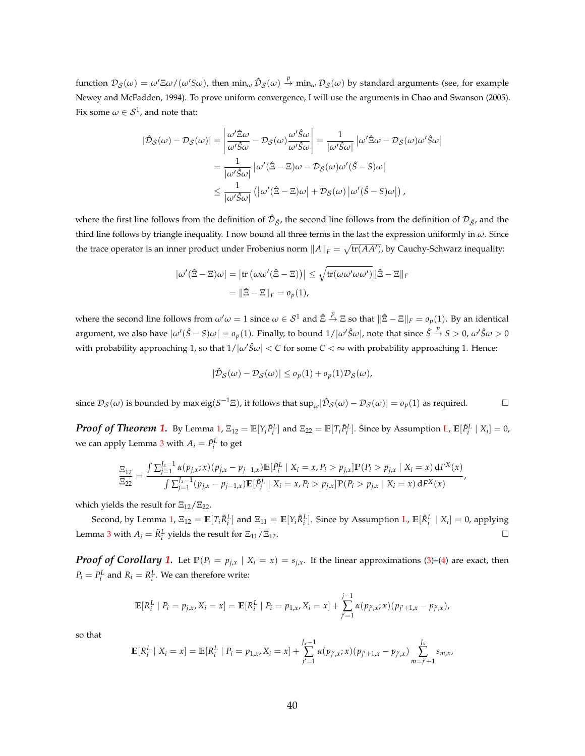<span id="page-39-0"></span> ${\rm function} \; {\cal D}_\mathcal{S}(\omega)=\omega' \Xi \omega/(\omega' S \omega)$ , then  $\min_\omega {\cal D}_\mathcal{S}(\omega) \stackrel{p}{\to} \min_\omega {\cal D}_\mathcal{S}(\omega)$  by standard arguments (see, for example [Newey and McFadden,](#page-44-20) [1994\)](#page-44-20). To prove uniform convergence, I will use the arguments in [Chao and Swanson](#page-42-19) [\(2005\)](#page-42-19). Fix some  $\omega \in \mathcal{S}^1$ , and note that:

$$
|\hat{\mathcal{D}}_{\mathcal{S}}(\omega) - \mathcal{D}_{\mathcal{S}}(\omega)| = \left| \frac{\omega' \hat{\Xi}\omega}{\omega' \hat{S}\omega} - \mathcal{D}_{\mathcal{S}}(\omega) \frac{\omega' \hat{S}\omega}{\omega' \hat{S}\omega} \right| = \frac{1}{|\omega' \hat{S}\omega|} |\omega' \hat{\Xi}\omega - \mathcal{D}_{\mathcal{S}}(\omega) \omega' \hat{S}\omega|
$$
  

$$
= \frac{1}{|\omega' \hat{S}\omega|} |\omega' (\hat{\Xi} - \Xi)\omega - \mathcal{D}_{\mathcal{S}}(\omega) \omega' (\hat{S} - S)\omega|
$$
  

$$
\leq \frac{1}{|\omega' \hat{S}\omega|} (|\omega' (\hat{\Xi} - \Xi)\omega| + \mathcal{D}_{\mathcal{S}}(\omega) |\omega' (\hat{S} - S)\omega|),
$$

where the first line follows from the definition of  $\hat{\cal D}_{\hat{S}}$ , the second line follows from the definition of  ${\cal D}_{\hat{S}}$ , and the third line follows by triangle inequality. I now bound all three terms in the last the expression uniformly in *ω*. Since the trace operator is an inner product under Frobenius norm  $\|A\|_F=\sqrt{\text{tr}(AA')}$ , by Cauchy-Schwarz inequality:

$$
|\omega'(\hat{\Xi} - \Xi)\omega| = |\text{tr}(\omega\omega'(\hat{\Xi} - \Xi))| \le \sqrt{\text{tr}(\omega\omega'\omega\omega')}\|\hat{\Xi} - \Xi\|_F
$$

$$
= \|\hat{\Xi} - \Xi\|_F = o_p(1),
$$

where the second line follows from  $\omega'\omega = 1$  since  $\omega \in S^1$  and  $\hat{\Xi} \stackrel{p}{\to} \Xi$  so that  $\|\hat{\Xi} - \Xi\|_F = o_p(1)$ . By an identical  $\alpha$  argument, we also have  $|\omega'(\hat{S}-S)\omega|=o_p(1)$ . Finally, to bound  $1/|\omega'\hat{S}\omega|$ , note that since  $\hat{S}\overset{p}{\to}S>0$ ,  $\omega'\hat{S}\omega>0$ with probability approaching 1, so that  $1/|\omega' \hat{S} \omega| < C$  for some  $C < \infty$  with probability approaching 1. Hence:

$$
|\hat{\mathcal{D}}_{\mathcal{S}}(\omega) - \mathcal{D}_{\mathcal{S}}(\omega)| \leq o_p(1) + o_p(1)\mathcal{D}_{\mathcal{S}}(\omega),
$$

since  $\mathcal{D}_{\mathcal{S}}(\omega)$  is bounded by max eig( $S^{-1}\Xi$ ), it follows that  $\sup_{\omega}$  | $\hat{\mathcal{D}}_{\mathcal{S}}(\omega) - \mathcal{D}_{\mathcal{S}}(\omega)$ | =  $o_p(1)$  as required.

**Proof of Theorem [1.](#page-18-0)** By Lemma [1,](#page-16-1)  $\Xi_{12} = \mathbb{E}[Y_i \tilde{P}_i^L]$  and  $\Xi_{22} = \mathbb{E}[T_i \tilde{P}_i^L]$ . Since by Assumption [L,](#page-9-0)  $\mathbb{E}[\tilde{P}_i^L | X_i] = 0$ , we can apply Lemma [3](#page-34-5) with  $A_i = \tilde{P}^L_i$  to get

$$
\frac{\Xi_{12}}{\Xi_{22}} = \frac{\int \sum_{j=1}^{J_x - 1} \alpha(p_{j,x}; x)(p_{j,x} - p_{j-1,x}) \mathbb{E}[\tilde{P}_i^L \mid X_i = x, P_i > p_{j,x}] \mathbb{P}(P_i > p_{j,x} \mid X_i = x) dF^X(x)}{\int \sum_{j=1}^{J_x - 1} (p_{j,x} - p_{j-1,x}) \mathbb{E}[\tilde{P}_i^L \mid X_i = x, P_i > p_{j,x}] \mathbb{P}(P_i > p_{j,x} \mid X_i = x) dF^X(x)},
$$

which yields the result for  $\Xi_{12}/\Xi_{22}$ .

Second, by Lemma [1,](#page-16-1)  $\Xi_{12} = \mathbb{E}[T_i \tilde{R}_i^L]$  and  $\Xi_{11} = \mathbb{E}[Y_i \tilde{R}_i^L]$ . Since by Assumption [L,](#page-9-0)  $\mathbb{E}[\tilde{R}_i^L \mid X_i] = 0$ , applying Lemma [3](#page-34-5) with  $A_i = \tilde{R}_i^L$  yields the result for  $\Xi_{11}/\Xi_{12}$ .

*Proof of Corollary [1.](#page-19-0)* Let  $\mathbb{P}(P_i = p_{j,x} \mid X_i = x) = s_{j,x}$ . If the linear approximations [\(3\)](#page-6-1)–[\(4\)](#page-6-0) are exact, then  $P_i = P_i^L$  and  $R_i = R_i^L$ . We can therefore write:

$$
\mathbb{E}[R_i^L | P_i = p_{j,x}, X_i = x] = \mathbb{E}[R_i^L | P_i = p_{1,x}, X_i = x] + \sum_{j'=1}^{j-1} \alpha(p_{j',x}; x)(p_{j'+1,x} - p_{j',x}),
$$

so that

$$
\mathbb{E}[R_i^L \mid X_i = x] = \mathbb{E}[R_i^L \mid P_i = p_{1,x}, X_i = x] + \sum_{j'=1}^{J_x-1} \alpha(p_{j',x}; x)(p_{j'+1,x} - p_{j',x}) \sum_{m=j'+1}^{J_x} s_{m,x},
$$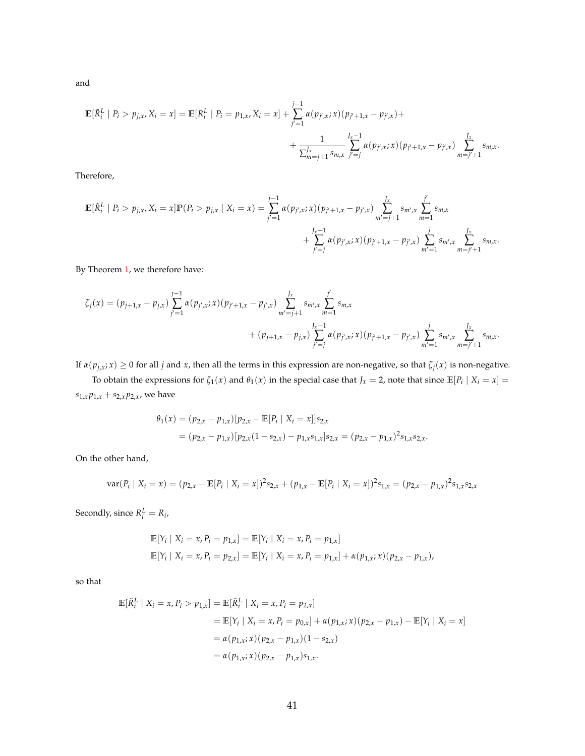and

$$
\mathbb{E}[\tilde{R}_i^L | P_i > p_{j,x}, X_i = x] = \mathbb{E}[R_i^L | P_i = p_{1,x}, X_i = x] + \sum_{j'=1}^{j-1} \alpha(p_{j',x}; x)(p_{j'+1,x} - p_{j',x}) + \frac{1}{\sum_{m=j+1}^{J_x-1} \sum_{s,m,x}^{J_x-1} \sum_{j'=j}^{J_x} \alpha(p_{j',x}; x)(p_{j'+1,x} - p_{j',x}) \sum_{m=j'+1}^{J_x} \sum_{s,m,x}^{J_x-1} \sum_{s,m,x} \sum_{s'=s}^{J_x-1} \alpha(p_{j',x}; x)(p_{j'+1,x} - p_{j',x}) \sum_{m=j'+1}^{J_x-1} \sum_{s'=s}^{J_x-1} \alpha(p_{j',x}; x)(p_{j'+1,x} - p_{j',x}) \sum_{m=j'+1}^{J_x-1} \sum_{s'=s}^{J_x-1} \alpha(p_{j',x}; x)(p_{j'+1,x} - p_{j',x}) \sum_{m=j'+1}^{J_x-1} \alpha(p_{j',x}; x)(p_{j'+1,x} - p_{j',x}) \sum_{m=j'+1}^{J_x-1} \alpha(p_{j',x}; x)(p_{j'+1,x} - p_{j',x}) \sum_{m=j'+1}^{J_x-1} \sum_{s'=s}^{J_x-1} \alpha(p_{j',x}; x)(p_{j'+1,x} - p_{j',x}) \sum_{m=j'+1}^{J_x-1} \sum_{s'=s}^{J_x-1} \sum_{s'=s}^{J_x-1} \sum_{m=1}^{J_x-1} \sum_{m=1}^{J_x-1} \sum_{s'=s}^{J_x-1} \sum_{m=1}^{J_x-1} \sum_{s'=s}^{J_x-1} \sum_{m=1}^{J_x-1} \sum_{s'=s}^{J_x-1} \sum_{m=1}^{J_x-1} \sum_{m=1}^{J_x-1} \sum_{m=1}^{J_x-1} \sum_{m=1}^{J_x-1} \sum_{m=1}^{J_x-1} \sum_{m=1}^{J_x-1} \sum_{m=1}^{J_x-1} \sum_{m=1}^{J_x-1} \sum_{m=1}^{J_x-1} \sum_{m=1}^{J_x-1} \sum_{m=1}^{J_x-1} \sum_{m=1}^{J_x-1} \sum_{m=1}^{J_x-1} \sum_{
$$

Therefore,

$$
\mathbb{E}[\tilde{R}_i^L | P_i > p_{j,x}, X_i = x] \mathbb{P}(P_i > p_{j,x} | X_i = x) = \sum_{j'=1}^{j-1} \alpha(p_{j',x}; x) (p_{j'+1,x} - p_{j',x}) \sum_{m'=j+1}^{J_x} s_{m',x} \sum_{m=1}^{j'} s_{m,x} + \sum_{j'=j}^{J_x - 1} \alpha(p_{j',x}; x) (p_{j'+1,x} - p_{j',x}) \sum_{m'=1}^{j} s_{m',x} \sum_{m=j'+1}^{J_x} s_{m,x}.
$$

By Theorem [1,](#page-18-0) we therefore have:

$$
\zeta_j(x) = (p_{j+1,x} - p_{j,x}) \sum_{j'=1}^{j-1} \alpha(p_{j',x}; x) (p_{j'+1,x} - p_{j',x}) \sum_{m'=j+1}^{J_x} s_{m',x} \sum_{m=1}^{j'} s_{m,x} + (p_{j+1,x} - p_{j,x}) \sum_{j'=j}^{J_x-1} \alpha(p_{j',x}; x) (p_{j'+1,x} - p_{j',x}) \sum_{m'=1}^{j} s_{m',x} \sum_{m=j'+1}^{J_x} s_{m,x}.
$$

If  $\alpha(p_{j,x}; x) \ge 0$  for all *j* and *x*, then all the terms in this expression are non-negative, so that  $\zeta_j(x)$  is non-negative.

To obtain the expressions for  $\zeta_1(x)$  and  $\theta_1(x)$  in the special case that  $J_x = 2$ , note that since  $\mathbb{E}[P_i \mid X_i = x] =$  $s_{1,x}p_{1,x} + s_{2,x}p_{2,x}$ , we have

$$
\theta_1(x) = (p_{2,x} - p_{1,x}) [p_{2,x} - \mathbb{E}[P_i \mid X_i = x]] s_{2,x}
$$
  
=  $(p_{2,x} - p_{1,x}) [p_{2,x} (1 - s_{2,x}) - p_{1,x} s_{1,x}] s_{2,x} = (p_{2,x} - p_{1,x})^2 s_{1,x} s_{2,x}.$ 

On the other hand,

$$
\text{var}(P_i \mid X_i = x) = (p_{2,x} - \mathbb{E}[P_i \mid X_i = x])^2 s_{2,x} + (p_{1,x} - \mathbb{E}[P_i \mid X_i = x])^2 s_{1,x} = (p_{2,x} - p_{1,x})^2 s_{1,x} s_{2,x}
$$

Secondly, since  $R_i^L = R_i$ ,

$$
\mathbb{E}[Y_i | X_i = x, P_i = p_{1,x}] = \mathbb{E}[Y_i | X_i = x, P_i = p_{1,x}]
$$
  

$$
\mathbb{E}[Y_i | X_i = x, P_i = p_{2,x}] = \mathbb{E}[Y_i | X_i = x, P_i = p_{1,x}] + \alpha(p_{1,x}; x)(p_{2,x} - p_{1,x}),
$$

so that

$$
\mathbb{E}[\tilde{R}_i^L | X_i = x, P_i > p_{1,x}] = \mathbb{E}[\tilde{R}_i^L | X_i = x, P_i = p_{2,x}] \\
= \mathbb{E}[Y_i | X_i = x, P_i = p_{0,x}] + \alpha(p_{1,x}; x)(p_{2,x} - p_{1,x}) - \mathbb{E}[Y_i | X_i = x] \\
= \alpha(p_{1,x}; x)(p_{2,x} - p_{1,x})(1 - s_{2,x}) \\
= \alpha(p_{1,x}; x)(p_{2,x} - p_{1,x})s_{1,x}.
$$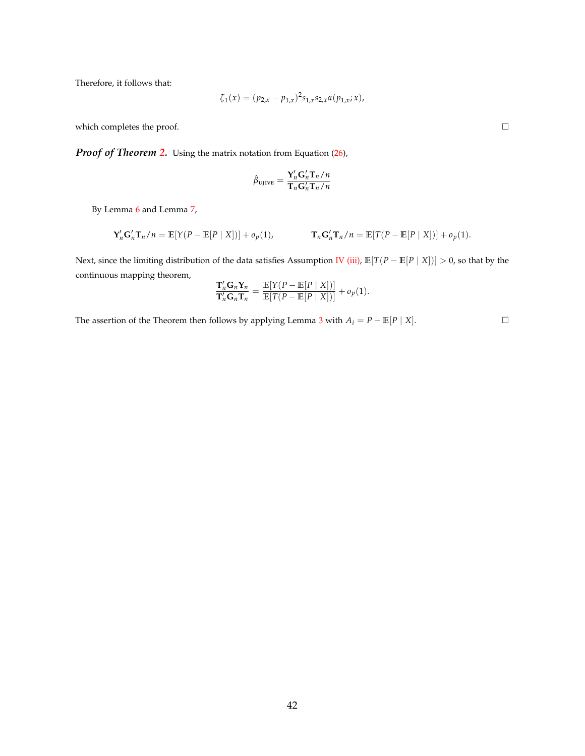Therefore, it follows that:

$$
\zeta_1(x) = (p_{2,x} - p_{1,x})^2 s_{1,x} s_{2,x} \alpha(p_{1,x}; x),
$$

which completes the proof.  $\Box$ 

*Proof of Theorem [2.](#page-28-1)* Using the matrix notation from Equation [\(26\)](#page-33-2),

$$
\hat{\beta}_{\text{UJIVE}} = \frac{\mathbf{Y}_n^\prime \mathbf{G}_n^\prime \mathbf{T}_n / n}{\mathbf{T}_n \mathbf{G}_n^\prime \mathbf{T}_n / n}
$$

By Lemma [6](#page-35-0) and Lemma [7,](#page-36-0)

$$
\mathbf{Y}_n' \mathbf{G}_n' \mathbf{T}_n / n = \mathbb{E}[Y(P - \mathbb{E}[P \mid X])] + o_p(1), \qquad \mathbf{T}_n \mathbf{G}_n' \mathbf{T}_n / n = \mathbb{E}[T(P - \mathbb{E}[P \mid X])] + o_p(1).
$$

Next, since the limiting distribution of the data satisfies Assumption [IV](#page-8-0) [\(iii\),](#page-8-4) **E**[*T*(*P* − **E**[*P* | *X*])] > 0, so that by the continuous mapping theorem,

$$
\frac{\mathbf{T}_n'\mathbf{G}_n\mathbf{Y}_n}{\mathbf{T}_n'\mathbf{G}_n\mathbf{T}_n} = \frac{\mathbb{E}[Y(P - \mathbb{E}[P \mid X])]}{\mathbb{E}[T(P - \mathbb{E}[P \mid X])]} + o_p(1).
$$

The assertion of the Theorem then follows by applying Lemma [3](#page-34-5) with  $A_i = P - \mathbb{E}[P \mid X]$ . □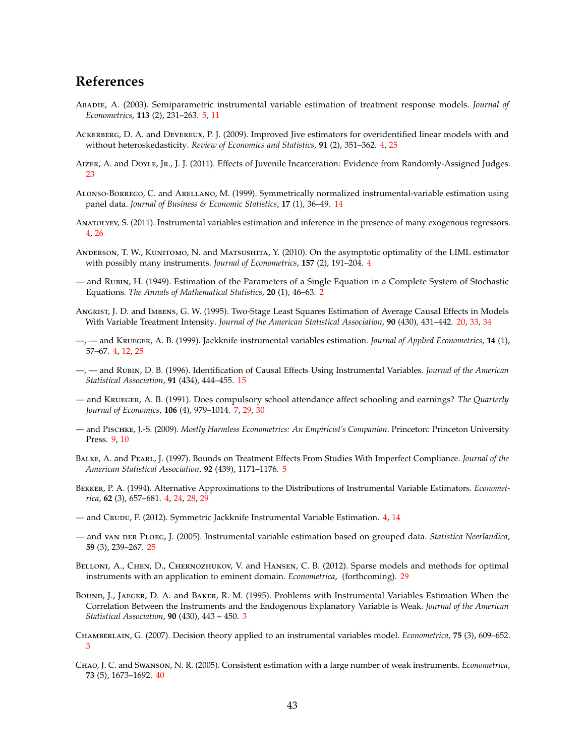### **References**

- <span id="page-42-9"></span>Abadie, A. (2003). Semiparametric instrumental variable estimation of treatment response models. *Journal of Econometrics*, **113** (2), 231–263. [5,](#page-4-1) [11](#page-10-1)
- <span id="page-42-7"></span>Ackerberg, D. A. and Devereux, P. J. (2009). Improved Jive estimators for overidentified linear models with and without heteroskedasticity. *Review of Economics and Statistics*, **91** (2), 351–362. [4,](#page-3-0) [25](#page-24-1)
- <span id="page-42-16"></span>AIZER, A. and DoyLE, JR., J. J. (2011). Effects of Juvenile Incarceration: Evidence from Randomly-Assigned Judges. [23](#page-22-1)
- <span id="page-42-13"></span>Alonso-Borrego, C. and Arellano, M. (1999). Symmetrically normalized instrumental-variable estimation using panel data. *Journal of Business & Economic Statistics*, **17** (1), 36–49. [14](#page-13-2)
- <span id="page-42-8"></span>Anatolyev, S. (2011). Instrumental variables estimation and inference in the presence of many exogenous regressors. [4,](#page-3-0) [26](#page-25-0)
- <span id="page-42-4"></span>ANDERSON, T. W., KUNITOMO, N. and MATSUSHITA, Y. (2010). On the asymptotic optimality of the LIML estimator with possibly many instruments. *Journal of Econometrics*, **157** (2), 191–204. [4](#page-3-0)
- <span id="page-42-0"></span>— and Rubin, H. (1949). Estimation of the Parameters of a Single Equation in a Complete System of Stochastic Equations. *The Annals of Mathematical Statistics*, **20** (1), 46–63. [2](#page-1-0)
- <span id="page-42-15"></span>Angrist, J. D. and Imbens, G. W. (1995). Two-Stage Least Squares Estimation of Average Causal Effects in Models With Variable Treatment Intensity. *Journal of the American Statistical Association*, **90** (430), 431–442. [20,](#page-19-1) [33,](#page-32-1) [34](#page-33-3)
- <span id="page-42-6"></span>—, — and Krueger, A. B. (1999). Jackknife instrumental variables estimation. *Journal of Applied Econometrics*, **14** (1), 57–67. [4,](#page-3-0) [12,](#page-11-0) [25](#page-24-1)
- <span id="page-42-14"></span>—, — and Rubin, D. B. (1996). Identification of Causal Effects Using Instrumental Variables. *Journal of the American Statistical Association*, **91** (434), 444–455. [15](#page-14-4)
- <span id="page-42-11"></span>— and Krueger, A. B. (1991). Does compulsory school attendance affect schooling and earnings? *The Quarterly Journal of Economics*, **106** (4), 979–1014. [7,](#page-6-2) [29,](#page-28-2) [30](#page-29-0)
- <span id="page-42-12"></span>— and Pischke, J.-S. (2009). *Mostly Harmless Econometrics: An Empiricist's Companion*. Princeton: Princeton University Press. [9,](#page-8-5) [10](#page-9-3)
- <span id="page-42-10"></span>Balke, A. and Pearl, J. (1997). Bounds on Treatment Effects From Studies With Imperfect Compliance. *Journal of the American Statistical Association*, **92** (439), 1171–1176. [5](#page-4-1)
- <span id="page-42-3"></span>Bekker, P. A. (1994). Alternative Approximations to the Distributions of Instrumental Variable Estimators. *Econometrica*, **62** (3), 657–681. [4,](#page-3-0) [24,](#page-23-1) [28,](#page-27-8) [29](#page-28-2)
- <span id="page-42-5"></span>— and Crupu, F. (2012). Symmetric Jackknife Instrumental Variable Estimation. [4,](#page-3-0) [14](#page-13-2)
- <span id="page-42-17"></span>— and van der Ploeg, J. (2005). Instrumental variable estimation based on grouped data. *Statistica Neerlandica*, **59** (3), 239–267. [25](#page-24-1)
- <span id="page-42-18"></span>BELLONI, A., CHEN, D., CHERNOZHUKOV, V. and HANSEN, C. B. (2012). Sparse models and methods for optimal instruments with an application to eminent domain. *Econometrica*, (forthcoming). [29](#page-28-2)
- <span id="page-42-2"></span>Bound, J., Jaeger, D. A. and Baker, R. M. (1995). Problems with Instrumental Variables Estimation When the Correlation Between the Instruments and the Endogenous Explanatory Variable is Weak. *Journal of the American Statistical Association*, **90** (430), 443 – 450. [3](#page-2-0)
- <span id="page-42-1"></span>Chamberlain, G. (2007). Decision theory applied to an instrumental variables model. *Econometrica*, **75** (3), 609–652. [3](#page-2-0)
- <span id="page-42-19"></span>Chao, J. C. and Swanson, N. R. (2005). Consistent estimation with a large number of weak instruments. *Econometrica*, **73** (5), 1673–1692. [40](#page-39-0)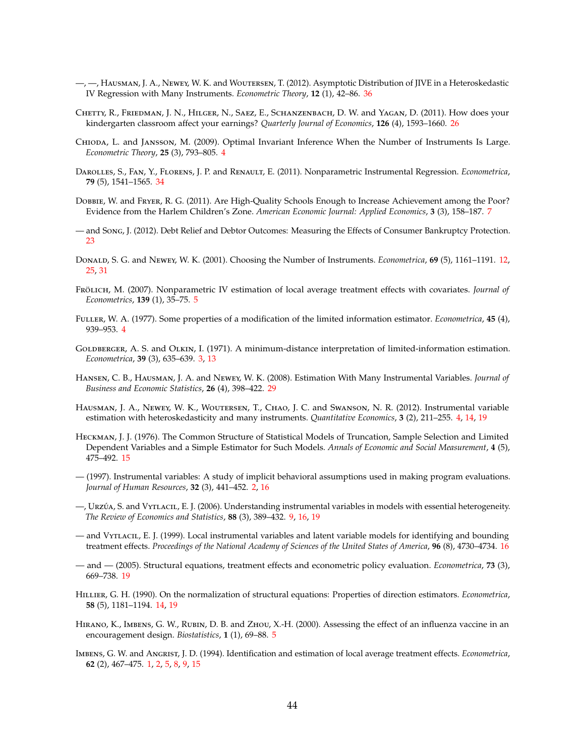- <span id="page-43-19"></span>—, —, Hausman, J. A., Newey, W. K. and Woutersen, T. (2012). Asymptotic Distribution of JIVE in a Heteroskedastic IV Regression with Many Instruments. *Econometric Theory*, **12** (1), 42–86. [36](#page-35-4)
- <span id="page-43-16"></span>Chetty, R., Friedman, J. N., Hilger, N., Saez, E., Schanzenbach, D. W. and Yagan, D. (2011). How does your kindergarten classroom affect your earnings? *Quarterly Journal of Economics*, **126** (4), 1593–1660. [26](#page-25-0)
- <span id="page-43-3"></span>Chioda, L. and Jansson, M. (2009). Optimal Invariant Inference When the Number of Instruments Is Large. *Econometric Theory*, **25** (3), 793–805. [4](#page-3-0)
- <span id="page-43-18"></span>Darolles, S., Fan, Y., Florens, J. P. and Renault, E. (2011). Nonparametric Instrumental Regression. *Econometrica*, **79** (5), 1541–1565. [34](#page-33-3)
- <span id="page-43-8"></span>Dobbie, W. and Fryer, R. G. (2011). Are High-Quality Schools Enough to Increase Achievement among the Poor? Evidence from the Harlem Children's Zone. *American Economic Journal: Applied Economics*, **3** (3), 158–187. [7](#page-6-2)
- <span id="page-43-15"></span>— and Song, J. (2012). Debt Relief and Debtor Outcomes: Measuring the Effects of Consumer Bankruptcy Protection. [23](#page-22-1)
- <span id="page-43-10"></span>Donald, S. G. and Newey, W. K. (2001). Choosing the Number of Instruments. *Econometrica*, **69** (5), 1161–1191. [12,](#page-11-0) [25,](#page-24-1) [31](#page-30-1)
- <span id="page-43-6"></span>Frölich, M. (2007). Nonparametric IV estimation of local average treatment effects with covariates. *Journal of Econometrics*, **139** (1), 35–75. [5](#page-4-1)
- <span id="page-43-5"></span>Fuller, W. A. (1977). Some properties of a modification of the limited information estimator. *Econometrica*, **45** (4), 939–953. [4](#page-3-0)
- <span id="page-43-2"></span>GOLDBERGER, A. S. and OLKIN, I. (1971). A minimum-distance interpretation of limited-information estimation. *Econometrica*, **39** (3), 635–639. [3,](#page-2-0) [13](#page-12-3)
- <span id="page-43-17"></span>Hansen, C. B., Hausman, J. A. and Newey, W. K. (2008). Estimation With Many Instrumental Variables. *Journal of Business and Economic Statistics*, **26** (4), 398–422. [29](#page-28-2)
- <span id="page-43-4"></span>Hausman, J. A., Newey, W. K., Woutersen, T., Chao, J. C. and Swanson, N. R. (2012). Instrumental variable estimation with heteroskedasticity and many instruments. *Quantitative Economics*, **3** (2), 211–255. [4,](#page-3-0) [14,](#page-13-2) [19](#page-18-1)
- <span id="page-43-12"></span>Heckman, J. J. (1976). The Common Structure of Statistical Models of Truncation, Sample Selection and Limited Dependent Variables and a Simple Estimator for Such Models. *Annals of Economic and Social Measurement*, **4** (5), 475–492. [15](#page-14-4)
- <span id="page-43-1"></span>— (1997). Instrumental variables: A study of implicit behavioral assumptions used in making program evaluations. *Journal of Human Resources*, **32** (3), 441–452. [2,](#page-1-0) [16](#page-15-2)
- <span id="page-43-9"></span>—, Urzúa, S. and Vytlacil, E. J. (2006). Understanding instrumental variables in models with essential heterogeneity. *The Review of Economics and Statistics*, **88** (3), 389–432. [9,](#page-8-5) [16,](#page-15-2) [19](#page-18-1)
- <span id="page-43-13"></span>— and Vytlacil, E. J. (1999). Local instrumental variables and latent variable models for identifying and bounding treatment effects. *Proceedings of the National Academy of Sciences of the United States of America*, **96** (8), 4730–4734. [16](#page-15-2)
- <span id="page-43-14"></span>— and — (2005). Structural equations, treatment effects and econometric policy evaluation. *Econometrica*, **73** (3), 669–738. [19](#page-18-1)
- <span id="page-43-11"></span>Hillier, G. H. (1990). On the normalization of structural equations: Properties of direction estimators. *Econometrica*, **58** (5), 1181–1194. [14,](#page-13-2) [19](#page-18-1)
- <span id="page-43-7"></span>Hirano, K., Imbens, G. W., Rubin, D. B. and Zhou, X.-H. (2000). Assessing the effect of an influenza vaccine in an encouragement design. *Biostatistics*, **1** (1), 69–88. [5](#page-4-1)
- <span id="page-43-0"></span>Imbens, G. W. and Angrist, J. D. (1994). Identification and estimation of local average treatment effects. *Econometrica*, **62** (2), 467–475. [1,](#page-0-0) [2,](#page-1-0) [5,](#page-4-1) [8,](#page-7-4) [9,](#page-8-5) [15](#page-14-4)